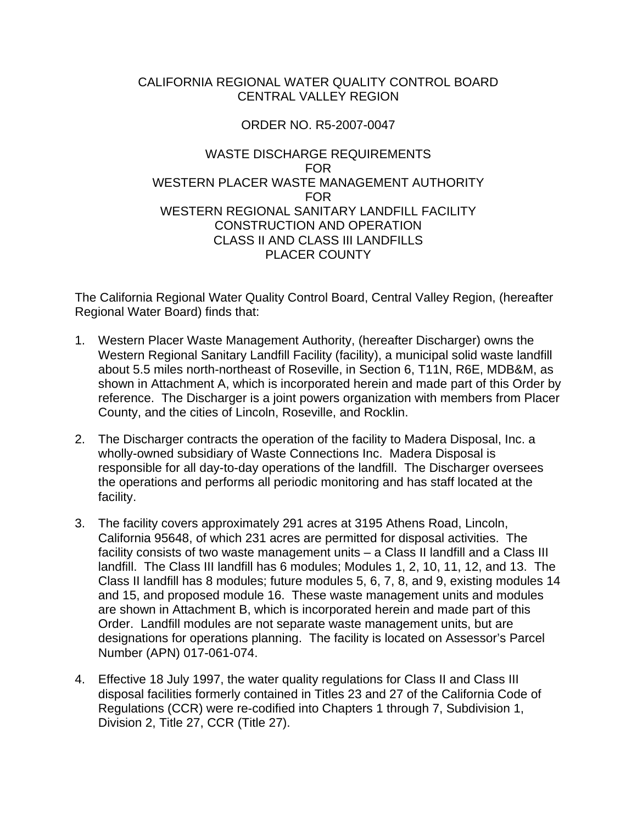## CALIFORNIA REGIONAL WATER QUALITY CONTROL BOARD CENTRAL VALLEY REGION

# ORDER NO. R5-2007-0047

## WASTE DISCHARGE REQUIREMENTS FOR WESTERN PLACER WASTE MANAGEMENT AUTHORITY FOR WESTERN REGIONAL SANITARY LANDFILL FACILITY CONSTRUCTION AND OPERATION CLASS II AND CLASS III LANDFILLS PLACER COUNTY

The California Regional Water Quality Control Board, Central Valley Region, (hereafter Regional Water Board) finds that:

- 1. Western Placer Waste Management Authority, (hereafter Discharger) owns the Western Regional Sanitary Landfill Facility (facility), a municipal solid waste landfill about 5.5 miles north-northeast of Roseville, in Section 6, T11N, R6E, MDB&M, as shown in Attachment A, which is incorporated herein and made part of this Order by reference. The Discharger is a joint powers organization with members from Placer County, and the cities of Lincoln, Roseville, and Rocklin.
- 2. The Discharger contracts the operation of the facility to Madera Disposal, Inc. a wholly-owned subsidiary of Waste Connections Inc. Madera Disposal is responsible for all day-to-day operations of the landfill. The Discharger oversees the operations and performs all periodic monitoring and has staff located at the facility.
- 3. The facility covers approximately 291 acres at 3195 Athens Road, Lincoln, California 95648, of which 231 acres are permitted for disposal activities. The facility consists of two waste management units – a Class II landfill and a Class III landfill. The Class III landfill has 6 modules; Modules 1, 2, 10, 11, 12, and 13. The Class II landfill has 8 modules; future modules 5, 6, 7, 8, and 9, existing modules 14 and 15, and proposed module 16. These waste management units and modules are shown in Attachment B, which is incorporated herein and made part of this Order. Landfill modules are not separate waste management units, but are designations for operations planning. The facility is located on Assessor's Parcel Number (APN) 017-061-074.
- 4. Effective 18 July 1997, the water quality regulations for Class II and Class III disposal facilities formerly contained in Titles 23 and 27 of the California Code of Regulations (CCR) were re-codified into Chapters 1 through 7, Subdivision 1, Division 2, Title 27, CCR (Title 27).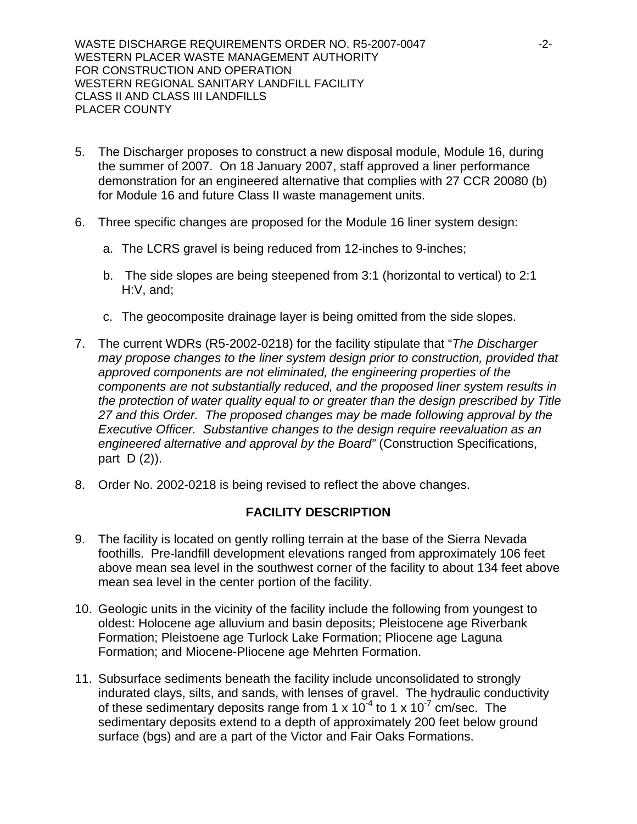WASTE DISCHARGE REQUIREMENTS ORDER NO. R5-2007-0047 -2-WESTERN PLACER WASTE MANAGEMENT AUTHORITY FOR CONSTRUCTION AND OPERATION WESTERN REGIONAL SANITARY LANDFILL FACILITY CLASS II AND CLASS III LANDFILLS PLACER COUNTY

- 5. The Discharger proposes to construct a new disposal module, Module 16, during the summer of 2007. On 18 January 2007, staff approved a liner performance demonstration for an engineered alternative that complies with 27 CCR 20080 (b) for Module 16 and future Class II waste management units.
- 6. Three specific changes are proposed for the Module 16 liner system design:
	- a. The LCRS gravel is being reduced from 12-inches to 9-inches;
	- b. The side slopes are being steepened from 3:1 (horizontal to vertical) to 2:1 H:V, and;
	- c. The geocomposite drainage layer is being omitted from the side slopes.
- 7. The current WDRs (R5-2002-0218) for the facility stipulate that "*The Discharger may propose changes to the liner system design prior to construction, provided that approved components are not eliminated, the engineering properties of the components are not substantially reduced, and the proposed liner system results in the protection of water quality equal to or greater than the design prescribed by Title 27 and this Order. The proposed changes may be made following approval by the Executive Officer. Substantive changes to the design require reevaluation as an engineered alternative and approval by the Board"* (Construction Specifications, part D (2)).
- 8. Order No. 2002-0218 is being revised to reflect the above changes.

## **FACILITY DESCRIPTION**

- 9. The facility is located on gently rolling terrain at the base of the Sierra Nevada foothills. Pre-landfill development elevations ranged from approximately 106 feet above mean sea level in the southwest corner of the facility to about 134 feet above mean sea level in the center portion of the facility.
- 10. Geologic units in the vicinity of the facility include the following from youngest to oldest: Holocene age alluvium and basin deposits; Pleistocene age Riverbank Formation; Pleistoene age Turlock Lake Formation; Pliocene age Laguna Formation; and Miocene-Pliocene age Mehrten Formation.
- 11. Subsurface sediments beneath the facility include unconsolidated to strongly indurated clays, silts, and sands, with lenses of gravel. The hydraulic conductivity of these sedimentary deposits range from 1 x  $10^{-4}$  to 1 x  $10^{-7}$  cm/sec. The sedimentary deposits extend to a depth of approximately 200 feet below ground surface (bgs) and are a part of the Victor and Fair Oaks Formations.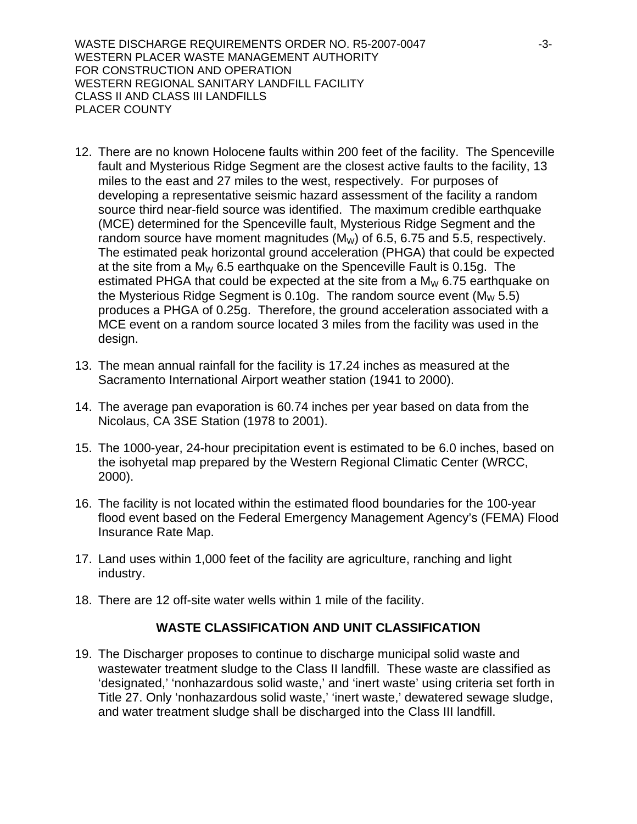WASTE DISCHARGE REQUIREMENTS ORDER NO. R5-2007-0047 -3-3-WESTERN PLACER WASTE MANAGEMENT AUTHORITY FOR CONSTRUCTION AND OPERATION WESTERN REGIONAL SANITARY LANDFILL FACILITY CLASS II AND CLASS III LANDFILLS PLACER COUNTY

- 12. There are no known Holocene faults within 200 feet of the facility. The Spenceville fault and Mysterious Ridge Segment are the closest active faults to the facility, 13 miles to the east and 27 miles to the west, respectively. For purposes of developing a representative seismic hazard assessment of the facility a random source third near-field source was identified. The maximum credible earthquake (MCE) determined for the Spenceville fault, Mysterious Ridge Segment and the random source have moment magnitudes  $(M_W)$  of 6.5, 6.75 and 5.5, respectively. The estimated peak horizontal ground acceleration (PHGA) that could be expected at the site from a  $M_W$  6.5 earthquake on the Spenceville Fault is 0.15g. The estimated PHGA that could be expected at the site from a  $M_W$  6.75 earthquake on the Mysterious Ridge Segment is 0.10g. The random source event ( $M_W$  5.5) produces a PHGA of 0.25g. Therefore, the ground acceleration associated with a MCE event on a random source located 3 miles from the facility was used in the design.
- 13. The mean annual rainfall for the facility is 17.24 inches as measured at the Sacramento International Airport weather station (1941 to 2000).
- 14. The average pan evaporation is 60.74 inches per year based on data from the Nicolaus, CA 3SE Station (1978 to 2001).
- 15. The 1000-year, 24-hour precipitation event is estimated to be 6.0 inches, based on the isohyetal map prepared by the Western Regional Climatic Center (WRCC, 2000).
- 16. The facility is not located within the estimated flood boundaries for the 100-year flood event based on the Federal Emergency Management Agency's (FEMA) Flood Insurance Rate Map.
- 17. Land uses within 1,000 feet of the facility are agriculture, ranching and light industry.
- 18. There are 12 off-site water wells within 1 mile of the facility.

## **WASTE CLASSIFICATION AND UNIT CLASSIFICATION**

19. The Discharger proposes to continue to discharge municipal solid waste and wastewater treatment sludge to the Class II landfill. These waste are classified as 'designated,' 'nonhazardous solid waste,' and 'inert waste' using criteria set forth in Title 27. Only 'nonhazardous solid waste,' 'inert waste,' dewatered sewage sludge, and water treatment sludge shall be discharged into the Class III landfill.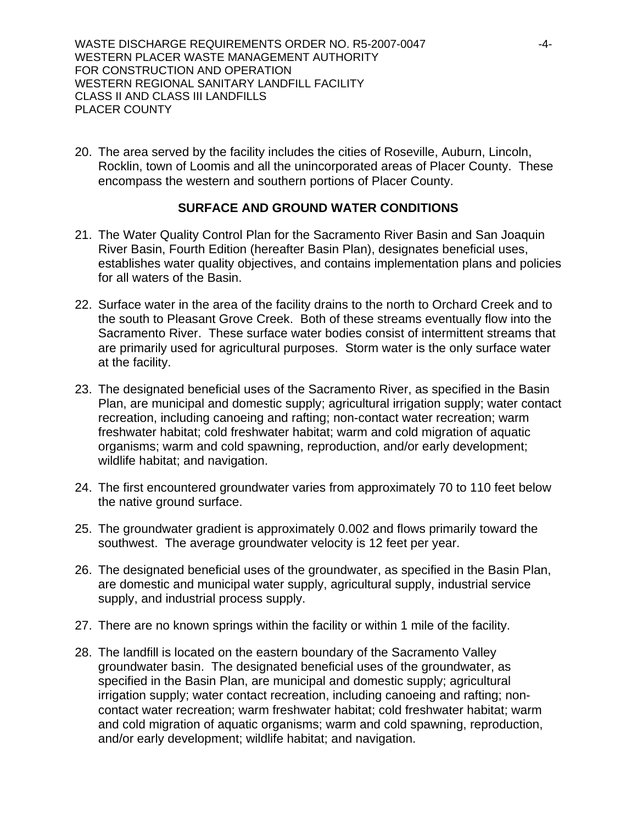WASTE DISCHARGE REQUIREMENTS ORDER NO. R5-2007-0047 ----------------------------WESTERN PLACER WASTE MANAGEMENT AUTHORITY FOR CONSTRUCTION AND OPERATION WESTERN REGIONAL SANITARY LANDFILL FACILITY CLASS II AND CLASS III LANDFILLS PLACER COUNTY

20. The area served by the facility includes the cities of Roseville, Auburn, Lincoln, Rocklin, town of Loomis and all the unincorporated areas of Placer County. These encompass the western and southern portions of Placer County.

## **SURFACE AND GROUND WATER CONDITIONS**

- 21. The Water Quality Control Plan for the Sacramento River Basin and San Joaquin River Basin, Fourth Edition (hereafter Basin Plan), designates beneficial uses, establishes water quality objectives, and contains implementation plans and policies for all waters of the Basin.
- 22. Surface water in the area of the facility drains to the north to Orchard Creek and to the south to Pleasant Grove Creek. Both of these streams eventually flow into the Sacramento River. These surface water bodies consist of intermittent streams that are primarily used for agricultural purposes. Storm water is the only surface water at the facility.
- 23. The designated beneficial uses of the Sacramento River, as specified in the Basin Plan, are municipal and domestic supply; agricultural irrigation supply; water contact recreation, including canoeing and rafting; non-contact water recreation; warm freshwater habitat; cold freshwater habitat; warm and cold migration of aquatic organisms; warm and cold spawning, reproduction, and/or early development; wildlife habitat; and navigation.
- 24. The first encountered groundwater varies from approximately 70 to 110 feet below the native ground surface.
- 25. The groundwater gradient is approximately 0.002 and flows primarily toward the southwest. The average groundwater velocity is 12 feet per year.
- 26. The designated beneficial uses of the groundwater, as specified in the Basin Plan, are domestic and municipal water supply, agricultural supply, industrial service supply, and industrial process supply.
- 27. There are no known springs within the facility or within 1 mile of the facility.
- 28. The landfill is located on the eastern boundary of the Sacramento Valley groundwater basin. The designated beneficial uses of the groundwater, as specified in the Basin Plan, are municipal and domestic supply; agricultural irrigation supply; water contact recreation, including canoeing and rafting; noncontact water recreation; warm freshwater habitat; cold freshwater habitat; warm and cold migration of aquatic organisms; warm and cold spawning, reproduction, and/or early development; wildlife habitat; and navigation.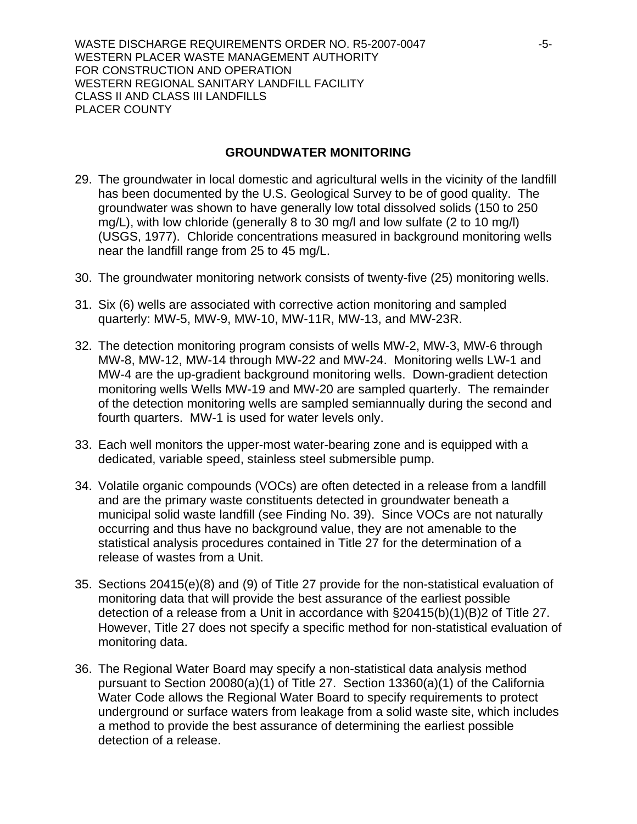WASTE DISCHARGE REQUIREMENTS ORDER NO. R5-2007-0047 -5-WESTERN PLACER WASTE MANAGEMENT AUTHORITY FOR CONSTRUCTION AND OPERATION WESTERN REGIONAL SANITARY LANDFILL FACILITY CLASS II AND CLASS III LANDFILLS PLACER COUNTY

#### **GROUNDWATER MONITORING**

- 29. The groundwater in local domestic and agricultural wells in the vicinity of the landfill has been documented by the U.S. Geological Survey to be of good quality. The groundwater was shown to have generally low total dissolved solids (150 to 250 mg/L), with low chloride (generally 8 to 30 mg/l and low sulfate (2 to 10 mg/l) (USGS, 1977). Chloride concentrations measured in background monitoring wells near the landfill range from 25 to 45 mg/L.
- 30. The groundwater monitoring network consists of twenty-five (25) monitoring wells.
- 31. Six (6) wells are associated with corrective action monitoring and sampled quarterly: MW-5, MW-9, MW-10, MW-11R, MW-13, and MW-23R.
- 32. The detection monitoring program consists of wells MW-2, MW-3, MW-6 through MW-8, MW-12, MW-14 through MW-22 and MW-24. Monitoring wells LW-1 and MW-4 are the up-gradient background monitoring wells. Down-gradient detection monitoring wells Wells MW-19 and MW-20 are sampled quarterly. The remainder of the detection monitoring wells are sampled semiannually during the second and fourth quarters. MW-1 is used for water levels only.
- 33. Each well monitors the upper-most water-bearing zone and is equipped with a dedicated, variable speed, stainless steel submersible pump.
- 34. Volatile organic compounds (VOCs) are often detected in a release from a landfill and are the primary waste constituents detected in groundwater beneath a municipal solid waste landfill (see Finding No. 39). Since VOCs are not naturally occurring and thus have no background value, they are not amenable to the statistical analysis procedures contained in Title 27 for the determination of a release of wastes from a Unit.
- 35. Sections 20415(e)(8) and (9) of Title 27 provide for the non-statistical evaluation of monitoring data that will provide the best assurance of the earliest possible detection of a release from a Unit in accordance with §20415(b)(1)(B)2 of Title 27. However, Title 27 does not specify a specific method for non-statistical evaluation of monitoring data.
- 36. The Regional Water Board may specify a non-statistical data analysis method pursuant to Section 20080(a)(1) of Title 27. Section 13360(a)(1) of the California Water Code allows the Regional Water Board to specify requirements to protect underground or surface waters from leakage from a solid waste site, which includes a method to provide the best assurance of determining the earliest possible detection of a release.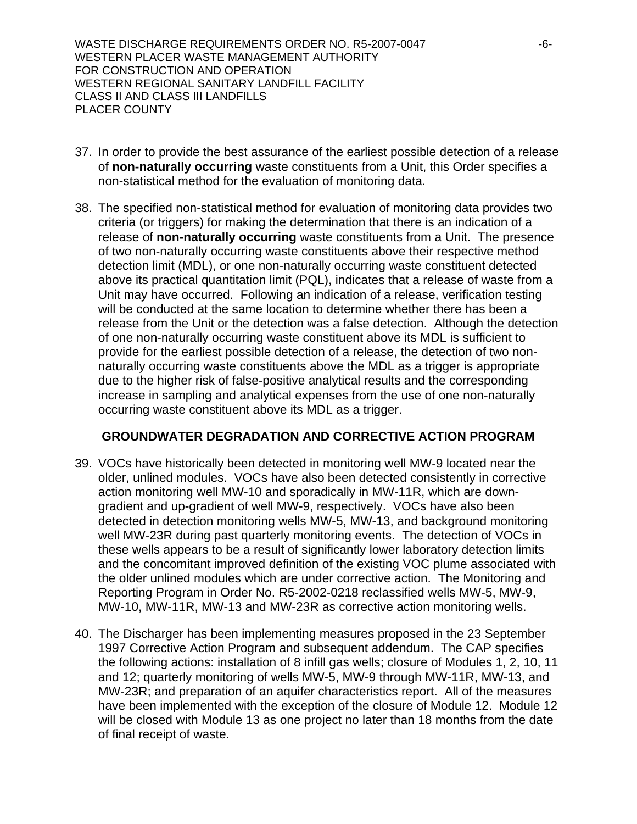WASTE DISCHARGE REQUIREMENTS ORDER NO. R5-2007-0047 WESTERN PLACER WASTE MANAGEMENT AUTHORITY FOR CONSTRUCTION AND OPERATION WESTERN REGIONAL SANITARY LANDFILL FACILITY CLASS II AND CLASS III LANDFILLS PLACER COUNTY

- 37. In order to provide the best assurance of the earliest possible detection of a release of **non-naturally occurring** waste constituents from a Unit, this Order specifies a non-statistical method for the evaluation of monitoring data.
- 38. The specified non-statistical method for evaluation of monitoring data provides two criteria (or triggers) for making the determination that there is an indication of a release of **non-naturally occurring** waste constituents from a Unit. The presence of two non-naturally occurring waste constituents above their respective method detection limit (MDL), or one non-naturally occurring waste constituent detected above its practical quantitation limit (PQL), indicates that a release of waste from a Unit may have occurred. Following an indication of a release, verification testing will be conducted at the same location to determine whether there has been a release from the Unit or the detection was a false detection. Although the detection of one non-naturally occurring waste constituent above its MDL is sufficient to provide for the earliest possible detection of a release, the detection of two nonnaturally occurring waste constituents above the MDL as a trigger is appropriate due to the higher risk of false-positive analytical results and the corresponding increase in sampling and analytical expenses from the use of one non-naturally occurring waste constituent above its MDL as a trigger.

## **GROUNDWATER DEGRADATION AND CORRECTIVE ACTION PROGRAM**

- 39. VOCs have historically been detected in monitoring well MW-9 located near the older, unlined modules. VOCs have also been detected consistently in corrective action monitoring well MW-10 and sporadically in MW-11R, which are downgradient and up-gradient of well MW-9, respectively. VOCs have also been detected in detection monitoring wells MW-5, MW-13, and background monitoring well MW-23R during past quarterly monitoring events. The detection of VOCs in these wells appears to be a result of significantly lower laboratory detection limits and the concomitant improved definition of the existing VOC plume associated with the older unlined modules which are under corrective action. The Monitoring and Reporting Program in Order No. R5-2002-0218 reclassified wells MW-5, MW-9, MW-10, MW-11R, MW-13 and MW-23R as corrective action monitoring wells.
- 40. The Discharger has been implementing measures proposed in the 23 September 1997 Corrective Action Program and subsequent addendum. The CAP specifies the following actions: installation of 8 infill gas wells; closure of Modules 1, 2, 10, 11 and 12; quarterly monitoring of wells MW-5, MW-9 through MW-11R, MW-13, and MW-23R; and preparation of an aquifer characteristics report. All of the measures have been implemented with the exception of the closure of Module 12. Module 12 will be closed with Module 13 as one project no later than 18 months from the date of final receipt of waste.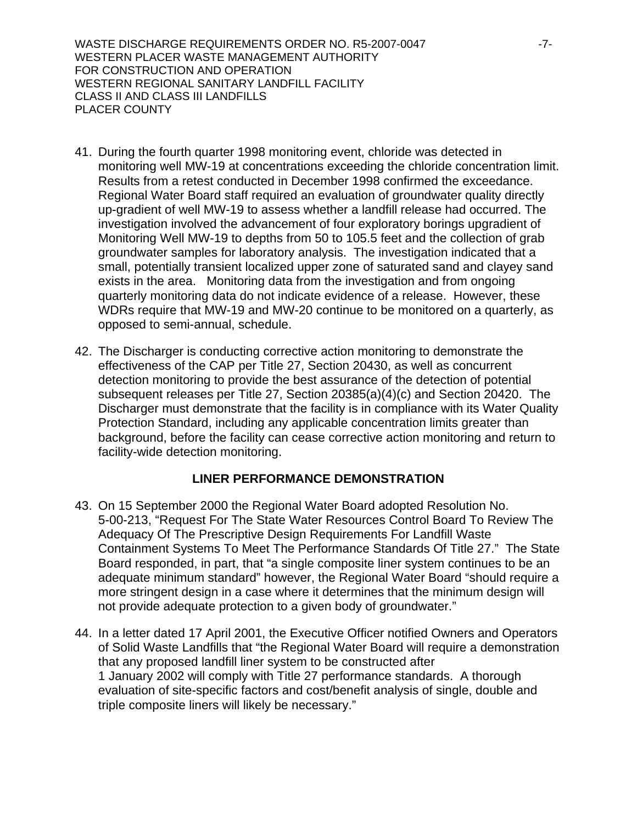WASTE DISCHARGE REQUIREMENTS ORDER NO. R5-2007-0047 -7-WESTERN PLACER WASTE MANAGEMENT AUTHORITY FOR CONSTRUCTION AND OPERATION WESTERN REGIONAL SANITARY LANDFILL FACILITY CLASS II AND CLASS III LANDFILLS PLACER COUNTY

- 41. During the fourth quarter 1998 monitoring event, chloride was detected in monitoring well MW-19 at concentrations exceeding the chloride concentration limit. Results from a retest conducted in December 1998 confirmed the exceedance. Regional Water Board staff required an evaluation of groundwater quality directly up-gradient of well MW-19 to assess whether a landfill release had occurred. The investigation involved the advancement of four exploratory borings upgradient of Monitoring Well MW-19 to depths from 50 to 105.5 feet and the collection of grab groundwater samples for laboratory analysis. The investigation indicated that a small, potentially transient localized upper zone of saturated sand and clayey sand exists in the area. Monitoring data from the investigation and from ongoing quarterly monitoring data do not indicate evidence of a release. However, these WDRs require that MW-19 and MW-20 continue to be monitored on a quarterly, as opposed to semi-annual, schedule.
- 42. The Discharger is conducting corrective action monitoring to demonstrate the effectiveness of the CAP per Title 27, Section 20430, as well as concurrent detection monitoring to provide the best assurance of the detection of potential subsequent releases per Title 27, Section 20385(a)(4)(c) and Section 20420. The Discharger must demonstrate that the facility is in compliance with its Water Quality Protection Standard, including any applicable concentration limits greater than background, before the facility can cease corrective action monitoring and return to facility-wide detection monitoring.

## **LINER PERFORMANCE DEMONSTRATION**

- 43. On 15 September 2000 the Regional Water Board adopted Resolution No. 5-00-213, "Request For The State Water Resources Control Board To Review The Adequacy Of The Prescriptive Design Requirements For Landfill Waste Containment Systems To Meet The Performance Standards Of Title 27." The State Board responded, in part, that "a single composite liner system continues to be an adequate minimum standard" however, the Regional Water Board "should require a more stringent design in a case where it determines that the minimum design will not provide adequate protection to a given body of groundwater."
- 44. In a letter dated 17 April 2001, the Executive Officer notified Owners and Operators of Solid Waste Landfills that "the Regional Water Board will require a demonstration that any proposed landfill liner system to be constructed after 1 January 2002 will comply with Title 27 performance standards. A thorough evaluation of site-specific factors and cost/benefit analysis of single, double and triple composite liners will likely be necessary."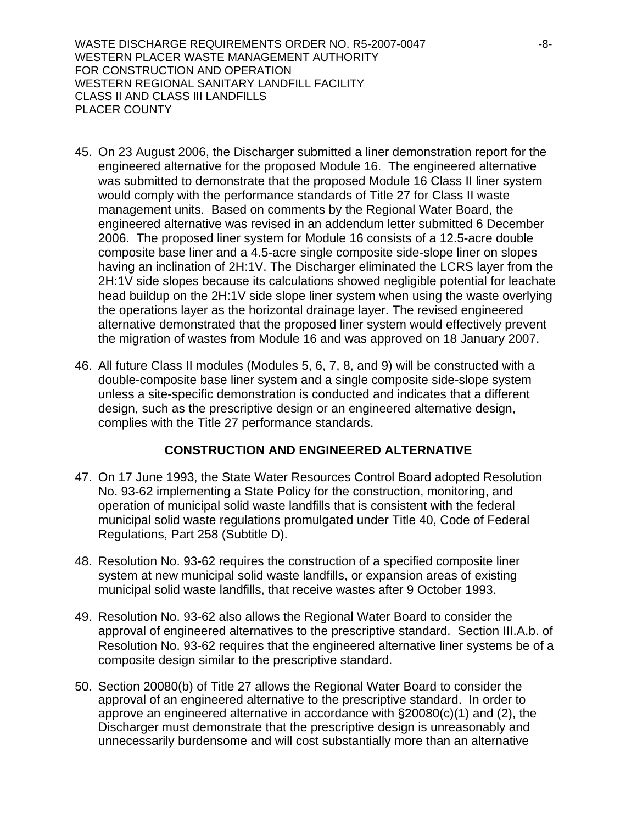WASTE DISCHARGE REQUIREMENTS ORDER NO. R5-2007-0047 -8-WESTERN PLACER WASTE MANAGEMENT AUTHORITY FOR CONSTRUCTION AND OPERATION WESTERN REGIONAL SANITARY LANDFILL FACILITY CLASS II AND CLASS III LANDFILLS PLACER COUNTY

- 45. On 23 August 2006, the Discharger submitted a liner demonstration report for the engineered alternative for the proposed Module 16. The engineered alternative was submitted to demonstrate that the proposed Module 16 Class II liner system would comply with the performance standards of Title 27 for Class II waste management units. Based on comments by the Regional Water Board, the engineered alternative was revised in an addendum letter submitted 6 December 2006. The proposed liner system for Module 16 consists of a 12.5-acre double composite base liner and a 4.5-acre single composite side-slope liner on slopes having an inclination of 2H:1V. The Discharger eliminated the LCRS layer from the 2H:1V side slopes because its calculations showed negligible potential for leachate head buildup on the 2H:1V side slope liner system when using the waste overlying the operations layer as the horizontal drainage layer. The revised engineered alternative demonstrated that the proposed liner system would effectively prevent the migration of wastes from Module 16 and was approved on 18 January 2007.
- 46. All future Class II modules (Modules 5, 6, 7, 8, and 9) will be constructed with a double-composite base liner system and a single composite side-slope system unless a site-specific demonstration is conducted and indicates that a different design, such as the prescriptive design or an engineered alternative design, complies with the Title 27 performance standards.

## **CONSTRUCTION AND ENGINEERED ALTERNATIVE**

- 47. On 17 June 1993, the State Water Resources Control Board adopted Resolution No. 93-62 implementing a State Policy for the construction, monitoring, and operation of municipal solid waste landfills that is consistent with the federal municipal solid waste regulations promulgated under Title 40, Code of Federal Regulations, Part 258 (Subtitle D).
- 48. Resolution No. 93-62 requires the construction of a specified composite liner system at new municipal solid waste landfills, or expansion areas of existing municipal solid waste landfills, that receive wastes after 9 October 1993.
- 49. Resolution No. 93-62 also allows the Regional Water Board to consider the approval of engineered alternatives to the prescriptive standard. Section III.A.b. of Resolution No. 93-62 requires that the engineered alternative liner systems be of a composite design similar to the prescriptive standard.
- 50. Section 20080(b) of Title 27 allows the Regional Water Board to consider the approval of an engineered alternative to the prescriptive standard. In order to approve an engineered alternative in accordance with §20080(c)(1) and (2), the Discharger must demonstrate that the prescriptive design is unreasonably and unnecessarily burdensome and will cost substantially more than an alternative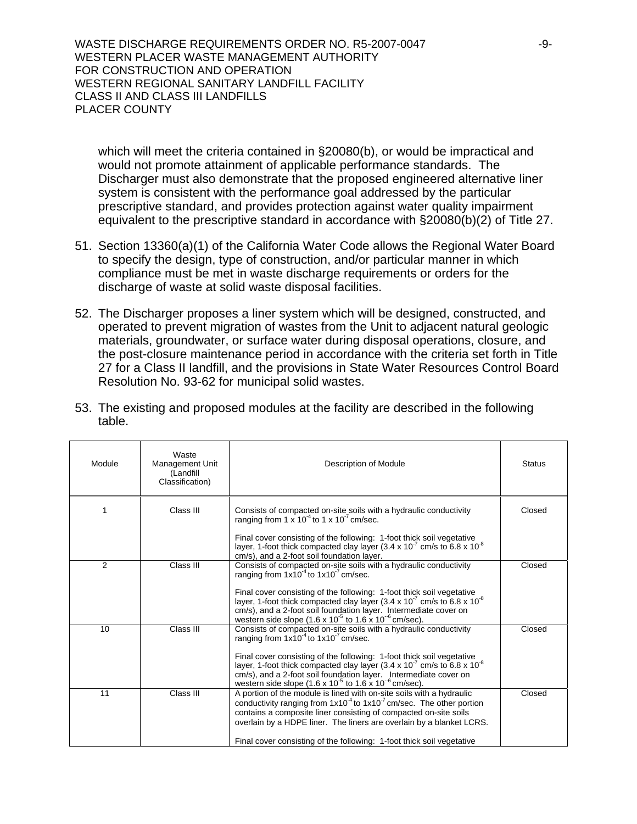WASTE DISCHARGE REQUIREMENTS ORDER NO. R5-2007-0047 -9-WESTERN PLACER WASTE MANAGEMENT AUTHORITY FOR CONSTRUCTION AND OPERATION WESTERN REGIONAL SANITARY LANDFILL FACILITY CLASS II AND CLASS III LANDFILLS PLACER COUNTY

which will meet the criteria contained in §20080(b), or would be impractical and would not promote attainment of applicable performance standards. The Discharger must also demonstrate that the proposed engineered alternative liner system is consistent with the performance goal addressed by the particular prescriptive standard, and provides protection against water quality impairment equivalent to the prescriptive standard in accordance with §20080(b)(2) of Title 27.

- 51. Section 13360(a)(1) of the California Water Code allows the Regional Water Board to specify the design, type of construction, and/or particular manner in which compliance must be met in waste discharge requirements or orders for the discharge of waste at solid waste disposal facilities.
- 52. The Discharger proposes a liner system which will be designed, constructed, and operated to prevent migration of wastes from the Unit to adjacent natural geologic materials, groundwater, or surface water during disposal operations, closure, and the post-closure maintenance period in accordance with the criteria set forth in Title 27 for a Class II landfill, and the provisions in State Water Resources Control Board Resolution No. 93-62 for municipal solid wastes.

| Module         | Waste<br><b>Management Unit</b><br>(Landfill<br>Classification) | Description of Module                                                                                                                                                                                                                                                                                                                                                       | <b>Status</b> |
|----------------|-----------------------------------------------------------------|-----------------------------------------------------------------------------------------------------------------------------------------------------------------------------------------------------------------------------------------------------------------------------------------------------------------------------------------------------------------------------|---------------|
|                | Class III                                                       | Consists of compacted on-site soils with a hydraulic conductivity<br>ranging from $1 \times 10^{-4}$ to $1 \times 10^{-7}$ cm/sec.                                                                                                                                                                                                                                          | Closed        |
|                |                                                                 | Final cover consisting of the following: 1-foot thick soil vegetative<br>layer, 1-foot thick compacted clay layer (3.4 x 10 <sup>-7</sup> cm/s to 6.8 x 10 <sup>-8</sup><br>cm/s), and a 2-foot soil foundation layer.                                                                                                                                                      |               |
| $\mathfrak{p}$ | Class III                                                       | Consists of compacted on-site soils with a hydraulic conductivity<br>ranging from $1x10^4$ to $1x10^7$ cm/sec.                                                                                                                                                                                                                                                              | Closed        |
|                |                                                                 | Final cover consisting of the following: 1-foot thick soil vegetative<br>layer, 1-foot thick compacted clay layer (3.4 x 10 $^7$ cm/s to 6.8 x 10 $^8$<br>cm/s), and a 2-foot soil foundation layer. Intermediate cover on<br>western side slope (1.6 x $10^{-5}$ to 1.6 x $10^{-6}$ cm/sec).                                                                               |               |
| 10             | Class III                                                       | Consists of compacted on-site soils with a hydraulic conductivity<br>ranging from $1x10^4$ to $1x10^7$ cm/sec.                                                                                                                                                                                                                                                              | Closed        |
|                |                                                                 | Final cover consisting of the following: 1-foot thick soil vegetative<br>layer, 1-foot thick compacted clay layer (3.4 x 10 <sup>-7</sup> cm/s to 6.8 x 10 <sup>-8</sup><br>cm/s), and a 2-foot soil foundation layer. Intermediate cover on<br>western side slope $(1.6 \times 10^{-5} \text{ to } 1.6 \times 10^{-6} \text{ cm/sec}).$                                    |               |
| 11             | Class III                                                       | A portion of the module is lined with on-site soils with a hydraulic<br>conductivity ranging from $1x10^{-4}$ to $1x10^{-7}$ cm/sec. The other portion<br>contains a composite liner consisting of compacted on-site soils<br>overlain by a HDPE liner. The liners are overlain by a blanket LCRS.<br>Final cover consisting of the following: 1-foot thick soil vegetative | Closed        |

53. The existing and proposed modules at the facility are described in the following table.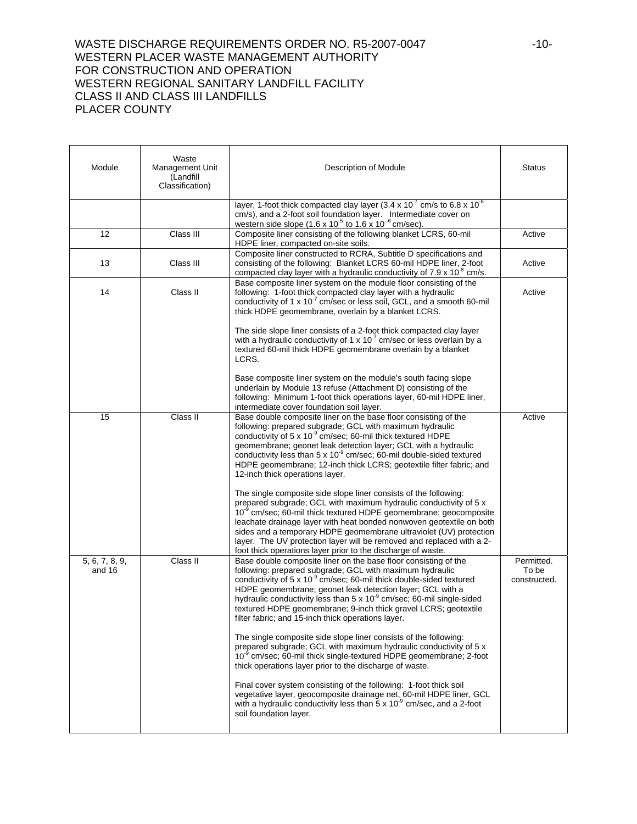#### WASTE DISCHARGE REQUIREMENTS ORDER NO. R5-2007-0047 -10-WESTERN PLACER WASTE MANAGEMENT AUTHORITY FOR CONSTRUCTION AND OPERATION WESTERN REGIONAL SANITARY LANDFILL FACILITY CLASS II AND CLASS III LANDFILLS PLACER COUNTY

| Module                   | Waste<br>Management Unit<br>(Landfill<br>Classification) | Description of Module                                                                                                                                                                                                                                                                                                                                                                                                                                                                                                                                                                                                                                                                                                                                                                                                                                                                                                                                                                                                                    | <b>Status</b>                       |
|--------------------------|----------------------------------------------------------|------------------------------------------------------------------------------------------------------------------------------------------------------------------------------------------------------------------------------------------------------------------------------------------------------------------------------------------------------------------------------------------------------------------------------------------------------------------------------------------------------------------------------------------------------------------------------------------------------------------------------------------------------------------------------------------------------------------------------------------------------------------------------------------------------------------------------------------------------------------------------------------------------------------------------------------------------------------------------------------------------------------------------------------|-------------------------------------|
|                          |                                                          | layer, 1-foot thick compacted clay layer $(3.4 \times 10^{-7} \text{ cm/s to } 6.8 \times 10^{-8} \text{ m})$<br>cm/s), and a 2-foot soil foundation layer. Intermediate cover on<br>western side slope $(1.6 \times 10^{-5} \text{ to } 1.6 \times 10^{-6} \text{ cm/sec}).$                                                                                                                                                                                                                                                                                                                                                                                                                                                                                                                                                                                                                                                                                                                                                            |                                     |
| 12                       | Class III                                                | Composite liner consisting of the following blanket LCRS, 60-mil<br>HDPE liner, compacted on-site soils.                                                                                                                                                                                                                                                                                                                                                                                                                                                                                                                                                                                                                                                                                                                                                                                                                                                                                                                                 | Active                              |
| 13                       | Class III                                                | Composite liner constructed to RCRA, Subtitle D specifications and<br>consisting of the following: Blanket LCRS 60-mil HDPE liner, 2-foot<br>compacted clay layer with a hydraulic conductivity of $7.9 \times 10^{-8}$ cm/s.                                                                                                                                                                                                                                                                                                                                                                                                                                                                                                                                                                                                                                                                                                                                                                                                            | Active                              |
| 14                       | Class II                                                 | Base composite liner system on the module floor consisting of the<br>following: 1-foot thick compacted clay layer with a hydraulic<br>conductivity of 1 x 10 <sup>-7</sup> cm/sec or less soil, GCL, and a smooth 60-mil<br>thick HDPE geomembrane, overlain by a blanket LCRS.                                                                                                                                                                                                                                                                                                                                                                                                                                                                                                                                                                                                                                                                                                                                                          | Active                              |
|                          |                                                          | The side slope liner consists of a 2-foot thick compacted clay layer<br>with a hydraulic conductivity of 1 x $10^{-7}$ cm/sec or less overlain by a<br>textured 60-mil thick HDPE geomembrane overlain by a blanket<br>LCRS.                                                                                                                                                                                                                                                                                                                                                                                                                                                                                                                                                                                                                                                                                                                                                                                                             |                                     |
|                          |                                                          | Base composite liner system on the module's south facing slope<br>underlain by Module 13 refuse (Attachment D) consisting of the<br>following: Minimum 1-foot thick operations layer, 60-mil HDPE liner,<br>intermediate cover foundation soil layer.                                                                                                                                                                                                                                                                                                                                                                                                                                                                                                                                                                                                                                                                                                                                                                                    |                                     |
| 15                       | Class II                                                 | Base double composite liner on the base floor consisting of the<br>following: prepared subgrade; GCL with maximum hydraulic<br>conductivity of 5 x 10 <sup>-9</sup> cm/sec; 60-mil thick textured HDPE<br>geomembrane; geonet leak detection layer; GCL with a hydraulic<br>conductivity less than $5 \times 10^{-9}$ cm/sec; 60-mil double-sided textured<br>HDPE geomembrane; 12-inch thick LCRS; geotextile filter fabric; and<br>12-inch thick operations layer.                                                                                                                                                                                                                                                                                                                                                                                                                                                                                                                                                                     | Active                              |
|                          |                                                          | The single composite side slope liner consists of the following:<br>prepared subgrade; GCL with maximum hydraulic conductivity of 5 x<br>10 <sup>-9</sup> cm/sec; 60-mil thick textured HDPE geomembrane; geocomposite<br>leachate drainage layer with heat bonded nonwoven geotextile on both<br>sides and a temporary HDPE geomembrane ultraviolet (UV) protection<br>layer. The UV protection layer will be removed and replaced with a 2-<br>foot thick operations layer prior to the discharge of waste.                                                                                                                                                                                                                                                                                                                                                                                                                                                                                                                            |                                     |
| 5, 6, 7, 8, 9,<br>and 16 | Class II                                                 | Base double composite liner on the base floor consisting of the<br>following: prepared subgrade; GCL with maximum hydraulic<br>conductivity of 5 x 10 <sup>-9</sup> cm/sec; 60-mil thick double-sided textured<br>HDPE geomembrane; geonet leak detection layer; GCL with a<br>hydraulic conductivity less than 5 x 10 <sup>-9</sup> cm/sec; 60-mil single-sided<br>textured HDPE geomembrane; 9-inch thick gravel LCRS; geotextile<br>filter fabric; and 15-inch thick operations layer.<br>The single composite side slope liner consists of the following:<br>prepared subgrade; GCL with maximum hydraulic conductivity of 5 x<br>10 <sup>-9</sup> cm/sec; 60-mil thick single-textured HDPE geomembrane; 2-foot<br>thick operations layer prior to the discharge of waste.<br>Final cover system consisting of the following: 1-foot thick soil<br>vegetative layer, geocomposite drainage net, 60-mil HDPE liner, GCL<br>with a hydraulic conductivity less than $5 \times 10^{-9}$ cm/sec, and a 2-foot<br>soil foundation layer. | Permitted.<br>To be<br>constructed. |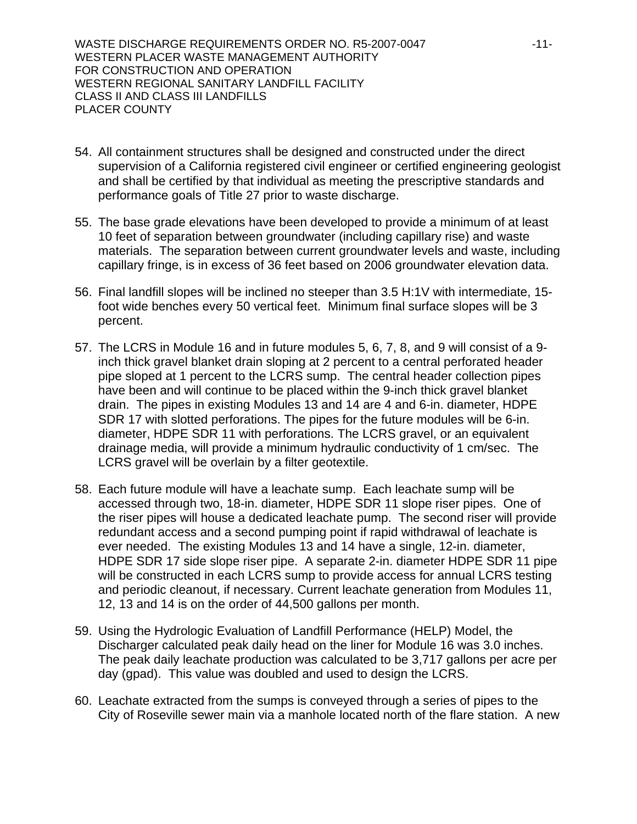WASTE DISCHARGE REQUIREMENTS ORDER NO. R5-2007-0047 **All Accord Participal Accord Participal Accord Participal A** WESTERN PLACER WASTE MANAGEMENT AUTHORITY FOR CONSTRUCTION AND OPERATION WESTERN REGIONAL SANITARY LANDFILL FACILITY CLASS II AND CLASS III LANDFILLS PLACER COUNTY

- 54. All containment structures shall be designed and constructed under the direct supervision of a California registered civil engineer or certified engineering geologist and shall be certified by that individual as meeting the prescriptive standards and performance goals of Title 27 prior to waste discharge.
- 55. The base grade elevations have been developed to provide a minimum of at least 10 feet of separation between groundwater (including capillary rise) and waste materials. The separation between current groundwater levels and waste, including capillary fringe, is in excess of 36 feet based on 2006 groundwater elevation data.
- 56. Final landfill slopes will be inclined no steeper than 3.5 H:1V with intermediate, 15 foot wide benches every 50 vertical feet. Minimum final surface slopes will be 3 percent.
- 57. The LCRS in Module 16 and in future modules 5, 6, 7, 8, and 9 will consist of a 9 inch thick gravel blanket drain sloping at 2 percent to a central perforated header pipe sloped at 1 percent to the LCRS sump. The central header collection pipes have been and will continue to be placed within the 9-inch thick gravel blanket drain. The pipes in existing Modules 13 and 14 are 4 and 6-in. diameter, HDPE SDR 17 with slotted perforations. The pipes for the future modules will be 6-in. diameter, HDPE SDR 11 with perforations. The LCRS gravel, or an equivalent drainage media, will provide a minimum hydraulic conductivity of 1 cm/sec. The LCRS gravel will be overlain by a filter geotextile.
- 58. Each future module will have a leachate sump. Each leachate sump will be accessed through two, 18-in. diameter, HDPE SDR 11 slope riser pipes. One of the riser pipes will house a dedicated leachate pump. The second riser will provide redundant access and a second pumping point if rapid withdrawal of leachate is ever needed. The existing Modules 13 and 14 have a single, 12-in. diameter, HDPE SDR 17 side slope riser pipe. A separate 2-in. diameter HDPE SDR 11 pipe will be constructed in each LCRS sump to provide access for annual LCRS testing and periodic cleanout, if necessary. Current leachate generation from Modules 11, 12, 13 and 14 is on the order of 44,500 gallons per month.
- 59. Using the Hydrologic Evaluation of Landfill Performance (HELP) Model, the Discharger calculated peak daily head on the liner for Module 16 was 3.0 inches. The peak daily leachate production was calculated to be 3,717 gallons per acre per day (gpad). This value was doubled and used to design the LCRS.
- 60. Leachate extracted from the sumps is conveyed through a series of pipes to the City of Roseville sewer main via a manhole located north of the flare station. A new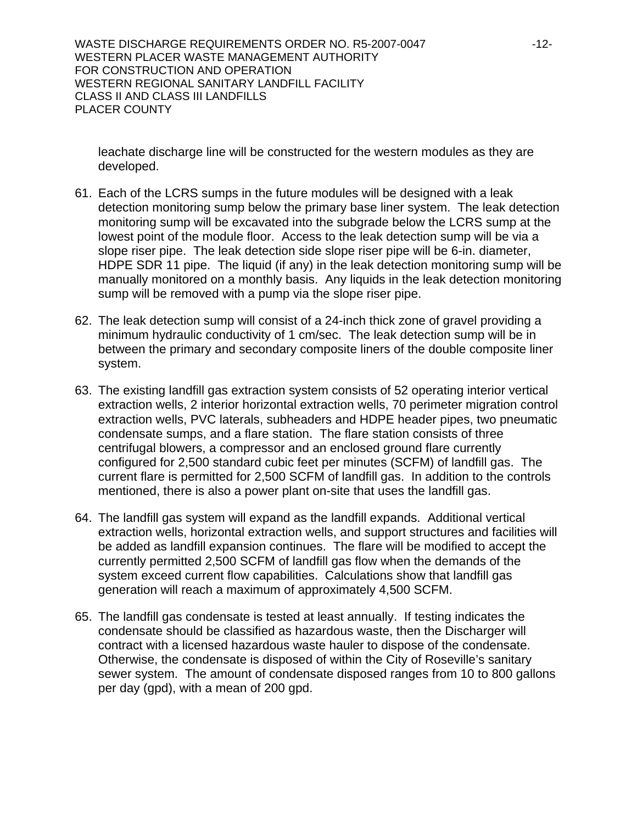WASTE DISCHARGE REQUIREMENTS ORDER NO. R5-2007-0047 -12-WESTERN PLACER WASTE MANAGEMENT AUTHORITY FOR CONSTRUCTION AND OPERATION WESTERN REGIONAL SANITARY LANDFILL FACILITY CLASS II AND CLASS III LANDFILLS PLACER COUNTY

leachate discharge line will be constructed for the western modules as they are developed.

- 61. Each of the LCRS sumps in the future modules will be designed with a leak detection monitoring sump below the primary base liner system. The leak detection monitoring sump will be excavated into the subgrade below the LCRS sump at the lowest point of the module floor. Access to the leak detection sump will be via a slope riser pipe. The leak detection side slope riser pipe will be 6-in. diameter, HDPE SDR 11 pipe. The liquid (if any) in the leak detection monitoring sump will be manually monitored on a monthly basis. Any liquids in the leak detection monitoring sump will be removed with a pump via the slope riser pipe.
- 62. The leak detection sump will consist of a 24-inch thick zone of gravel providing a minimum hydraulic conductivity of 1 cm/sec. The leak detection sump will be in between the primary and secondary composite liners of the double composite liner system.
- 63. The existing landfill gas extraction system consists of 52 operating interior vertical extraction wells, 2 interior horizontal extraction wells, 70 perimeter migration control extraction wells, PVC laterals, subheaders and HDPE header pipes, two pneumatic condensate sumps, and a flare station. The flare station consists of three centrifugal blowers, a compressor and an enclosed ground flare currently configured for 2,500 standard cubic feet per minutes (SCFM) of landfill gas. The current flare is permitted for 2,500 SCFM of landfill gas. In addition to the controls mentioned, there is also a power plant on-site that uses the landfill gas.
- 64. The landfill gas system will expand as the landfill expands. Additional vertical extraction wells, horizontal extraction wells, and support structures and facilities will be added as landfill expansion continues. The flare will be modified to accept the currently permitted 2,500 SCFM of landfill gas flow when the demands of the system exceed current flow capabilities. Calculations show that landfill gas generation will reach a maximum of approximately 4,500 SCFM.
- 65. The landfill gas condensate is tested at least annually. If testing indicates the condensate should be classified as hazardous waste, then the Discharger will contract with a licensed hazardous waste hauler to dispose of the condensate. Otherwise, the condensate is disposed of within the City of Roseville's sanitary sewer system. The amount of condensate disposed ranges from 10 to 800 gallons per day (gpd), with a mean of 200 gpd.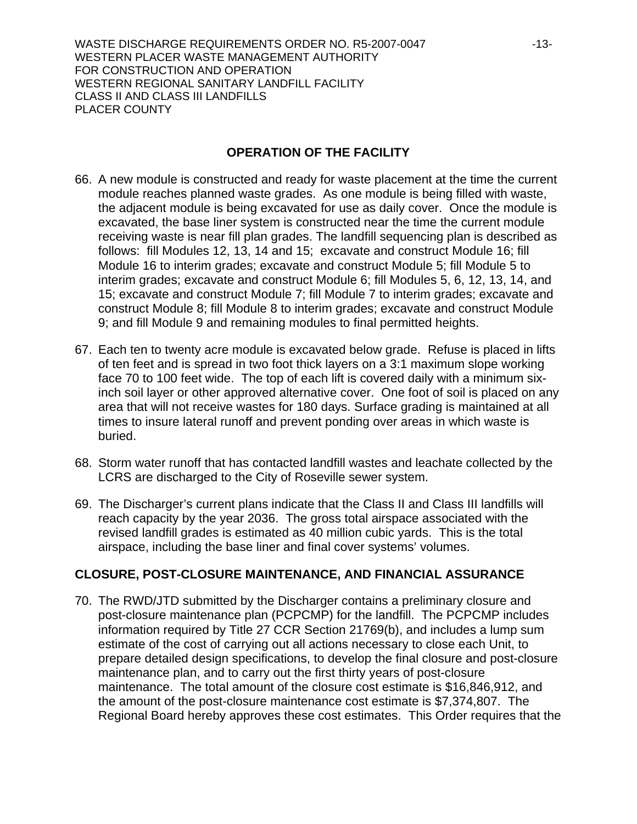WASTE DISCHARGE REQUIREMENTS ORDER NO. R5-2007-0047 -13-WESTERN PLACER WASTE MANAGEMENT AUTHORITY FOR CONSTRUCTION AND OPERATION WESTERN REGIONAL SANITARY LANDFILL FACILITY CLASS II AND CLASS III LANDFILLS PLACER COUNTY

## **OPERATION OF THE FACILITY**

- 66. A new module is constructed and ready for waste placement at the time the current module reaches planned waste grades. As one module is being filled with waste, the adjacent module is being excavated for use as daily cover. Once the module is excavated, the base liner system is constructed near the time the current module receiving waste is near fill plan grades. The landfill sequencing plan is described as follows: fill Modules 12, 13, 14 and 15; excavate and construct Module 16; fill Module 16 to interim grades; excavate and construct Module 5; fill Module 5 to interim grades; excavate and construct Module 6; fill Modules 5, 6, 12, 13, 14, and 15; excavate and construct Module 7; fill Module 7 to interim grades; excavate and construct Module 8; fill Module 8 to interim grades; excavate and construct Module 9; and fill Module 9 and remaining modules to final permitted heights.
- 67. Each ten to twenty acre module is excavated below grade. Refuse is placed in lifts of ten feet and is spread in two foot thick layers on a 3:1 maximum slope working face 70 to 100 feet wide. The top of each lift is covered daily with a minimum sixinch soil layer or other approved alternative cover. One foot of soil is placed on any area that will not receive wastes for 180 days. Surface grading is maintained at all times to insure lateral runoff and prevent ponding over areas in which waste is buried.
- 68. Storm water runoff that has contacted landfill wastes and leachate collected by the LCRS are discharged to the City of Roseville sewer system.
- 69. The Discharger's current plans indicate that the Class II and Class III landfills will reach capacity by the year 2036. The gross total airspace associated with the revised landfill grades is estimated as 40 million cubic yards. This is the total airspace, including the base liner and final cover systems' volumes.

## **CLOSURE, POST-CLOSURE MAINTENANCE, AND FINANCIAL ASSURANCE**

70. The RWD/JTD submitted by the Discharger contains a preliminary closure and post-closure maintenance plan (PCPCMP) for the landfill. The PCPCMP includes information required by Title 27 CCR Section 21769(b), and includes a lump sum estimate of the cost of carrying out all actions necessary to close each Unit, to prepare detailed design specifications, to develop the final closure and post-closure maintenance plan, and to carry out the first thirty years of post-closure maintenance. The total amount of the closure cost estimate is \$16,846,912, and the amount of the post-closure maintenance cost estimate is \$7,374,807. The Regional Board hereby approves these cost estimates. This Order requires that the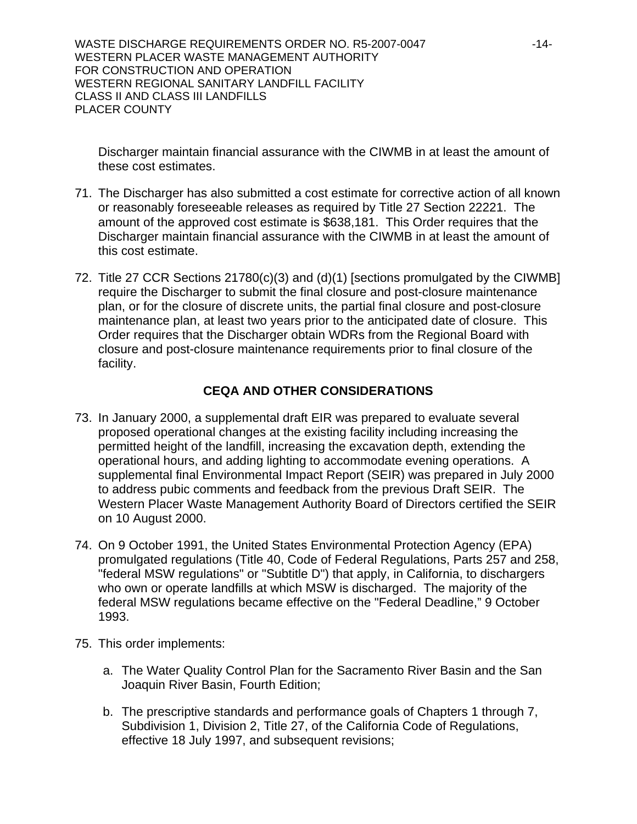WASTE DISCHARGE REQUIREMENTS ORDER NO. R5-2007-0047 -14-WESTERN PLACER WASTE MANAGEMENT AUTHORITY FOR CONSTRUCTION AND OPERATION WESTERN REGIONAL SANITARY LANDFILL FACILITY CLASS II AND CLASS III LANDFILLS PLACER COUNTY

Discharger maintain financial assurance with the CIWMB in at least the amount of these cost estimates.

- 71. The Discharger has also submitted a cost estimate for corrective action of all known or reasonably foreseeable releases as required by Title 27 Section 22221. The amount of the approved cost estimate is \$638,181. This Order requires that the Discharger maintain financial assurance with the CIWMB in at least the amount of this cost estimate.
- 72. Title 27 CCR Sections 21780(c)(3) and (d)(1) [sections promulgated by the CIWMB] require the Discharger to submit the final closure and post-closure maintenance plan, or for the closure of discrete units, the partial final closure and post-closure maintenance plan, at least two years prior to the anticipated date of closure. This Order requires that the Discharger obtain WDRs from the Regional Board with closure and post-closure maintenance requirements prior to final closure of the facility.

# **CEQA AND OTHER CONSIDERATIONS**

- 73. In January 2000, a supplemental draft EIR was prepared to evaluate several proposed operational changes at the existing facility including increasing the permitted height of the landfill, increasing the excavation depth, extending the operational hours, and adding lighting to accommodate evening operations. A supplemental final Environmental Impact Report (SEIR) was prepared in July 2000 to address pubic comments and feedback from the previous Draft SEIR. The Western Placer Waste Management Authority Board of Directors certified the SEIR on 10 August 2000.
- 74. On 9 October 1991, the United States Environmental Protection Agency (EPA) promulgated regulations (Title 40, Code of Federal Regulations, Parts 257 and 258, "federal MSW regulations" or "Subtitle D") that apply, in California, to dischargers who own or operate landfills at which MSW is discharged. The majority of the federal MSW regulations became effective on the "Federal Deadline," 9 October 1993.
- 75. This order implements:
	- a. The Water Quality Control Plan for the Sacramento River Basin and the San Joaquin River Basin, Fourth Edition;
	- b. The prescriptive standards and performance goals of Chapters 1 through 7, Subdivision 1, Division 2, Title 27, of the California Code of Regulations, effective 18 July 1997, and subsequent revisions;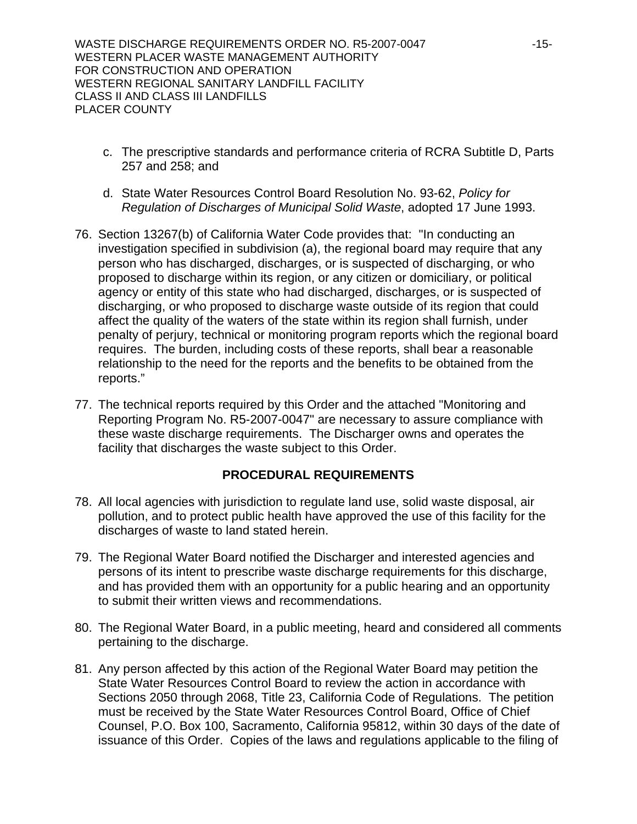WASTE DISCHARGE REQUIREMENTS ORDER NO. R5-2007-0047 -15-WESTERN PLACER WASTE MANAGEMENT AUTHORITY FOR CONSTRUCTION AND OPERATION WESTERN REGIONAL SANITARY LANDFILL FACILITY CLASS II AND CLASS III LANDFILLS PLACER COUNTY

- c. The prescriptive standards and performance criteria of RCRA Subtitle D, Parts 257 and 258; and
- d. State Water Resources Control Board Resolution No. 93-62, *Policy for Regulation of Discharges of Municipal Solid Waste*, adopted 17 June 1993.
- 76. Section 13267(b) of California Water Code provides that: "In conducting an investigation specified in subdivision (a), the regional board may require that any person who has discharged, discharges, or is suspected of discharging, or who proposed to discharge within its region, or any citizen or domiciliary, or political agency or entity of this state who had discharged, discharges, or is suspected of discharging, or who proposed to discharge waste outside of its region that could affect the quality of the waters of the state within its region shall furnish, under penalty of perjury, technical or monitoring program reports which the regional board requires. The burden, including costs of these reports, shall bear a reasonable relationship to the need for the reports and the benefits to be obtained from the reports."
- 77. The technical reports required by this Order and the attached "Monitoring and Reporting Program No. R5-2007-0047" are necessary to assure compliance with these waste discharge requirements. The Discharger owns and operates the facility that discharges the waste subject to this Order.

## **PROCEDURAL REQUIREMENTS**

- 78. All local agencies with jurisdiction to regulate land use, solid waste disposal, air pollution, and to protect public health have approved the use of this facility for the discharges of waste to land stated herein.
- 79. The Regional Water Board notified the Discharger and interested agencies and persons of its intent to prescribe waste discharge requirements for this discharge, and has provided them with an opportunity for a public hearing and an opportunity to submit their written views and recommendations.
- 80. The Regional Water Board, in a public meeting, heard and considered all comments pertaining to the discharge.
- 81. Any person affected by this action of the Regional Water Board may petition the State Water Resources Control Board to review the action in accordance with Sections 2050 through 2068, Title 23, California Code of Regulations. The petition must be received by the State Water Resources Control Board, Office of Chief Counsel, P.O. Box 100, Sacramento, California 95812, within 30 days of the date of issuance of this Order. Copies of the laws and regulations applicable to the filing of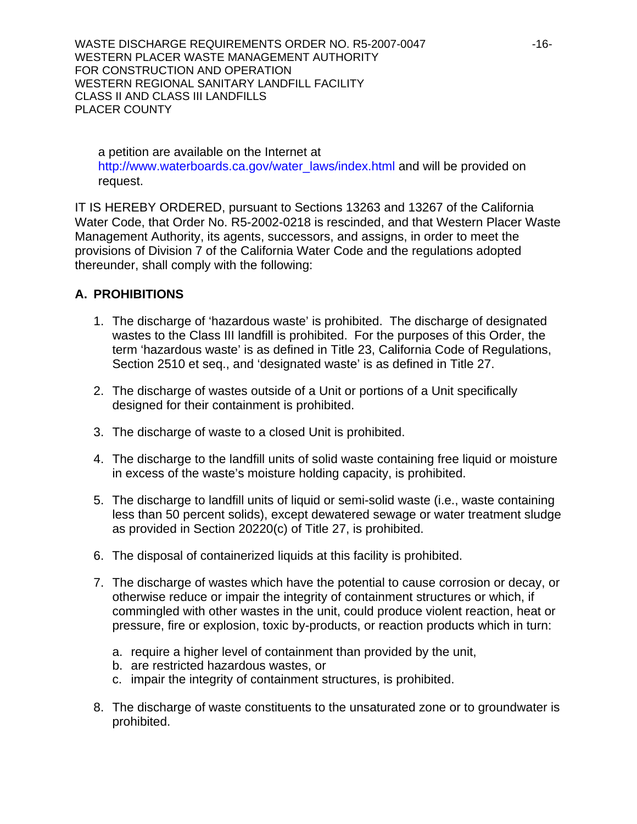WASTE DISCHARGE REQUIREMENTS ORDER NO. R5-2007-0047 -16-WESTERN PLACER WASTE MANAGEMENT AUTHORITY FOR CONSTRUCTION AND OPERATION WESTERN REGIONAL SANITARY LANDFILL FACILITY CLASS II AND CLASS III LANDFILLS PLACER COUNTY

a petition are available on the Internet at http://www.waterboards.ca.gov/water\_laws/index.html and will be provided on request.

IT IS HEREBY ORDERED, pursuant to Sections 13263 and 13267 of the California Water Code, that Order No. R5-2002-0218 is rescinded, and that Western Placer Waste Management Authority, its agents, successors, and assigns, in order to meet the provisions of Division 7 of the California Water Code and the regulations adopted thereunder, shall comply with the following:

# **A. PROHIBITIONS**

- 1. The discharge of 'hazardous waste' is prohibited. The discharge of designated wastes to the Class III landfill is prohibited. For the purposes of this Order, the term 'hazardous waste' is as defined in Title 23, California Code of Regulations, Section 2510 et seq., and 'designated waste' is as defined in Title 27.
- 2. The discharge of wastes outside of a Unit or portions of a Unit specifically designed for their containment is prohibited.
- 3. The discharge of waste to a closed Unit is prohibited.
- 4. The discharge to the landfill units of solid waste containing free liquid or moisture in excess of the waste's moisture holding capacity, is prohibited.
- 5. The discharge to landfill units of liquid or semi-solid waste (i.e., waste containing less than 50 percent solids), except dewatered sewage or water treatment sludge as provided in Section 20220(c) of Title 27, is prohibited.
- 6. The disposal of containerized liquids at this facility is prohibited.
- 7. The discharge of wastes which have the potential to cause corrosion or decay, or otherwise reduce or impair the integrity of containment structures or which, if commingled with other wastes in the unit, could produce violent reaction, heat or pressure, fire or explosion, toxic by-products, or reaction products which in turn:
	- a. require a higher level of containment than provided by the unit,
	- b. are restricted hazardous wastes, or
	- c. impair the integrity of containment structures, is prohibited.
- 8. The discharge of waste constituents to the unsaturated zone or to groundwater is prohibited.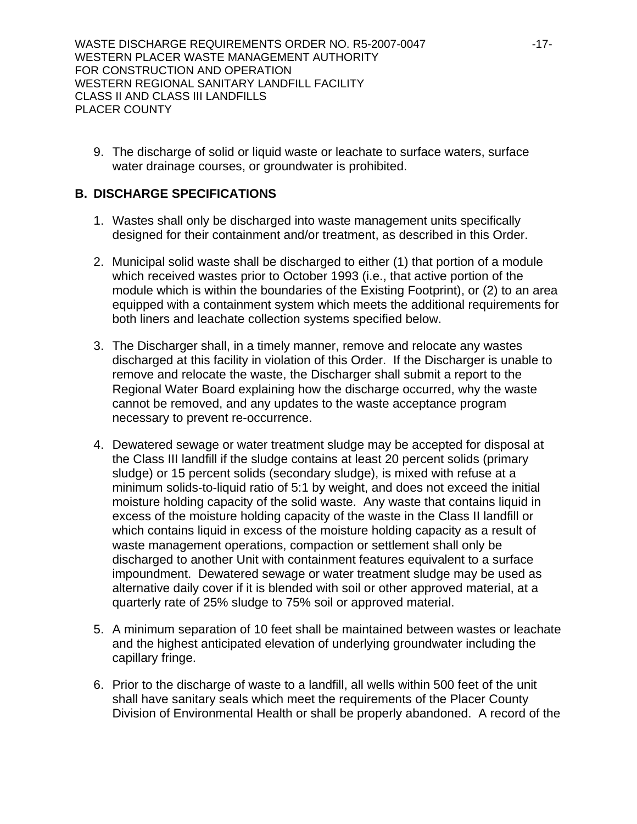9. The discharge of solid or liquid waste or leachate to surface waters, surface water drainage courses, or groundwater is prohibited.

# **B. DISCHARGE SPECIFICATIONS**

- 1. Wastes shall only be discharged into waste management units specifically designed for their containment and/or treatment, as described in this Order.
- 2. Municipal solid waste shall be discharged to either (1) that portion of a module which received wastes prior to October 1993 (i.e., that active portion of the module which is within the boundaries of the Existing Footprint), or (2) to an area equipped with a containment system which meets the additional requirements for both liners and leachate collection systems specified below.
- 3. The Discharger shall, in a timely manner, remove and relocate any wastes discharged at this facility in violation of this Order. If the Discharger is unable to remove and relocate the waste, the Discharger shall submit a report to the Regional Water Board explaining how the discharge occurred, why the waste cannot be removed, and any updates to the waste acceptance program necessary to prevent re-occurrence.
- 4. Dewatered sewage or water treatment sludge may be accepted for disposal at the Class III landfill if the sludge contains at least 20 percent solids (primary sludge) or 15 percent solids (secondary sludge), is mixed with refuse at a minimum solids-to-liquid ratio of 5:1 by weight, and does not exceed the initial moisture holding capacity of the solid waste. Any waste that contains liquid in excess of the moisture holding capacity of the waste in the Class II landfill or which contains liquid in excess of the moisture holding capacity as a result of waste management operations, compaction or settlement shall only be discharged to another Unit with containment features equivalent to a surface impoundment. Dewatered sewage or water treatment sludge may be used as alternative daily cover if it is blended with soil or other approved material, at a quarterly rate of 25% sludge to 75% soil or approved material.
- 5. A minimum separation of 10 feet shall be maintained between wastes or leachate and the highest anticipated elevation of underlying groundwater including the capillary fringe.
- 6. Prior to the discharge of waste to a landfill, all wells within 500 feet of the unit shall have sanitary seals which meet the requirements of the Placer County Division of Environmental Health or shall be properly abandoned. A record of the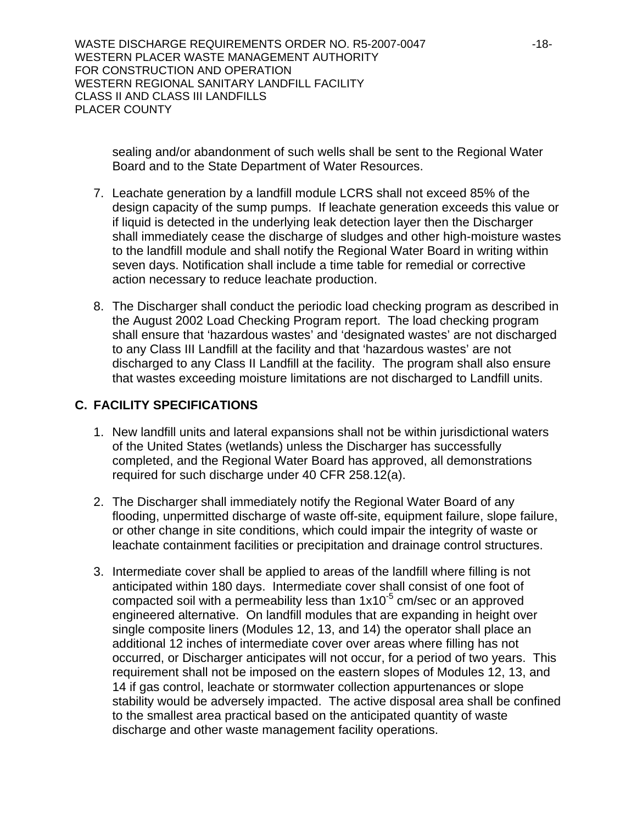WASTE DISCHARGE REQUIREMENTS ORDER NO. R5-2007-0047 -18-WESTERN PLACER WASTE MANAGEMENT AUTHORITY FOR CONSTRUCTION AND OPERATION WESTERN REGIONAL SANITARY LANDFILL FACILITY CLASS II AND CLASS III LANDFILLS PLACER COUNTY

sealing and/or abandonment of such wells shall be sent to the Regional Water Board and to the State Department of Water Resources.

- 7. Leachate generation by a landfill module LCRS shall not exceed 85% of the design capacity of the sump pumps. If leachate generation exceeds this value or if liquid is detected in the underlying leak detection layer then the Discharger shall immediately cease the discharge of sludges and other high-moisture wastes to the landfill module and shall notify the Regional Water Board in writing within seven days. Notification shall include a time table for remedial or corrective action necessary to reduce leachate production.
- 8. The Discharger shall conduct the periodic load checking program as described in the August 2002 Load Checking Program report. The load checking program shall ensure that 'hazardous wastes' and 'designated wastes' are not discharged to any Class III Landfill at the facility and that 'hazardous wastes' are not discharged to any Class II Landfill at the facility. The program shall also ensure that wastes exceeding moisture limitations are not discharged to Landfill units.

# **C. FACILITY SPECIFICATIONS**

- 1. New landfill units and lateral expansions shall not be within jurisdictional waters of the United States (wetlands) unless the Discharger has successfully completed, and the Regional Water Board has approved, all demonstrations required for such discharge under 40 CFR 258.12(a).
- 2. The Discharger shall immediately notify the Regional Water Board of any flooding, unpermitted discharge of waste off-site, equipment failure, slope failure, or other change in site conditions, which could impair the integrity of waste or leachate containment facilities or precipitation and drainage control structures.
- 3. Intermediate cover shall be applied to areas of the landfill where filling is not anticipated within 180 days. Intermediate cover shall consist of one foot of compacted soil with a permeability less than  $1x10^{-5}$  cm/sec or an approved engineered alternative. On landfill modules that are expanding in height over single composite liners (Modules 12, 13, and 14) the operator shall place an additional 12 inches of intermediate cover over areas where filling has not occurred, or Discharger anticipates will not occur, for a period of two years. This requirement shall not be imposed on the eastern slopes of Modules 12, 13, and 14 if gas control, leachate or stormwater collection appurtenances or slope stability would be adversely impacted. The active disposal area shall be confined to the smallest area practical based on the anticipated quantity of waste discharge and other waste management facility operations.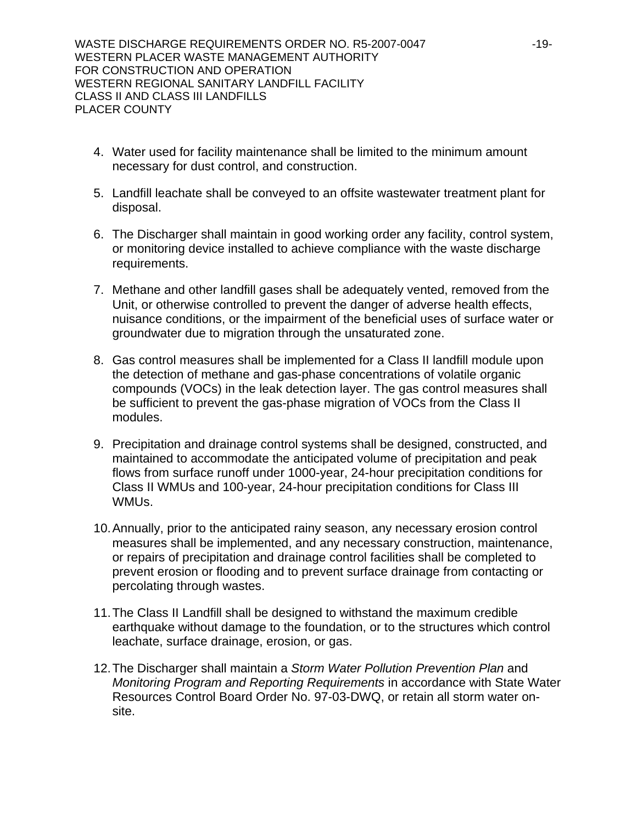- 4. Water used for facility maintenance shall be limited to the minimum amount necessary for dust control, and construction.
- 5. Landfill leachate shall be conveyed to an offsite wastewater treatment plant for disposal.
- 6. The Discharger shall maintain in good working order any facility, control system, or monitoring device installed to achieve compliance with the waste discharge requirements.
- 7. Methane and other landfill gases shall be adequately vented, removed from the Unit, or otherwise controlled to prevent the danger of adverse health effects, nuisance conditions, or the impairment of the beneficial uses of surface water or groundwater due to migration through the unsaturated zone.
- 8. Gas control measures shall be implemented for a Class II landfill module upon the detection of methane and gas-phase concentrations of volatile organic compounds (VOCs) in the leak detection layer. The gas control measures shall be sufficient to prevent the gas-phase migration of VOCs from the Class II modules.
- 9. Precipitation and drainage control systems shall be designed, constructed, and maintained to accommodate the anticipated volume of precipitation and peak flows from surface runoff under 1000-year, 24-hour precipitation conditions for Class II WMUs and 100-year, 24-hour precipitation conditions for Class III WMUs.
- 10. Annually, prior to the anticipated rainy season, any necessary erosion control measures shall be implemented, and any necessary construction, maintenance, or repairs of precipitation and drainage control facilities shall be completed to prevent erosion or flooding and to prevent surface drainage from contacting or percolating through wastes.
- 11. The Class II Landfill shall be designed to withstand the maximum credible earthquake without damage to the foundation, or to the structures which control leachate, surface drainage, erosion, or gas.
- 12. The Discharger shall maintain a *Storm Water Pollution Prevention Plan* and *Monitoring Program and Reporting Requirements* in accordance with State Water Resources Control Board Order No. 97-03-DWQ, or retain all storm water onsite.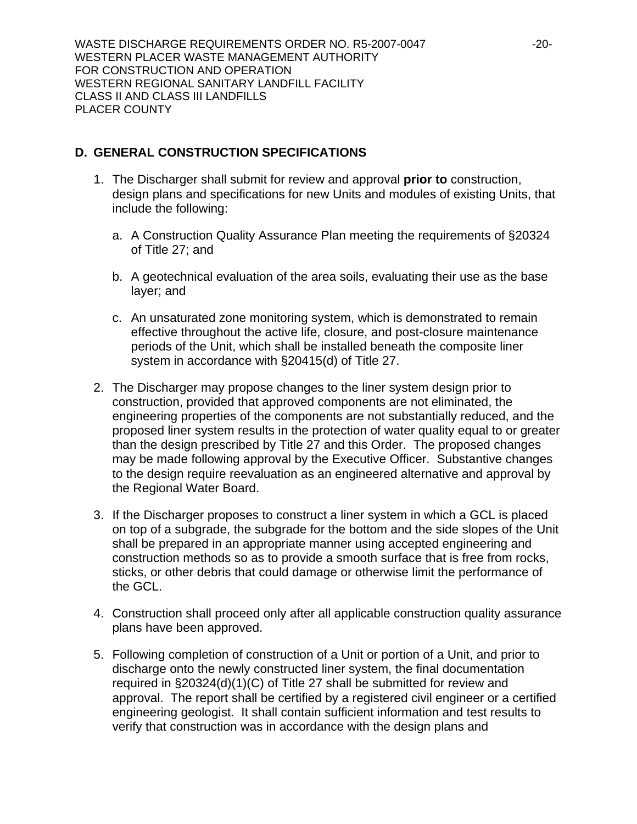WASTE DISCHARGE REQUIREMENTS ORDER NO. R5-2007-0047 -20-WESTERN PLACER WASTE MANAGEMENT AUTHORITY FOR CONSTRUCTION AND OPERATION WESTERN REGIONAL SANITARY LANDFILL FACILITY CLASS II AND CLASS III LANDFILLS PLACER COUNTY

# **D. GENERAL CONSTRUCTION SPECIFICATIONS**

- 1. The Discharger shall submit for review and approval **prior to** construction, design plans and specifications for new Units and modules of existing Units, that include the following:
	- a. A Construction Quality Assurance Plan meeting the requirements of §20324 of Title 27; and
	- b. A geotechnical evaluation of the area soils, evaluating their use as the base layer; and
	- c. An unsaturated zone monitoring system, which is demonstrated to remain effective throughout the active life, closure, and post-closure maintenance periods of the Unit, which shall be installed beneath the composite liner system in accordance with §20415(d) of Title 27.
- 2. The Discharger may propose changes to the liner system design prior to construction, provided that approved components are not eliminated, the engineering properties of the components are not substantially reduced, and the proposed liner system results in the protection of water quality equal to or greater than the design prescribed by Title 27 and this Order. The proposed changes may be made following approval by the Executive Officer. Substantive changes to the design require reevaluation as an engineered alternative and approval by the Regional Water Board.
- 3. If the Discharger proposes to construct a liner system in which a GCL is placed on top of a subgrade, the subgrade for the bottom and the side slopes of the Unit shall be prepared in an appropriate manner using accepted engineering and construction methods so as to provide a smooth surface that is free from rocks, sticks, or other debris that could damage or otherwise limit the performance of the GCL.
- 4. Construction shall proceed only after all applicable construction quality assurance plans have been approved.
- 5. Following completion of construction of a Unit or portion of a Unit, and prior to discharge onto the newly constructed liner system, the final documentation required in §20324(d)(1)(C) of Title 27 shall be submitted for review and approval. The report shall be certified by a registered civil engineer or a certified engineering geologist. It shall contain sufficient information and test results to verify that construction was in accordance with the design plans and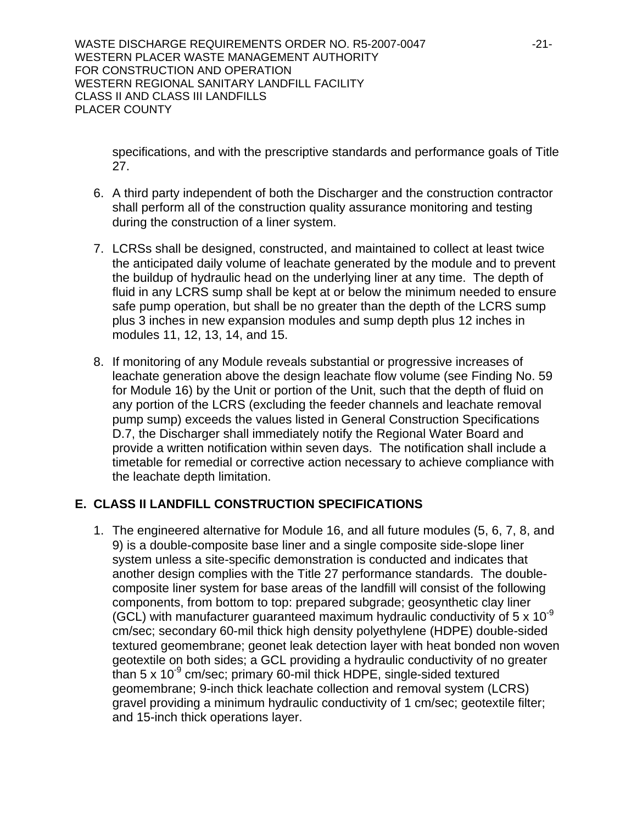WASTE DISCHARGE REQUIREMENTS ORDER NO. R5-2007-0047 -21-WESTERN PLACER WASTE MANAGEMENT AUTHORITY FOR CONSTRUCTION AND OPERATION WESTERN REGIONAL SANITARY LANDFILL FACILITY CLASS II AND CLASS III LANDFILLS PLACER COUNTY

specifications, and with the prescriptive standards and performance goals of Title 27.

- 6. A third party independent of both the Discharger and the construction contractor shall perform all of the construction quality assurance monitoring and testing during the construction of a liner system.
- 7. LCRSs shall be designed, constructed, and maintained to collect at least twice the anticipated daily volume of leachate generated by the module and to prevent the buildup of hydraulic head on the underlying liner at any time. The depth of fluid in any LCRS sump shall be kept at or below the minimum needed to ensure safe pump operation, but shall be no greater than the depth of the LCRS sump plus 3 inches in new expansion modules and sump depth plus 12 inches in modules 11, 12, 13, 14, and 15.
- 8. If monitoring of any Module reveals substantial or progressive increases of leachate generation above the design leachate flow volume (see Finding No. 59 for Module 16) by the Unit or portion of the Unit, such that the depth of fluid on any portion of the LCRS (excluding the feeder channels and leachate removal pump sump) exceeds the values listed in General Construction Specifications D.7, the Discharger shall immediately notify the Regional Water Board and provide a written notification within seven days. The notification shall include a timetable for remedial or corrective action necessary to achieve compliance with the leachate depth limitation.

# **E. CLASS II LANDFILL CONSTRUCTION SPECIFICATIONS**

1. The engineered alternative for Module 16, and all future modules (5, 6, 7, 8, and 9) is a double-composite base liner and a single composite side-slope liner system unless a site-specific demonstration is conducted and indicates that another design complies with the Title 27 performance standards. The doublecomposite liner system for base areas of the landfill will consist of the following components, from bottom to top: prepared subgrade; geosynthetic clay liner (GCL) with manufacturer quaranteed maximum hydraulic conductivity of  $5 \times 10^{-9}$ cm/sec; secondary 60-mil thick high density polyethylene (HDPE) double-sided textured geomembrane; geonet leak detection layer with heat bonded non woven geotextile on both sides; a GCL providing a hydraulic conductivity of no greater than 5 x  $10^{-9}$  cm/sec; primary 60-mil thick HDPE, single-sided textured geomembrane; 9-inch thick leachate collection and removal system (LCRS) gravel providing a minimum hydraulic conductivity of 1 cm/sec; geotextile filter; and 15-inch thick operations layer.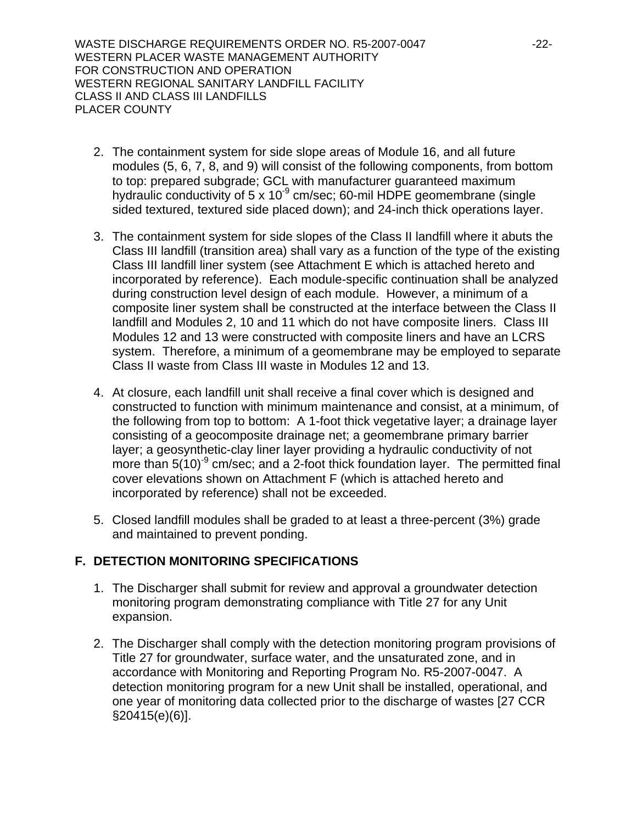WASTE DISCHARGE REQUIREMENTS ORDER NO. R5-2007-0047 -22- WESTERN PLACER WASTE MANAGEMENT AUTHORITY FOR CONSTRUCTION AND OPERATION WESTERN REGIONAL SANITARY LANDFILL FACILITY CLASS II AND CLASS III LANDFILLS PLACER COUNTY

- 2. The containment system for side slope areas of Module 16, and all future modules (5, 6, 7, 8, and 9) will consist of the following components, from bottom to top: prepared subgrade; GCL with manufacturer guaranteed maximum hydraulic conductivity of  $5 \times 10^{-9}$  cm/sec; 60-mil HDPE geomembrane (single sided textured, textured side placed down); and 24-inch thick operations layer.
- 3. The containment system for side slopes of the Class II landfill where it abuts the Class III landfill (transition area) shall vary as a function of the type of the existing Class III landfill liner system (see Attachment E which is attached hereto and incorporated by reference). Each module-specific continuation shall be analyzed during construction level design of each module. However, a minimum of a composite liner system shall be constructed at the interface between the Class II landfill and Modules 2, 10 and 11 which do not have composite liners. Class III Modules 12 and 13 were constructed with composite liners and have an LCRS system. Therefore, a minimum of a geomembrane may be employed to separate Class II waste from Class III waste in Modules 12 and 13.
- 4. At closure, each landfill unit shall receive a final cover which is designed and constructed to function with minimum maintenance and consist, at a minimum, of the following from top to bottom: A 1-foot thick vegetative layer; a drainage layer consisting of a geocomposite drainage net; a geomembrane primary barrier layer; a geosynthetic-clay liner layer providing a hydraulic conductivity of not more than  $5(10)^9$  cm/sec; and a 2-foot thick foundation layer. The permitted final cover elevations shown on Attachment F (which is attached hereto and incorporated by reference) shall not be exceeded.
- 5. Closed landfill modules shall be graded to at least a three-percent (3%) grade and maintained to prevent ponding.

# **F. DETECTION MONITORING SPECIFICATIONS**

- 1. The Discharger shall submit for review and approval a groundwater detection monitoring program demonstrating compliance with Title 27 for any Unit expansion.
- 2. The Discharger shall comply with the detection monitoring program provisions of Title 27 for groundwater, surface water, and the unsaturated zone, and in accordance with Monitoring and Reporting Program No. R5-2007-0047. A detection monitoring program for a new Unit shall be installed, operational, and one year of monitoring data collected prior to the discharge of wastes [27 CCR §20415(e)(6)].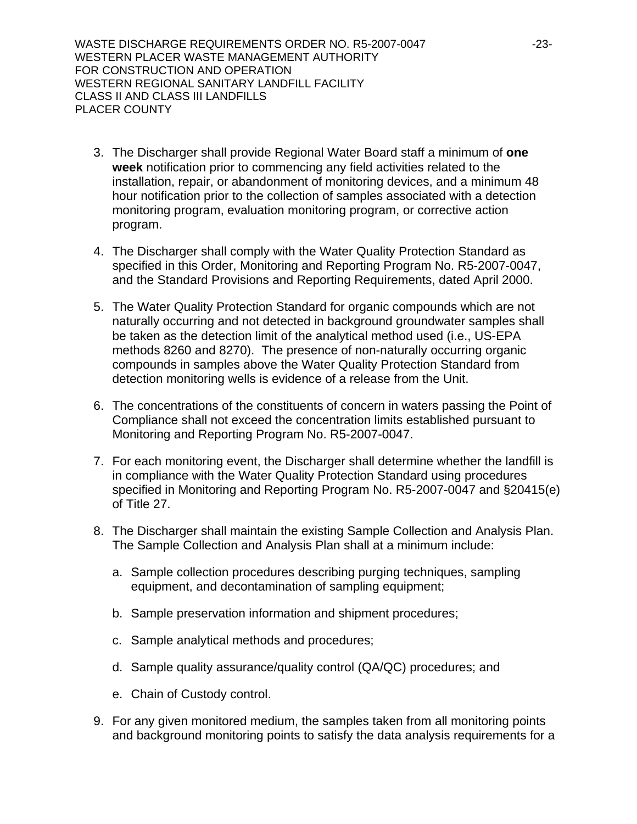WASTE DISCHARGE REQUIREMENTS ORDER NO. R5-2007-0047 -23-WESTERN PLACER WASTE MANAGEMENT AUTHORITY FOR CONSTRUCTION AND OPERATION WESTERN REGIONAL SANITARY LANDFILL FACILITY CLASS II AND CLASS III LANDFILLS PLACER COUNTY

- 3. The Discharger shall provide Regional Water Board staff a minimum of **one week** notification prior to commencing any field activities related to the installation, repair, or abandonment of monitoring devices, and a minimum 48 hour notification prior to the collection of samples associated with a detection monitoring program, evaluation monitoring program, or corrective action program.
- 4. The Discharger shall comply with the Water Quality Protection Standard as specified in this Order, Monitoring and Reporting Program No. R5-2007-0047, and the Standard Provisions and Reporting Requirements, dated April 2000.
- 5. The Water Quality Protection Standard for organic compounds which are not naturally occurring and not detected in background groundwater samples shall be taken as the detection limit of the analytical method used (i.e., US-EPA methods 8260 and 8270). The presence of non-naturally occurring organic compounds in samples above the Water Quality Protection Standard from detection monitoring wells is evidence of a release from the Unit.
- 6. The concentrations of the constituents of concern in waters passing the Point of Compliance shall not exceed the concentration limits established pursuant to Monitoring and Reporting Program No. R5-2007-0047.
- 7. For each monitoring event, the Discharger shall determine whether the landfill is in compliance with the Water Quality Protection Standard using procedures specified in Monitoring and Reporting Program No. R5-2007-0047 and §20415(e) of Title 27.
- 8. The Discharger shall maintain the existing Sample Collection and Analysis Plan. The Sample Collection and Analysis Plan shall at a minimum include:
	- a. Sample collection procedures describing purging techniques, sampling equipment, and decontamination of sampling equipment;
	- b. Sample preservation information and shipment procedures;
	- c. Sample analytical methods and procedures;
	- d. Sample quality assurance/quality control (QA/QC) procedures; and
	- e. Chain of Custody control.
- 9. For any given monitored medium, the samples taken from all monitoring points and background monitoring points to satisfy the data analysis requirements for a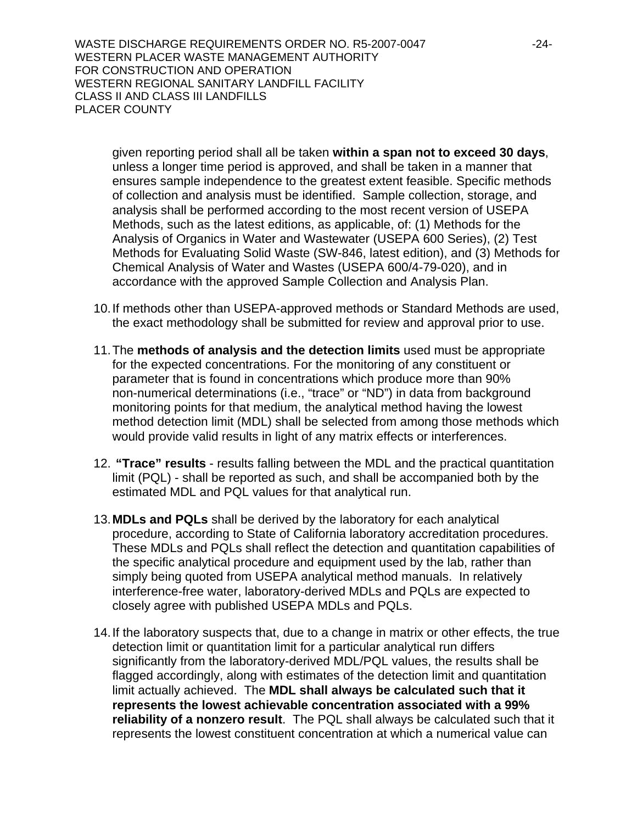WASTE DISCHARGE REQUIREMENTS ORDER NO. R5-2007-0047 -24-WESTERN PLACER WASTE MANAGEMENT AUTHORITY FOR CONSTRUCTION AND OPERATION WESTERN REGIONAL SANITARY LANDFILL FACILITY CLASS II AND CLASS III LANDFILLS PLACER COUNTY

given reporting period shall all be taken **within a span not to exceed 30 days**, unless a longer time period is approved, and shall be taken in a manner that ensures sample independence to the greatest extent feasible. Specific methods of collection and analysis must be identified. Sample collection, storage, and analysis shall be performed according to the most recent version of USEPA Methods, such as the latest editions, as applicable, of: (1) Methods for the Analysis of Organics in Water and Wastewater (USEPA 600 Series), (2) Test Methods for Evaluating Solid Waste (SW-846, latest edition), and (3) Methods for Chemical Analysis of Water and Wastes (USEPA 600/4-79-020), and in accordance with the approved Sample Collection and Analysis Plan.

- 10. If methods other than USEPA-approved methods or Standard Methods are used, the exact methodology shall be submitted for review and approval prior to use.
- 11. The **methods of analysis and the detection limits** used must be appropriate for the expected concentrations. For the monitoring of any constituent or parameter that is found in concentrations which produce more than 90% non-numerical determinations (i.e., "trace" or "ND") in data from background monitoring points for that medium, the analytical method having the lowest method detection limit (MDL) shall be selected from among those methods which would provide valid results in light of any matrix effects or interferences.
- 12. **"Trace" results** results falling between the MDL and the practical quantitation limit (PQL) - shall be reported as such, and shall be accompanied both by the estimated MDL and PQL values for that analytical run.
- 13. **MDLs and PQLs** shall be derived by the laboratory for each analytical procedure, according to State of California laboratory accreditation procedures. These MDLs and PQLs shall reflect the detection and quantitation capabilities of the specific analytical procedure and equipment used by the lab, rather than simply being quoted from USEPA analytical method manuals. In relatively interference-free water, laboratory-derived MDLs and PQLs are expected to closely agree with published USEPA MDLs and PQLs.
- 14. If the laboratory suspects that, due to a change in matrix or other effects, the true detection limit or quantitation limit for a particular analytical run differs significantly from the laboratory-derived MDL/PQL values, the results shall be flagged accordingly, along with estimates of the detection limit and quantitation limit actually achieved. The **MDL shall always be calculated such that it represents the lowest achievable concentration associated with a 99% reliability of a nonzero result**. The PQL shall always be calculated such that it represents the lowest constituent concentration at which a numerical value can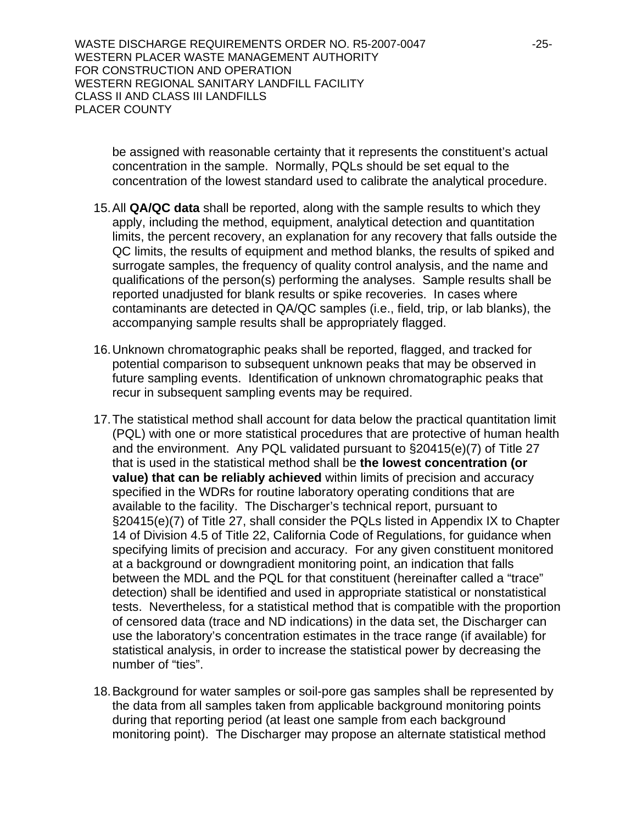WASTE DISCHARGE REQUIREMENTS ORDER NO. R5-2007-0047 -25-WESTERN PLACER WASTE MANAGEMENT AUTHORITY FOR CONSTRUCTION AND OPERATION WESTERN REGIONAL SANITARY LANDFILL FACILITY CLASS II AND CLASS III LANDFILLS PLACER COUNTY

be assigned with reasonable certainty that it represents the constituent's actual concentration in the sample. Normally, PQLs should be set equal to the concentration of the lowest standard used to calibrate the analytical procedure.

- 15. All **QA/QC data** shall be reported, along with the sample results to which they apply, including the method, equipment, analytical detection and quantitation limits, the percent recovery, an explanation for any recovery that falls outside the QC limits, the results of equipment and method blanks, the results of spiked and surrogate samples, the frequency of quality control analysis, and the name and qualifications of the person(s) performing the analyses. Sample results shall be reported unadjusted for blank results or spike recoveries. In cases where contaminants are detected in QA/QC samples (i.e., field, trip, or lab blanks), the accompanying sample results shall be appropriately flagged.
- 16. Unknown chromatographic peaks shall be reported, flagged, and tracked for potential comparison to subsequent unknown peaks that may be observed in future sampling events. Identification of unknown chromatographic peaks that recur in subsequent sampling events may be required.
- 17. The statistical method shall account for data below the practical quantitation limit (PQL) with one or more statistical procedures that are protective of human health and the environment. Any PQL validated pursuant to §20415(e)(7) of Title 27 that is used in the statistical method shall be **the lowest concentration (or value) that can be reliably achieved** within limits of precision and accuracy specified in the WDRs for routine laboratory operating conditions that are available to the facility. The Discharger's technical report, pursuant to §20415(e)(7) of Title 27, shall consider the PQLs listed in Appendix IX to Chapter 14 of Division 4.5 of Title 22, California Code of Regulations, for guidance when specifying limits of precision and accuracy. For any given constituent monitored at a background or downgradient monitoring point, an indication that falls between the MDL and the PQL for that constituent (hereinafter called a "trace" detection) shall be identified and used in appropriate statistical or nonstatistical tests. Nevertheless, for a statistical method that is compatible with the proportion of censored data (trace and ND indications) in the data set, the Discharger can use the laboratory's concentration estimates in the trace range (if available) for statistical analysis, in order to increase the statistical power by decreasing the number of "ties".
- 18. Background for water samples or soil-pore gas samples shall be represented by the data from all samples taken from applicable background monitoring points during that reporting period (at least one sample from each background monitoring point). The Discharger may propose an alternate statistical method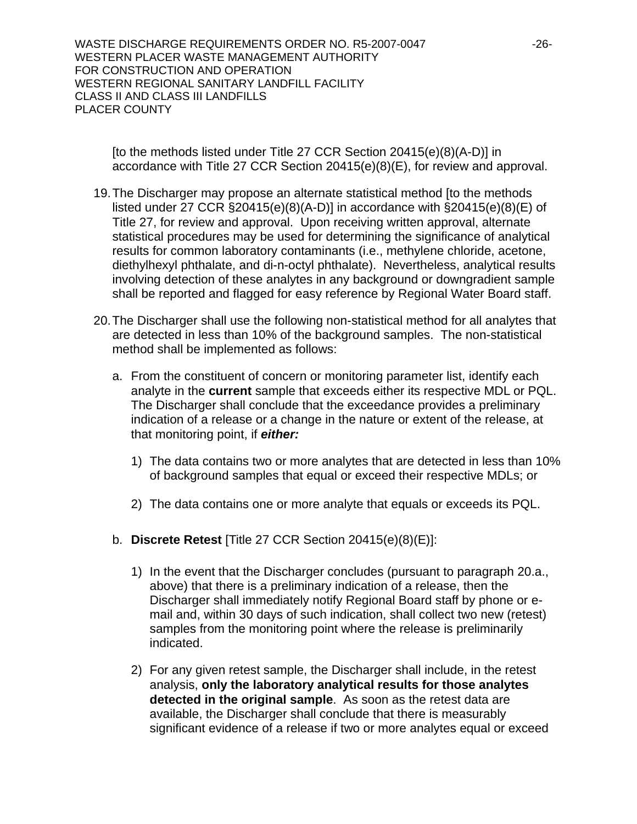WASTE DISCHARGE REQUIREMENTS ORDER NO. R5-2007-0047 -26-WESTERN PLACER WASTE MANAGEMENT AUTHORITY FOR CONSTRUCTION AND OPERATION WESTERN REGIONAL SANITARY LANDFILL FACILITY CLASS II AND CLASS III LANDFILLS PLACER COUNTY

[to the methods listed under Title 27 CCR Section 20415(e)(8)(A-D)] in accordance with Title 27 CCR Section 20415(e)(8)(E), for review and approval.

- 19. The Discharger may propose an alternate statistical method [to the methods listed under 27 CCR  $\S20415(e)(8)(A-D)$ ] in accordance with  $\S20415(e)(8)(E)$  of Title 27, for review and approval. Upon receiving written approval, alternate statistical procedures may be used for determining the significance of analytical results for common laboratory contaminants (i.e., methylene chloride, acetone, diethylhexyl phthalate, and di-n-octyl phthalate). Nevertheless, analytical results involving detection of these analytes in any background or downgradient sample shall be reported and flagged for easy reference by Regional Water Board staff.
- 20. The Discharger shall use the following non-statistical method for all analytes that are detected in less than 10% of the background samples. The non-statistical method shall be implemented as follows:
	- a. From the constituent of concern or monitoring parameter list, identify each analyte in the **current** sample that exceeds either its respective MDL or PQL. The Discharger shall conclude that the exceedance provides a preliminary indication of a release or a change in the nature or extent of the release, at that monitoring point, if *either:* 
		- 1) The data contains two or more analytes that are detected in less than 10% of background samples that equal or exceed their respective MDLs; or
		- 2) The data contains one or more analyte that equals or exceeds its PQL.
	- b. **Discrete Retest** [Title 27 CCR Section 20415(e)(8)(E)]:
		- 1) In the event that the Discharger concludes (pursuant to paragraph 20.a., above) that there is a preliminary indication of a release, then the Discharger shall immediately notify Regional Board staff by phone or email and, within 30 days of such indication, shall collect two new (retest) samples from the monitoring point where the release is preliminarily indicated.
		- 2) For any given retest sample, the Discharger shall include, in the retest analysis, **only the laboratory analytical results for those analytes detected in the original sample**. As soon as the retest data are available, the Discharger shall conclude that there is measurably significant evidence of a release if two or more analytes equal or exceed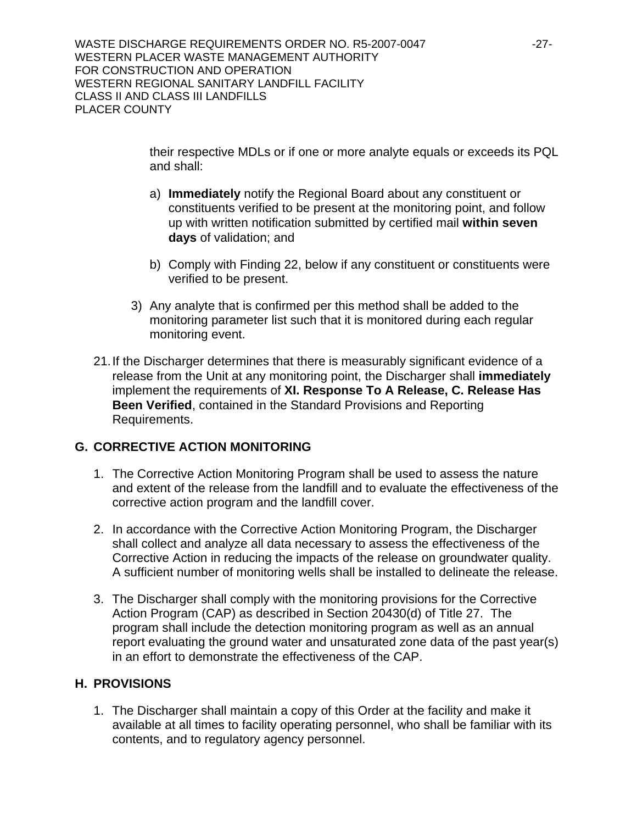WASTE DISCHARGE REQUIREMENTS ORDER NO. R5-2007-0047 -27-WESTERN PLACER WASTE MANAGEMENT AUTHORITY FOR CONSTRUCTION AND OPERATION WESTERN REGIONAL SANITARY LANDFILL FACILITY CLASS II AND CLASS III LANDFILLS PLACER COUNTY

> their respective MDLs or if one or more analyte equals or exceeds its PQL and shall:

- a) **Immediately** notify the Regional Board about any constituent or constituents verified to be present at the monitoring point, and follow up with written notification submitted by certified mail **within seven days** of validation; and
- b) Comply with Finding 22, below if any constituent or constituents were verified to be present.
- 3) Any analyte that is confirmed per this method shall be added to the monitoring parameter list such that it is monitored during each regular monitoring event.
- 21. If the Discharger determines that there is measurably significant evidence of a release from the Unit at any monitoring point, the Discharger shall **immediately** implement the requirements of **XI. Response To A Release, C. Release Has Been Verified**, contained in the Standard Provisions and Reporting Requirements.

# **G. CORRECTIVE ACTION MONITORING**

- 1. The Corrective Action Monitoring Program shall be used to assess the nature and extent of the release from the landfill and to evaluate the effectiveness of the corrective action program and the landfill cover.
- 2. In accordance with the Corrective Action Monitoring Program, the Discharger shall collect and analyze all data necessary to assess the effectiveness of the Corrective Action in reducing the impacts of the release on groundwater quality. A sufficient number of monitoring wells shall be installed to delineate the release.
- 3. The Discharger shall comply with the monitoring provisions for the Corrective Action Program (CAP) as described in Section 20430(d) of Title 27. The program shall include the detection monitoring program as well as an annual report evaluating the ground water and unsaturated zone data of the past year(s) in an effort to demonstrate the effectiveness of the CAP.

## **H. PROVISIONS**

1. The Discharger shall maintain a copy of this Order at the facility and make it available at all times to facility operating personnel, who shall be familiar with its contents, and to regulatory agency personnel.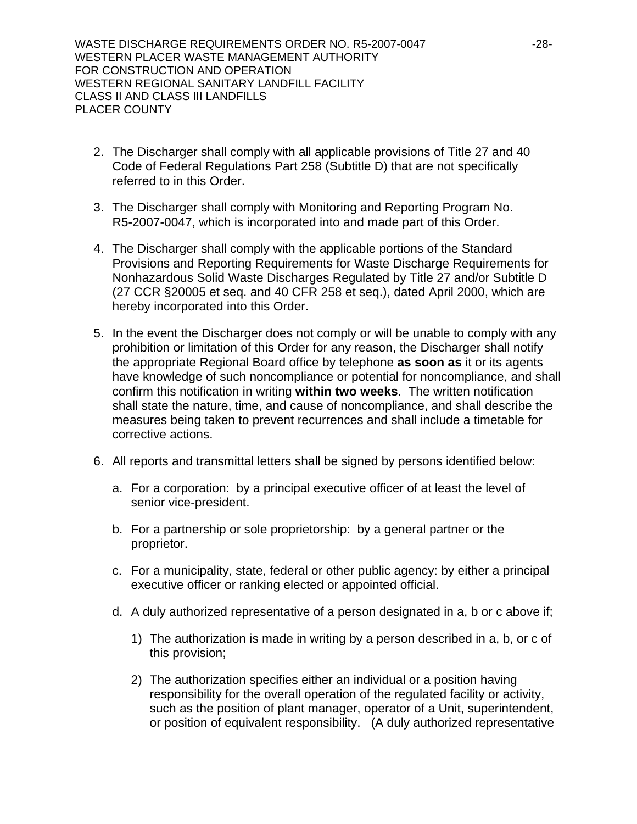WASTE DISCHARGE REQUIREMENTS ORDER NO. R5-2007-0047 -28-WESTERN PLACER WASTE MANAGEMENT AUTHORITY FOR CONSTRUCTION AND OPERATION WESTERN REGIONAL SANITARY LANDFILL FACILITY CLASS II AND CLASS III LANDFILLS PLACER COUNTY

- 2. The Discharger shall comply with all applicable provisions of Title 27 and 40 Code of Federal Regulations Part 258 (Subtitle D) that are not specifically referred to in this Order.
- 3. The Discharger shall comply with Monitoring and Reporting Program No. R5-2007-0047, which is incorporated into and made part of this Order.
- 4. The Discharger shall comply with the applicable portions of the Standard Provisions and Reporting Requirements for Waste Discharge Requirements for Nonhazardous Solid Waste Discharges Regulated by Title 27 and/or Subtitle D (27 CCR §20005 et seq. and 40 CFR 258 et seq.), dated April 2000, which are hereby incorporated into this Order.
- 5. In the event the Discharger does not comply or will be unable to comply with any prohibition or limitation of this Order for any reason, the Discharger shall notify the appropriate Regional Board office by telephone **as soon as** it or its agents have knowledge of such noncompliance or potential for noncompliance, and shall confirm this notification in writing **within two weeks**. The written notification shall state the nature, time, and cause of noncompliance, and shall describe the measures being taken to prevent recurrences and shall include a timetable for corrective actions.
- 6. All reports and transmittal letters shall be signed by persons identified below:
	- a. For a corporation: by a principal executive officer of at least the level of senior vice-president.
	- b. For a partnership or sole proprietorship: by a general partner or the proprietor.
	- c. For a municipality, state, federal or other public agency: by either a principal executive officer or ranking elected or appointed official.
	- d. A duly authorized representative of a person designated in a, b or c above if;
		- 1) The authorization is made in writing by a person described in a, b, or c of this provision;
		- 2) The authorization specifies either an individual or a position having responsibility for the overall operation of the regulated facility or activity, such as the position of plant manager, operator of a Unit, superintendent, or position of equivalent responsibility. (A duly authorized representative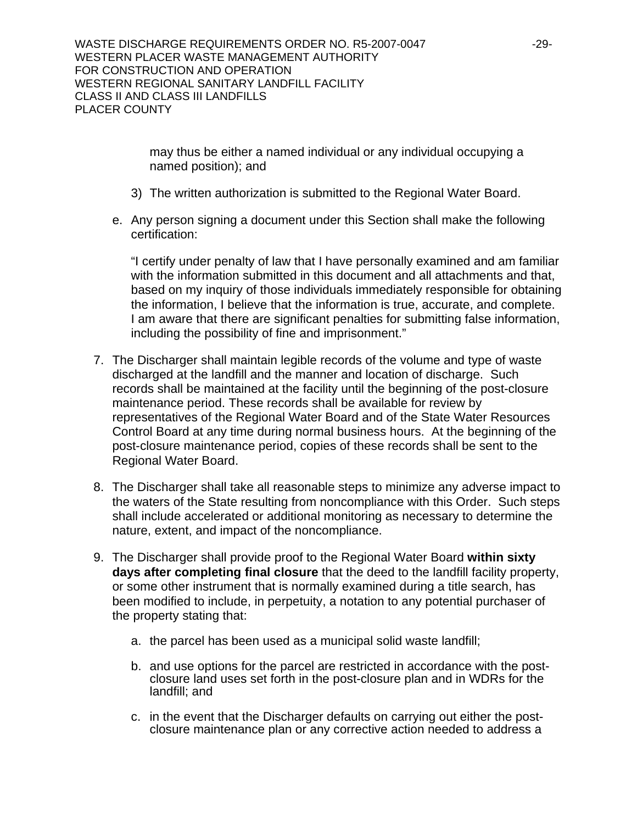may thus be either a named individual or any individual occupying a named position); and

- 3) The written authorization is submitted to the Regional Water Board.
- e. Any person signing a document under this Section shall make the following certification:

"I certify under penalty of law that I have personally examined and am familiar with the information submitted in this document and all attachments and that, based on my inquiry of those individuals immediately responsible for obtaining the information, I believe that the information is true, accurate, and complete. I am aware that there are significant penalties for submitting false information, including the possibility of fine and imprisonment."

- 7. The Discharger shall maintain legible records of the volume and type of waste discharged at the landfill and the manner and location of discharge. Such records shall be maintained at the facility until the beginning of the post-closure maintenance period. These records shall be available for review by representatives of the Regional Water Board and of the State Water Resources Control Board at any time during normal business hours. At the beginning of the post-closure maintenance period, copies of these records shall be sent to the Regional Water Board.
- 8. The Discharger shall take all reasonable steps to minimize any adverse impact to the waters of the State resulting from noncompliance with this Order. Such steps shall include accelerated or additional monitoring as necessary to determine the nature, extent, and impact of the noncompliance.
- 9. The Discharger shall provide proof to the Regional Water Board **within sixty days after completing final closure** that the deed to the landfill facility property, or some other instrument that is normally examined during a title search, has been modified to include, in perpetuity, a notation to any potential purchaser of the property stating that:
	- a. the parcel has been used as a municipal solid waste landfill;
	- b. and use options for the parcel are restricted in accordance with the postclosure land uses set forth in the post-closure plan and in WDRs for the landfill; and
	- c. in the event that the Discharger defaults on carrying out either the postclosure maintenance plan or any corrective action needed to address a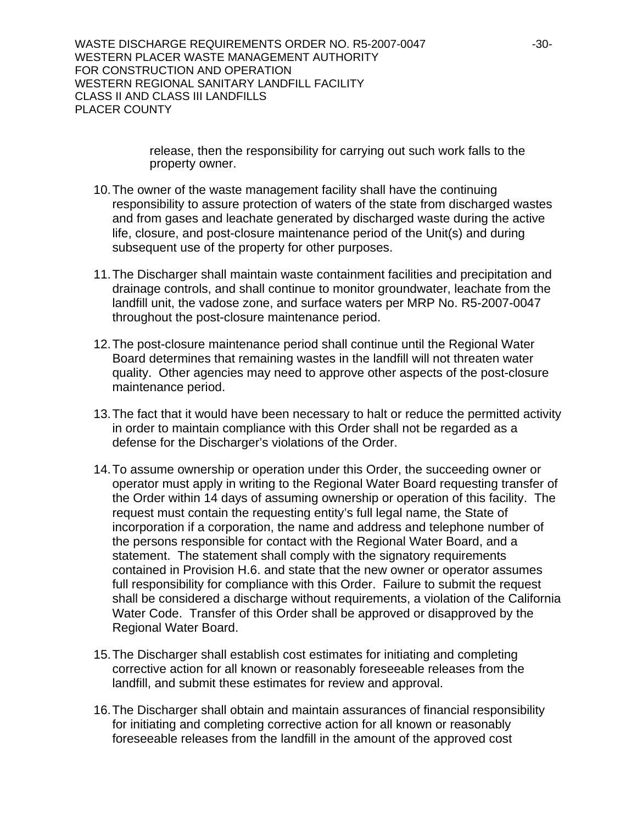WASTE DISCHARGE REQUIREMENTS ORDER NO. R5-2007-0047 -30-WESTERN PLACER WASTE MANAGEMENT AUTHORITY FOR CONSTRUCTION AND OPERATION WESTERN REGIONAL SANITARY LANDFILL FACILITY CLASS II AND CLASS III LANDFILLS PLACER COUNTY

> release, then the responsibility for carrying out such work falls to the property owner.

- 10. The owner of the waste management facility shall have the continuing responsibility to assure protection of waters of the state from discharged wastes and from gases and leachate generated by discharged waste during the active life, closure, and post-closure maintenance period of the Unit(s) and during subsequent use of the property for other purposes.
- 11. The Discharger shall maintain waste containment facilities and precipitation and drainage controls, and shall continue to monitor groundwater, leachate from the landfill unit, the vadose zone, and surface waters per MRP No. R5-2007-0047 throughout the post-closure maintenance period.
- 12. The post-closure maintenance period shall continue until the Regional Water Board determines that remaining wastes in the landfill will not threaten water quality. Other agencies may need to approve other aspects of the post-closure maintenance period.
- 13. The fact that it would have been necessary to halt or reduce the permitted activity in order to maintain compliance with this Order shall not be regarded as a defense for the Discharger's violations of the Order.
- 14. To assume ownership or operation under this Order, the succeeding owner or operator must apply in writing to the Regional Water Board requesting transfer of the Order within 14 days of assuming ownership or operation of this facility. The request must contain the requesting entity's full legal name, the State of incorporation if a corporation, the name and address and telephone number of the persons responsible for contact with the Regional Water Board, and a statement. The statement shall comply with the signatory requirements contained in Provision H.6. and state that the new owner or operator assumes full responsibility for compliance with this Order. Failure to submit the request shall be considered a discharge without requirements, a violation of the California Water Code. Transfer of this Order shall be approved or disapproved by the Regional Water Board.
- 15. The Discharger shall establish cost estimates for initiating and completing corrective action for all known or reasonably foreseeable releases from the landfill, and submit these estimates for review and approval.
- 16. The Discharger shall obtain and maintain assurances of financial responsibility for initiating and completing corrective action for all known or reasonably foreseeable releases from the landfill in the amount of the approved cost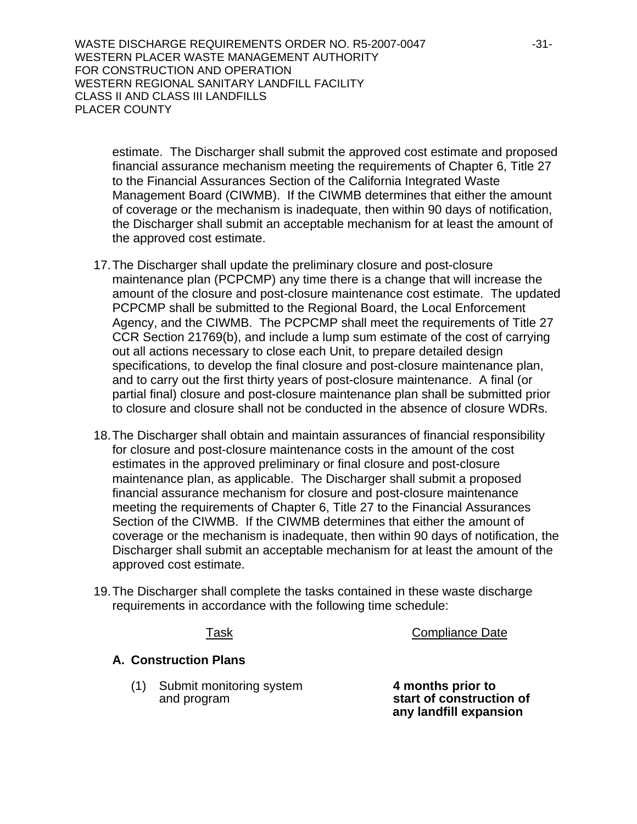WASTE DISCHARGE REQUIREMENTS ORDER NO. R5-2007-0047 431-WESTERN PLACER WASTE MANAGEMENT AUTHORITY FOR CONSTRUCTION AND OPERATION WESTERN REGIONAL SANITARY LANDFILL FACILITY CLASS II AND CLASS III LANDFILLS PLACER COUNTY

estimate. The Discharger shall submit the approved cost estimate and proposed financial assurance mechanism meeting the requirements of Chapter 6, Title 27 to the Financial Assurances Section of the California Integrated Waste Management Board (CIWMB). If the CIWMB determines that either the amount of coverage or the mechanism is inadequate, then within 90 days of notification, the Discharger shall submit an acceptable mechanism for at least the amount of the approved cost estimate.

- 17. The Discharger shall update the preliminary closure and post-closure maintenance plan (PCPCMP) any time there is a change that will increase the amount of the closure and post-closure maintenance cost estimate. The updated PCPCMP shall be submitted to the Regional Board, the Local Enforcement Agency, and the CIWMB. The PCPCMP shall meet the requirements of Title 27 CCR Section 21769(b), and include a lump sum estimate of the cost of carrying out all actions necessary to close each Unit, to prepare detailed design specifications, to develop the final closure and post-closure maintenance plan, and to carry out the first thirty years of post-closure maintenance. A final (or partial final) closure and post-closure maintenance plan shall be submitted prior to closure and closure shall not be conducted in the absence of closure WDRs.
- 18. The Discharger shall obtain and maintain assurances of financial responsibility for closure and post-closure maintenance costs in the amount of the cost estimates in the approved preliminary or final closure and post-closure maintenance plan, as applicable. The Discharger shall submit a proposed financial assurance mechanism for closure and post-closure maintenance meeting the requirements of Chapter 6, Title 27 to the Financial Assurances Section of the CIWMB. If the CIWMB determines that either the amount of coverage or the mechanism is inadequate, then within 90 days of notification, the Discharger shall submit an acceptable mechanism for at least the amount of the approved cost estimate.
- 19. The Discharger shall complete the tasks contained in these waste discharge requirements in accordance with the following time schedule:

Task Compliance Date

## **A. Construction Plans**

 (1) Submit monitoring system **4 months prior to** and program **start of construction of** 

 **any landfill expansion**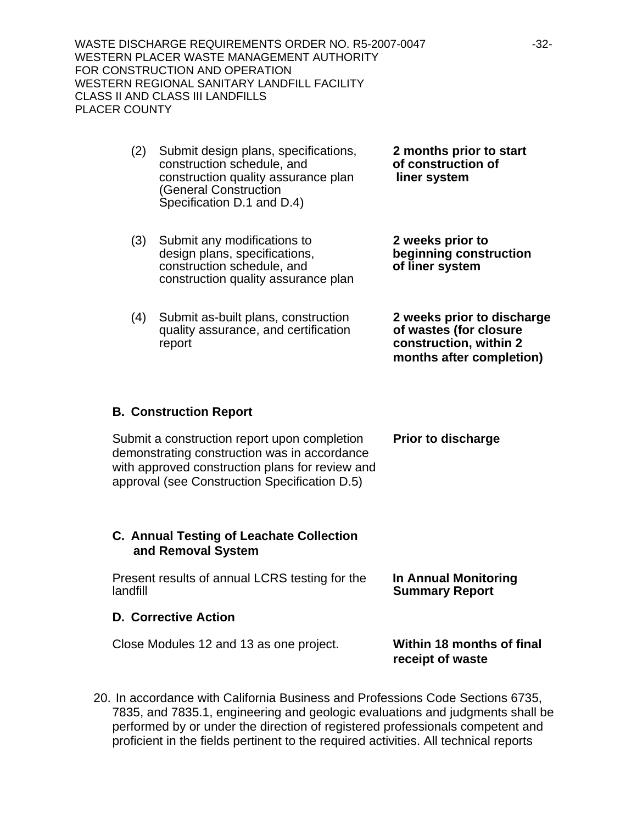WASTE DISCHARGE REQUIREMENTS ORDER NO. R5-2007-0047 -32-WESTERN PLACER WASTE MANAGEMENT AUTHORITY FOR CONSTRUCTION AND OPERATION WESTERN REGIONAL SANITARY LANDFILL FACILITY CLASS II AND CLASS III LANDFILLS PLACER COUNTY

- (2) Submit design plans, specifications, **2 months prior to start** construction schedule, and **of construction of**  construction quality assurance plan **liner system** (General Construction Specification D.1 and D.4)
- (3) Submit any modifications to **2 weeks prior to** design plans, specifications, **beginning construction** construction schedule, and **of liner system** construction quality assurance plan
- (4) Submit as-built plans, construction **2 weeks prior to discharge** quality assurance, and certification **of wastes (for closure** report **construction, within 2 months after completion)**

## **B. Construction Report**

Submit a construction report upon completion **Prior to discharge** demonstrating construction was in accordance with approved construction plans for review and approval (see Construction Specification D.5)

#### **C. Annual Testing of Leachate Collection and Removal System**

 Present results of annual LCRS testing for the **In Annual Monitoring**  landfill **Summary Report** 

#### **D. Corrective Action**

Close Modules 12 and 13 as one project. **Within 18 months of final** 

**receipt of waste**

20. In accordance with California Business and Professions Code Sections 6735, 7835, and 7835.1, engineering and geologic evaluations and judgments shall be performed by or under the direction of registered professionals competent and proficient in the fields pertinent to the required activities. All technical reports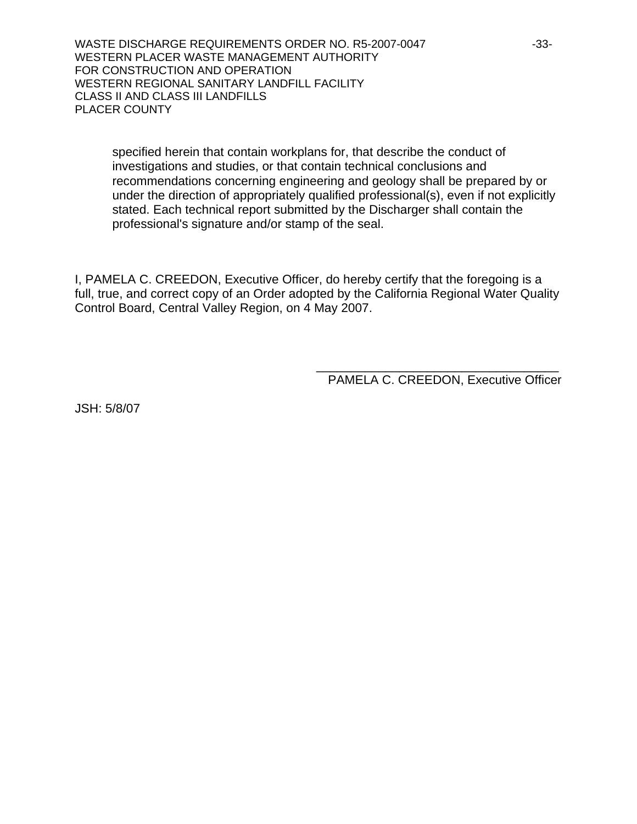WASTE DISCHARGE REQUIREMENTS ORDER NO. R5-2007-0047 -33-WESTERN PLACER WASTE MANAGEMENT AUTHORITY FOR CONSTRUCTION AND OPERATION WESTERN REGIONAL SANITARY LANDFILL FACILITY CLASS II AND CLASS III LANDFILLS PLACER COUNTY

specified herein that contain workplans for, that describe the conduct of investigations and studies, or that contain technical conclusions and recommendations concerning engineering and geology shall be prepared by or under the direction of appropriately qualified professional(s), even if not explicitly stated. Each technical report submitted by the Discharger shall contain the professional's signature and/or stamp of the seal.

I, PAMELA C. CREEDON, Executive Officer, do hereby certify that the foregoing is a full, true, and correct copy of an Order adopted by the California Regional Water Quality Control Board, Central Valley Region, on 4 May 2007.

 $\overline{\phantom{a}}$  , which is a set of the set of the set of the set of the set of the set of the set of the set of the set of the set of the set of the set of the set of the set of the set of the set of the set of the set of th

PAMELA C. CREEDON, Executive Officer

JSH: 5/8/07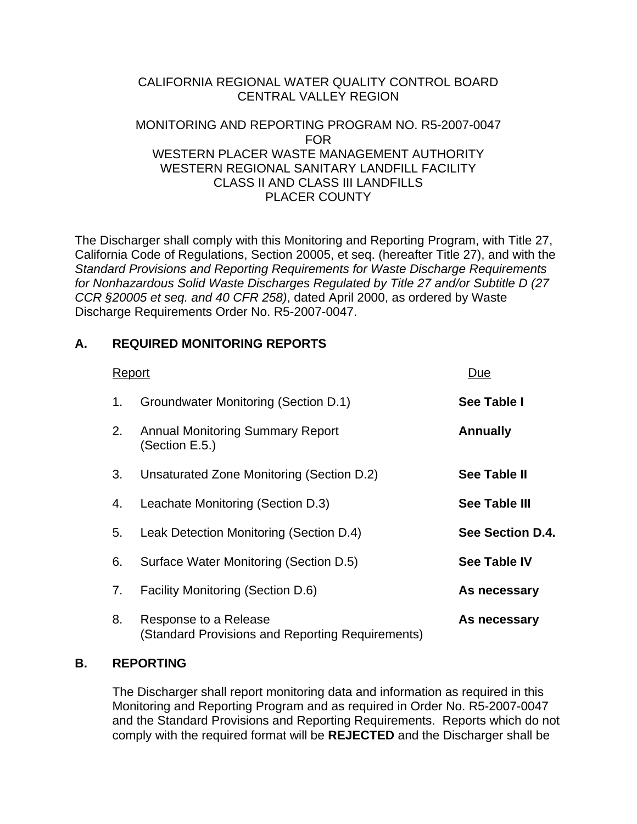# CALIFORNIA REGIONAL WATER QUALITY CONTROL BOARD CENTRAL VALLEY REGION

## MONITORING AND REPORTING PROGRAM NO. R5-2007-0047 FOR WESTERN PLACER WASTE MANAGEMENT AUTHORITY WESTERN REGIONAL SANITARY LANDELLL FACILITY CLASS II AND CLASS III LANDFILLS PLACER COUNTY

The Discharger shall comply with this Monitoring and Reporting Program, with Title 27, California Code of Regulations, Section 20005, et seq. (hereafter Title 27), and with the *Standard Provisions and Reporting Requirements for Waste Discharge Requirements for Nonhazardous Solid Waste Discharges Regulated by Title 27 and/or Subtitle D (27 CCR §20005 et seq. and 40 CFR 258)*, dated April 2000, as ordered by Waste Discharge Requirements Order No. R5-2007-0047.

# **A. REQUIRED MONITORING REPORTS**

| Report |                                                                           | Due                 |
|--------|---------------------------------------------------------------------------|---------------------|
| 1.     | Groundwater Monitoring (Section D.1)                                      | See Table I         |
| 2.     | <b>Annual Monitoring Summary Report</b><br>(Section E.5.)                 | <b>Annually</b>     |
| 3.     | Unsaturated Zone Monitoring (Section D.2)                                 | See Table II        |
| 4.     | Leachate Monitoring (Section D.3)                                         | See Table III       |
| 5.     | Leak Detection Monitoring (Section D.4)                                   | See Section D.4.    |
| 6.     | Surface Water Monitoring (Section D.5)                                    | <b>See Table IV</b> |
| 7.     | <b>Facility Monitoring (Section D.6)</b>                                  | As necessary        |
| 8.     | Response to a Release<br>(Standard Provisions and Reporting Requirements) | As necessary        |

## **B. REPORTING**

 The Discharger shall report monitoring data and information as required in this Monitoring and Reporting Program and as required in Order No. R5-2007-0047 and the Standard Provisions and Reporting Requirements. Reports which do not comply with the required format will be **REJECTED** and the Discharger shall be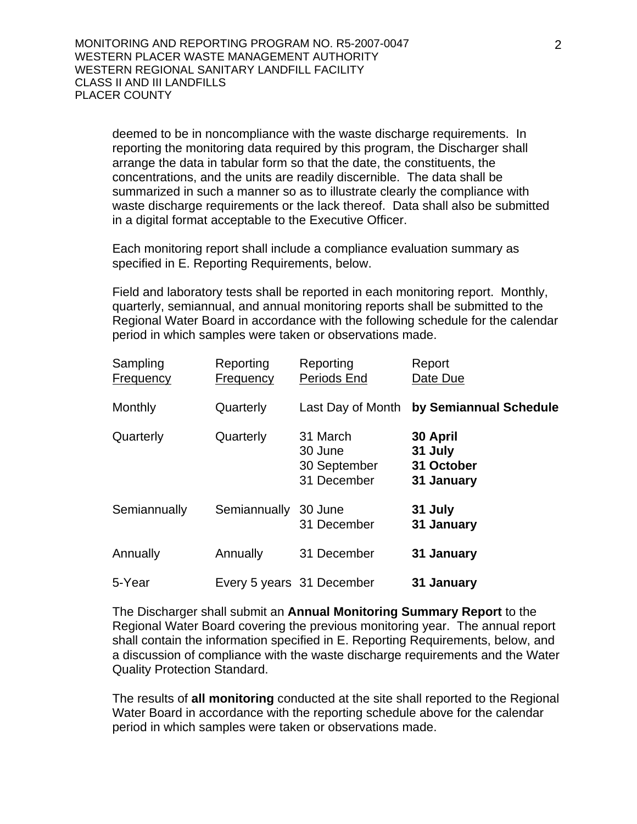deemed to be in noncompliance with the waste discharge requirements. In reporting the monitoring data required by this program, the Discharger shall arrange the data in tabular form so that the date, the constituents, the concentrations, and the units are readily discernible. The data shall be summarized in such a manner so as to illustrate clearly the compliance with waste discharge requirements or the lack thereof. Data shall also be submitted in a digital format acceptable to the Executive Officer.

 Each monitoring report shall include a compliance evaluation summary as specified in E. Reporting Requirements, below.

 Field and laboratory tests shall be reported in each monitoring report. Monthly, quarterly, semiannual, and annual monitoring reports shall be submitted to the Regional Water Board in accordance with the following schedule for the calendar period in which samples were taken or observations made.

| Sampling<br><b>Frequency</b> | Reporting<br><b>Frequency</b> | Reporting<br>Periods End                           | Report<br>Date Due                              |
|------------------------------|-------------------------------|----------------------------------------------------|-------------------------------------------------|
| Monthly                      | Quarterly                     | Last Day of Month                                  | by Semiannual Schedule                          |
| Quarterly                    | Quarterly                     | 31 March<br>30 June<br>30 September<br>31 December | 30 April<br>31 July<br>31 October<br>31 January |
| Semiannually                 | Semiannually                  | 30 June<br>31 December                             | 31 July<br>31 January                           |
| Annually                     | Annually                      | 31 December                                        | 31 January                                      |
| 5-Year                       | Every 5 years 31 December     |                                                    | 31 January                                      |

 The Discharger shall submit an **Annual Monitoring Summary Report** to the Regional Water Board covering the previous monitoring year. The annual report shall contain the information specified in E. Reporting Requirements, below, and a discussion of compliance with the waste discharge requirements and the Water Quality Protection Standard.

 The results of **all monitoring** conducted at the site shall reported to the Regional Water Board in accordance with the reporting schedule above for the calendar period in which samples were taken or observations made.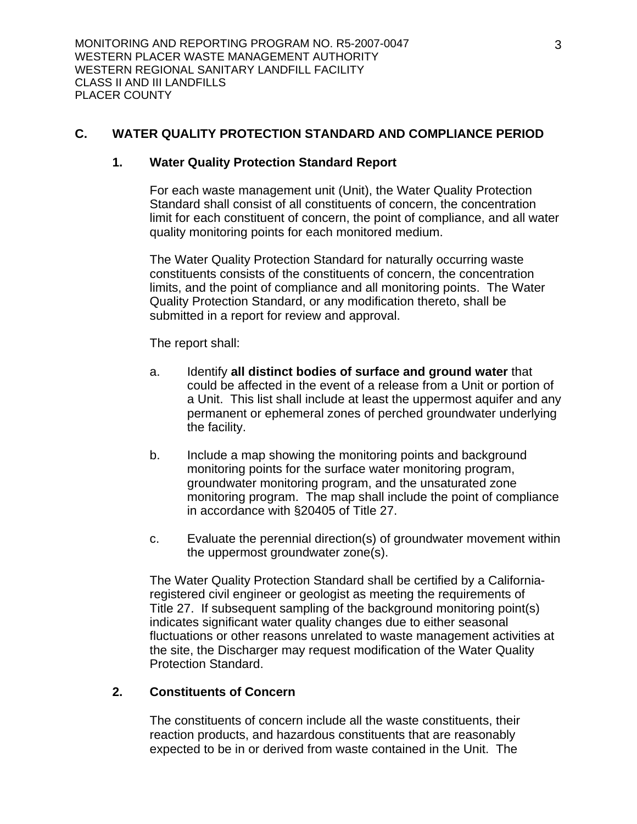## **C. WATER QUALITY PROTECTION STANDARD AND COMPLIANCE PERIOD**

#### **1. Water Quality Protection Standard Report**

 For each waste management unit (Unit), the Water Quality Protection Standard shall consist of all constituents of concern, the concentration limit for each constituent of concern, the point of compliance, and all water quality monitoring points for each monitored medium.

 The Water Quality Protection Standard for naturally occurring waste constituents consists of the constituents of concern, the concentration limits, and the point of compliance and all monitoring points. The Water Quality Protection Standard, or any modification thereto, shall be submitted in a report for review and approval.

The report shall:

- a. Identify **all distinct bodies of surface and ground water** that could be affected in the event of a release from a Unit or portion of a Unit. This list shall include at least the uppermost aquifer and any permanent or ephemeral zones of perched groundwater underlying the facility.
- b. Include a map showing the monitoring points and background monitoring points for the surface water monitoring program, groundwater monitoring program, and the unsaturated zone monitoring program. The map shall include the point of compliance in accordance with §20405 of Title 27.
- c. Evaluate the perennial direction(s) of groundwater movement within the uppermost groundwater zone(s).

The Water Quality Protection Standard shall be certified by a Californiaregistered civil engineer or geologist as meeting the requirements of Title 27. If subsequent sampling of the background monitoring point(s) indicates significant water quality changes due to either seasonal fluctuations or other reasons unrelated to waste management activities at the site, the Discharger may request modification of the Water Quality Protection Standard.

## **2. Constituents of Concern**

 The constituents of concern include all the waste constituents, their reaction products, and hazardous constituents that are reasonably expected to be in or derived from waste contained in the Unit. The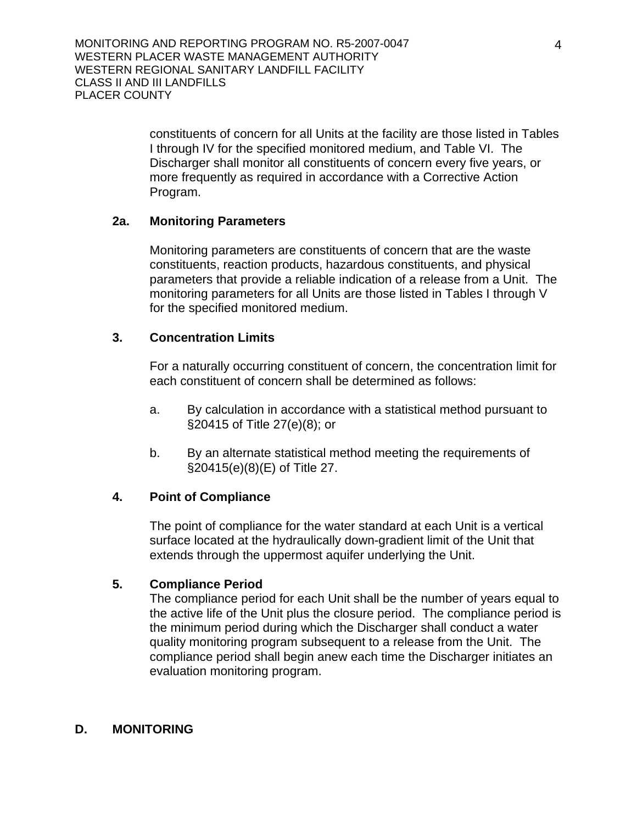constituents of concern for all Units at the facility are those listed in Tables I through IV for the specified monitored medium, and Table VI. The Discharger shall monitor all constituents of concern every five years, or more frequently as required in accordance with a Corrective Action Program.

## **2a. Monitoring Parameters**

 Monitoring parameters are constituents of concern that are the waste constituents, reaction products, hazardous constituents, and physical parameters that provide a reliable indication of a release from a Unit. The monitoring parameters for all Units are those listed in Tables I through V for the specified monitored medium.

## **3. Concentration Limits**

 For a naturally occurring constituent of concern, the concentration limit for each constituent of concern shall be determined as follows:

- a. By calculation in accordance with a statistical method pursuant to §20415 of Title 27(e)(8); or
- b. By an alternate statistical method meeting the requirements of §20415(e)(8)(E) of Title 27.

## **4. Point of Compliance**

 The point of compliance for the water standard at each Unit is a vertical surface located at the hydraulically down-gradient limit of the Unit that extends through the uppermost aquifer underlying the Unit.

## **5. Compliance Period**

 The compliance period for each Unit shall be the number of years equal to the active life of the Unit plus the closure period. The compliance period is the minimum period during which the Discharger shall conduct a water quality monitoring program subsequent to a release from the Unit. The compliance period shall begin anew each time the Discharger initiates an evaluation monitoring program.

## **D. MONITORING**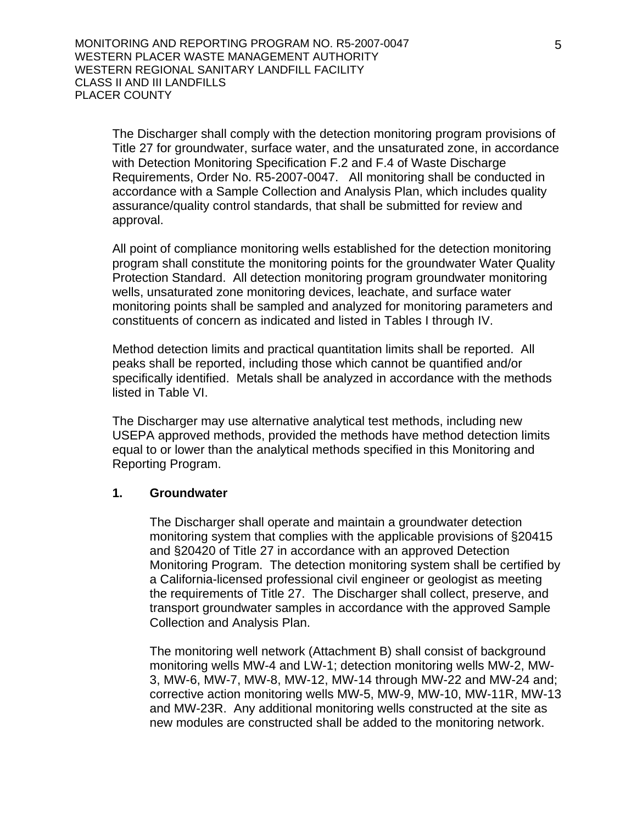The Discharger shall comply with the detection monitoring program provisions of Title 27 for groundwater, surface water, and the unsaturated zone, in accordance with Detection Monitoring Specification F.2 and F.4 of Waste Discharge Requirements, Order No. R5-2007-0047. All monitoring shall be conducted in accordance with a Sample Collection and Analysis Plan, which includes quality assurance/quality control standards, that shall be submitted for review and approval.

All point of compliance monitoring wells established for the detection monitoring program shall constitute the monitoring points for the groundwater Water Quality Protection Standard. All detection monitoring program groundwater monitoring wells, unsaturated zone monitoring devices, leachate, and surface water monitoring points shall be sampled and analyzed for monitoring parameters and constituents of concern as indicated and listed in Tables I through IV.

Method detection limits and practical quantitation limits shall be reported. All peaks shall be reported, including those which cannot be quantified and/or specifically identified. Metals shall be analyzed in accordance with the methods listed in Table VI.

The Discharger may use alternative analytical test methods, including new USEPA approved methods, provided the methods have method detection limits equal to or lower than the analytical methods specified in this Monitoring and Reporting Program.

#### **1. Groundwater**

The Discharger shall operate and maintain a groundwater detection monitoring system that complies with the applicable provisions of §20415 and §20420 of Title 27 in accordance with an approved Detection Monitoring Program. The detection monitoring system shall be certified by a California-licensed professional civil engineer or geologist as meeting the requirements of Title 27. The Discharger shall collect, preserve, and transport groundwater samples in accordance with the approved Sample Collection and Analysis Plan.

The monitoring well network (Attachment B) shall consist of background monitoring wells MW-4 and LW-1; detection monitoring wells MW-2, MW-3, MW-6, MW-7, MW-8, MW-12, MW-14 through MW-22 and MW-24 and; corrective action monitoring wells MW-5, MW-9, MW-10, MW-11R, MW-13 and MW-23R. Any additional monitoring wells constructed at the site as new modules are constructed shall be added to the monitoring network.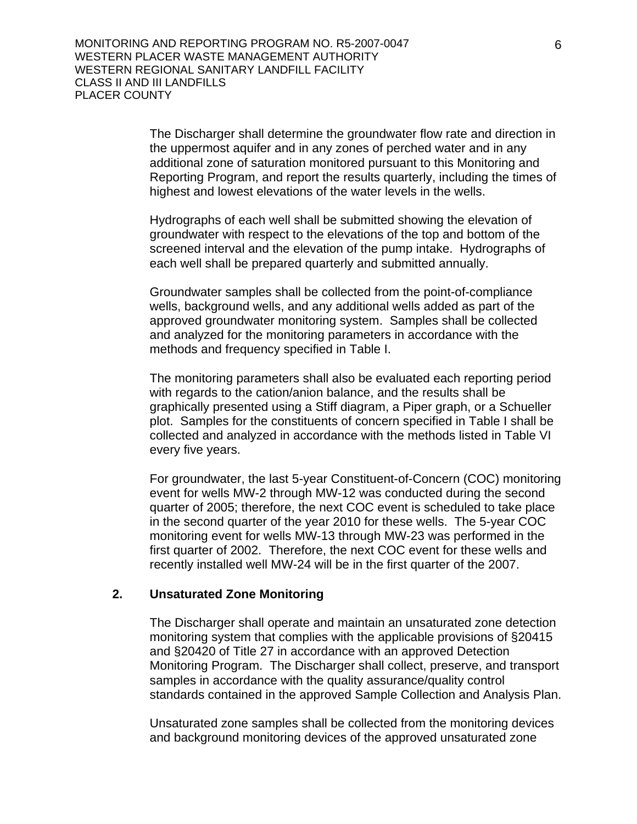The Discharger shall determine the groundwater flow rate and direction in the uppermost aquifer and in any zones of perched water and in any additional zone of saturation monitored pursuant to this Monitoring and Reporting Program, and report the results quarterly, including the times of highest and lowest elevations of the water levels in the wells.

Hydrographs of each well shall be submitted showing the elevation of groundwater with respect to the elevations of the top and bottom of the screened interval and the elevation of the pump intake. Hydrographs of each well shall be prepared quarterly and submitted annually.

Groundwater samples shall be collected from the point-of-compliance wells, background wells, and any additional wells added as part of the approved groundwater monitoring system. Samples shall be collected and analyzed for the monitoring parameters in accordance with the methods and frequency specified in Table I.

The monitoring parameters shall also be evaluated each reporting period with regards to the cation/anion balance, and the results shall be graphically presented using a Stiff diagram, a Piper graph, or a Schueller plot. Samples for the constituents of concern specified in Table I shall be collected and analyzed in accordance with the methods listed in Table VI every five years.

For groundwater, the last 5-year Constituent-of-Concern (COC) monitoring event for wells MW-2 through MW-12 was conducted during the second quarter of 2005; therefore, the next COC event is scheduled to take place in the second quarter of the year 2010 for these wells. The 5-year COC monitoring event for wells MW-13 through MW-23 was performed in the first quarter of 2002. Therefore, the next COC event for these wells and recently installed well MW-24 will be in the first quarter of the 2007.

#### **2. Unsaturated Zone Monitoring**

The Discharger shall operate and maintain an unsaturated zone detection monitoring system that complies with the applicable provisions of §20415 and §20420 of Title 27 in accordance with an approved Detection Monitoring Program. The Discharger shall collect, preserve, and transport samples in accordance with the quality assurance/quality control standards contained in the approved Sample Collection and Analysis Plan.

Unsaturated zone samples shall be collected from the monitoring devices and background monitoring devices of the approved unsaturated zone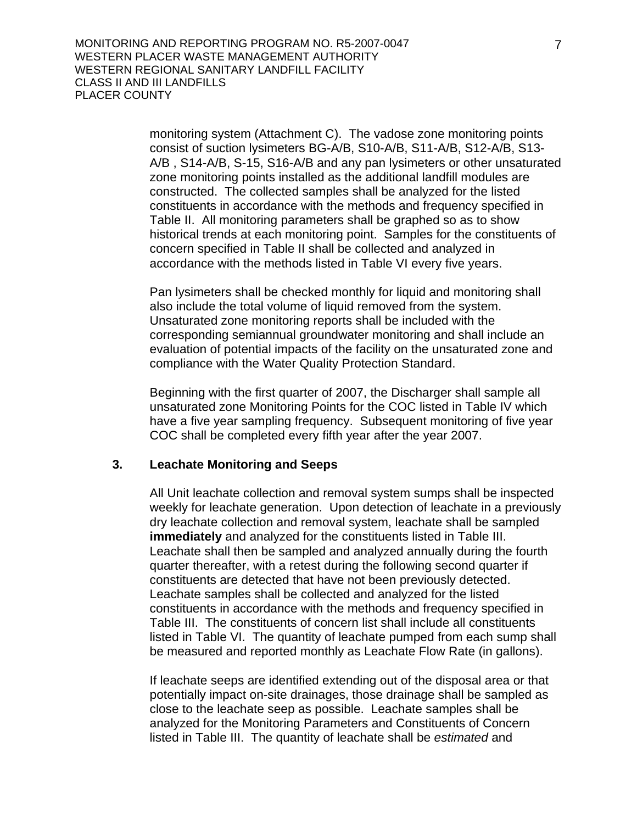monitoring system (Attachment C). The vadose zone monitoring points consist of suction lysimeters BG-A/B, S10-A/B, S11-A/B, S12-A/B, S13- A/B , S14-A/B, S-15, S16-A/B and any pan lysimeters or other unsaturated zone monitoring points installed as the additional landfill modules are constructed. The collected samples shall be analyzed for the listed constituents in accordance with the methods and frequency specified in Table II. All monitoring parameters shall be graphed so as to show historical trends at each monitoring point. Samples for the constituents of concern specified in Table II shall be collected and analyzed in accordance with the methods listed in Table VI every five years.

Pan lysimeters shall be checked monthly for liquid and monitoring shall also include the total volume of liquid removed from the system. Unsaturated zone monitoring reports shall be included with the corresponding semiannual groundwater monitoring and shall include an evaluation of potential impacts of the facility on the unsaturated zone and compliance with the Water Quality Protection Standard.

Beginning with the first quarter of 2007, the Discharger shall sample all unsaturated zone Monitoring Points for the COC listed in Table IV which have a five year sampling frequency. Subsequent monitoring of five year COC shall be completed every fifth year after the year 2007.

## **3. Leachate Monitoring and Seeps**

All Unit leachate collection and removal system sumps shall be inspected weekly for leachate generation. Upon detection of leachate in a previously dry leachate collection and removal system, leachate shall be sampled **immediately** and analyzed for the constituents listed in Table III. Leachate shall then be sampled and analyzed annually during the fourth quarter thereafter, with a retest during the following second quarter if constituents are detected that have not been previously detected. Leachate samples shall be collected and analyzed for the listed constituents in accordance with the methods and frequency specified in Table III. The constituents of concern list shall include all constituents listed in Table VI. The quantity of leachate pumped from each sump shall be measured and reported monthly as Leachate Flow Rate (in gallons).

If leachate seeps are identified extending out of the disposal area or that potentially impact on-site drainages, those drainage shall be sampled as close to the leachate seep as possible. Leachate samples shall be analyzed for the Monitoring Parameters and Constituents of Concern listed in Table III. The quantity of leachate shall be *estimated* and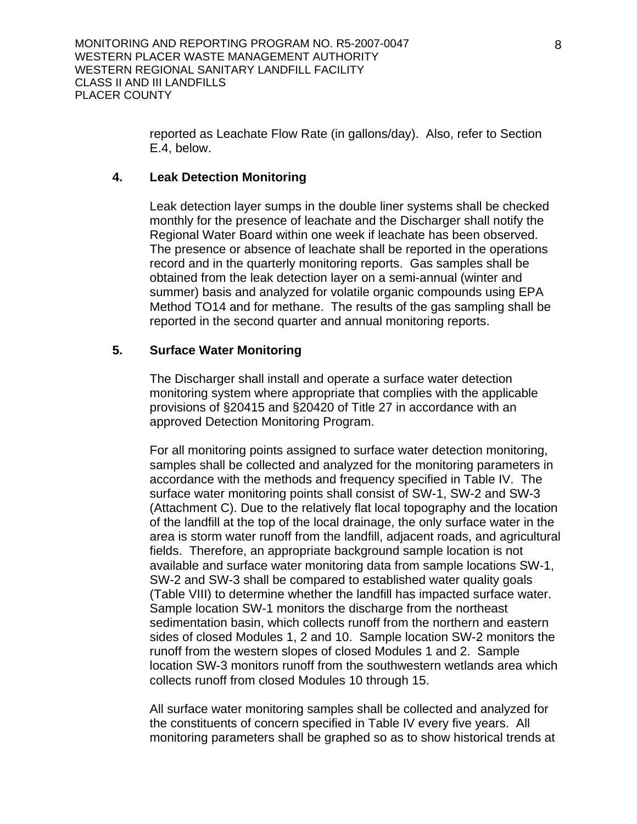reported as Leachate Flow Rate (in gallons/day). Also, refer to Section E.4, below.

#### **4. Leak Detection Monitoring**

Leak detection layer sumps in the double liner systems shall be checked monthly for the presence of leachate and the Discharger shall notify the Regional Water Board within one week if leachate has been observed. The presence or absence of leachate shall be reported in the operations record and in the quarterly monitoring reports. Gas samples shall be obtained from the leak detection layer on a semi-annual (winter and summer) basis and analyzed for volatile organic compounds using EPA Method TO14 and for methane. The results of the gas sampling shall be reported in the second quarter and annual monitoring reports.

## **5. Surface Water Monitoring**

The Discharger shall install and operate a surface water detection monitoring system where appropriate that complies with the applicable provisions of §20415 and §20420 of Title 27 in accordance with an approved Detection Monitoring Program.

For all monitoring points assigned to surface water detection monitoring, samples shall be collected and analyzed for the monitoring parameters in accordance with the methods and frequency specified in Table IV. The surface water monitoring points shall consist of SW-1, SW-2 and SW-3 (Attachment C). Due to the relatively flat local topography and the location of the landfill at the top of the local drainage, the only surface water in the area is storm water runoff from the landfill, adjacent roads, and agricultural fields. Therefore, an appropriate background sample location is not available and surface water monitoring data from sample locations SW-1, SW-2 and SW-3 shall be compared to established water quality goals (Table VIII) to determine whether the landfill has impacted surface water. Sample location SW-1 monitors the discharge from the northeast sedimentation basin, which collects runoff from the northern and eastern sides of closed Modules 1, 2 and 10. Sample location SW-2 monitors the runoff from the western slopes of closed Modules 1 and 2. Sample location SW-3 monitors runoff from the southwestern wetlands area which collects runoff from closed Modules 10 through 15.

All surface water monitoring samples shall be collected and analyzed for the constituents of concern specified in Table IV every five years. All monitoring parameters shall be graphed so as to show historical trends at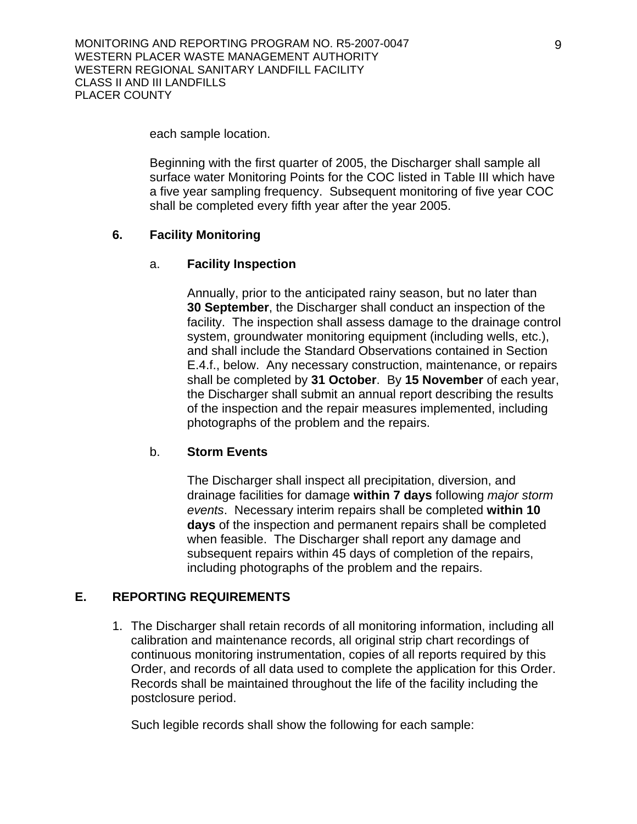each sample location.

Beginning with the first quarter of 2005, the Discharger shall sample all surface water Monitoring Points for the COC listed in Table III which have a five year sampling frequency. Subsequent monitoring of five year COC shall be completed every fifth year after the year 2005.

## **6. Facility Monitoring**

#### a. **Facility Inspection**

Annually, prior to the anticipated rainy season, but no later than **30 September**, the Discharger shall conduct an inspection of the facility. The inspection shall assess damage to the drainage control system, groundwater monitoring equipment (including wells, etc.), and shall include the Standard Observations contained in Section E.4.f., below. Any necessary construction, maintenance, or repairs shall be completed by **31 October**. By **15 November** of each year, the Discharger shall submit an annual report describing the results of the inspection and the repair measures implemented, including photographs of the problem and the repairs.

#### b. **Storm Events**

The Discharger shall inspect all precipitation, diversion, and drainage facilities for damage **within 7 days** following *major storm events*. Necessary interim repairs shall be completed **within 10 days** of the inspection and permanent repairs shall be completed when feasible. The Discharger shall report any damage and subsequent repairs within 45 days of completion of the repairs, including photographs of the problem and the repairs.

## **E. REPORTING REQUIREMENTS**

1. The Discharger shall retain records of all monitoring information, including all calibration and maintenance records, all original strip chart recordings of continuous monitoring instrumentation, copies of all reports required by this Order, and records of all data used to complete the application for this Order. Records shall be maintained throughout the life of the facility including the postclosure period.

Such legible records shall show the following for each sample: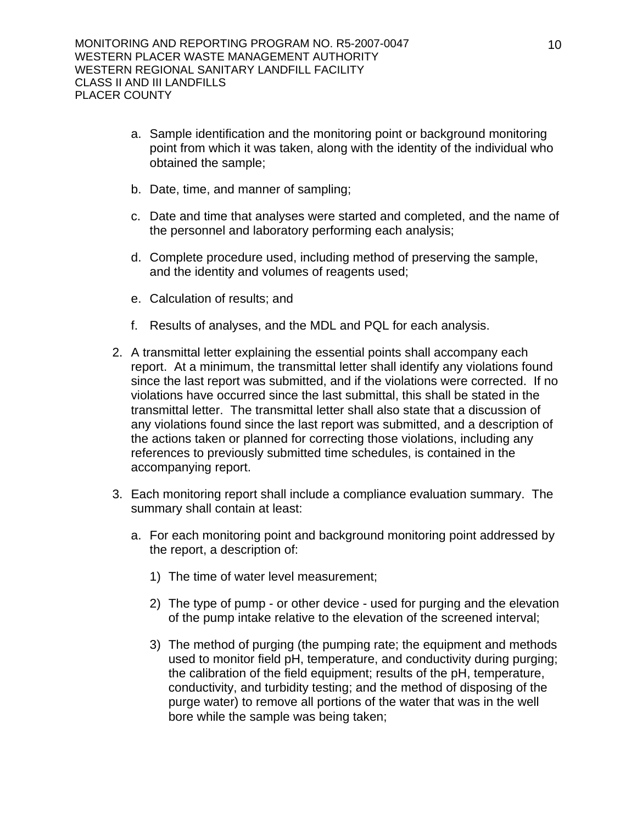- a. Sample identification and the monitoring point or background monitoring point from which it was taken, along with the identity of the individual who obtained the sample;
- b. Date, time, and manner of sampling;
- c. Date and time that analyses were started and completed, and the name of the personnel and laboratory performing each analysis;
- d. Complete procedure used, including method of preserving the sample, and the identity and volumes of reagents used;
- e. Calculation of results; and
- f. Results of analyses, and the MDL and PQL for each analysis.
- 2. A transmittal letter explaining the essential points shall accompany each report. At a minimum, the transmittal letter shall identify any violations found since the last report was submitted, and if the violations were corrected. If no violations have occurred since the last submittal, this shall be stated in the transmittal letter. The transmittal letter shall also state that a discussion of any violations found since the last report was submitted, and a description of the actions taken or planned for correcting those violations, including any references to previously submitted time schedules, is contained in the accompanying report.
- 3. Each monitoring report shall include a compliance evaluation summary. The summary shall contain at least:
	- a. For each monitoring point and background monitoring point addressed by the report, a description of:
		- 1) The time of water level measurement;
		- 2) The type of pump or other device used for purging and the elevation of the pump intake relative to the elevation of the screened interval;
		- 3) The method of purging (the pumping rate; the equipment and methods used to monitor field pH, temperature, and conductivity during purging; the calibration of the field equipment; results of the pH, temperature, conductivity, and turbidity testing; and the method of disposing of the purge water) to remove all portions of the water that was in the well bore while the sample was being taken;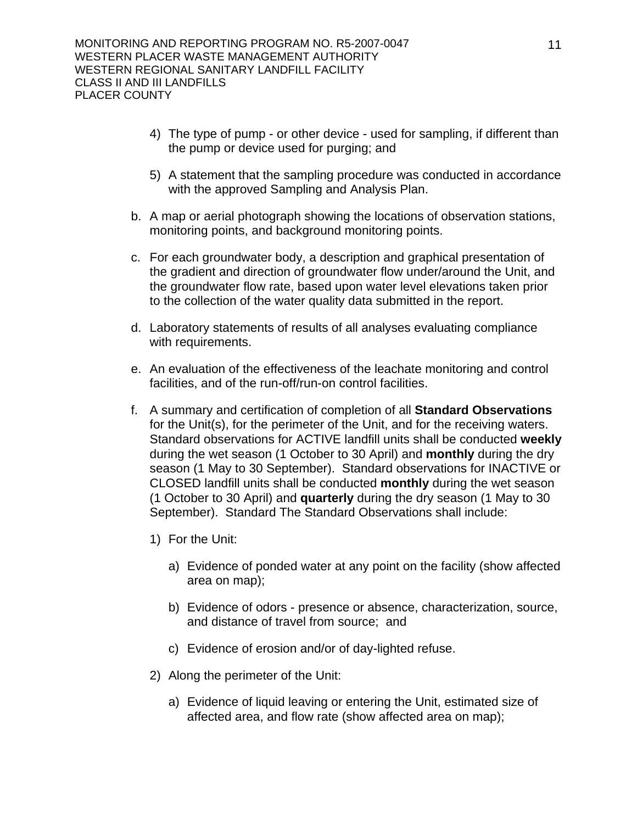- 4) The type of pump or other device used for sampling, if different than the pump or device used for purging; and
- 5) A statement that the sampling procedure was conducted in accordance with the approved Sampling and Analysis Plan.
- b. A map or aerial photograph showing the locations of observation stations, monitoring points, and background monitoring points.
- c. For each groundwater body, a description and graphical presentation of the gradient and direction of groundwater flow under/around the Unit, and the groundwater flow rate, based upon water level elevations taken prior to the collection of the water quality data submitted in the report.
- d. Laboratory statements of results of all analyses evaluating compliance with requirements.
- e. An evaluation of the effectiveness of the leachate monitoring and control facilities, and of the run-off/run-on control facilities.
- f. A summary and certification of completion of all **Standard Observations** for the Unit(s), for the perimeter of the Unit, and for the receiving waters. Standard observations for ACTIVE landfill units shall be conducted **weekly** during the wet season (1 October to 30 April) and **monthly** during the dry season (1 May to 30 September). Standard observations for INACTIVE or CLOSED landfill units shall be conducted **monthly** during the wet season (1 October to 30 April) and **quarterly** during the dry season (1 May to 30 September). Standard The Standard Observations shall include:
	- 1) For the Unit:
		- a) Evidence of ponded water at any point on the facility (show affected area on map);
		- b) Evidence of odors presence or absence, characterization, source, and distance of travel from source; and
		- c) Evidence of erosion and/or of day-lighted refuse.
	- 2) Along the perimeter of the Unit:
		- a) Evidence of liquid leaving or entering the Unit, estimated size of affected area, and flow rate (show affected area on map);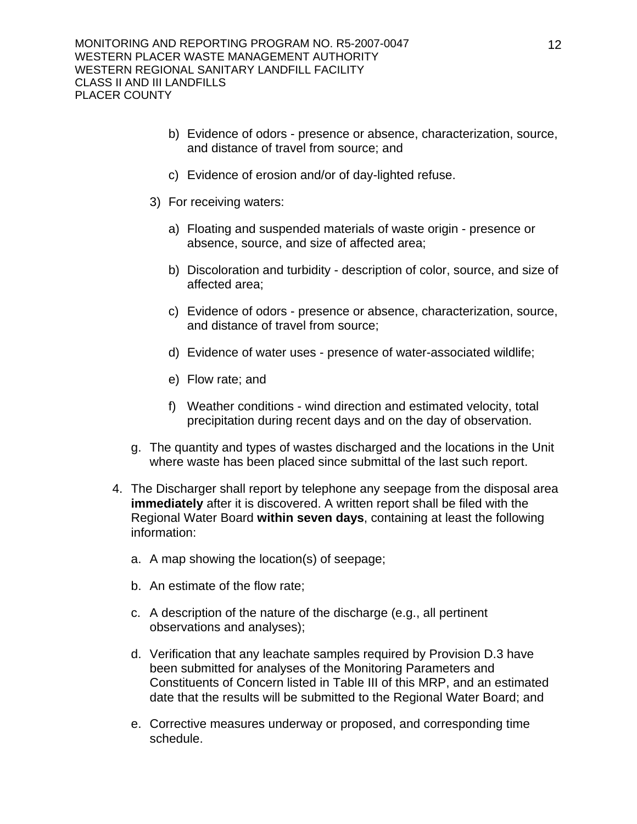- b) Evidence of odors presence or absence, characterization, source, and distance of travel from source; and
- c) Evidence of erosion and/or of day-lighted refuse.
- 3) For receiving waters:
	- a) Floating and suspended materials of waste origin presence or absence, source, and size of affected area;
	- b) Discoloration and turbidity description of color, source, and size of affected area;
	- c) Evidence of odors presence or absence, characterization, source, and distance of travel from source;
	- d) Evidence of water uses presence of water-associated wildlife;
	- e) Flow rate; and
	- f) Weather conditions wind direction and estimated velocity, total precipitation during recent days and on the day of observation.
- g. The quantity and types of wastes discharged and the locations in the Unit where waste has been placed since submittal of the last such report.
- 4. The Discharger shall report by telephone any seepage from the disposal area **immediately** after it is discovered. A written report shall be filed with the Regional Water Board **within seven days**, containing at least the following information:
	- a. A map showing the location(s) of seepage;
	- b. An estimate of the flow rate;
	- c. A description of the nature of the discharge (e.g., all pertinent observations and analyses);
	- d. Verification that any leachate samples required by Provision D.3 have been submitted for analyses of the Monitoring Parameters and Constituents of Concern listed in Table III of this MRP, and an estimated date that the results will be submitted to the Regional Water Board; and
	- e. Corrective measures underway or proposed, and corresponding time schedule.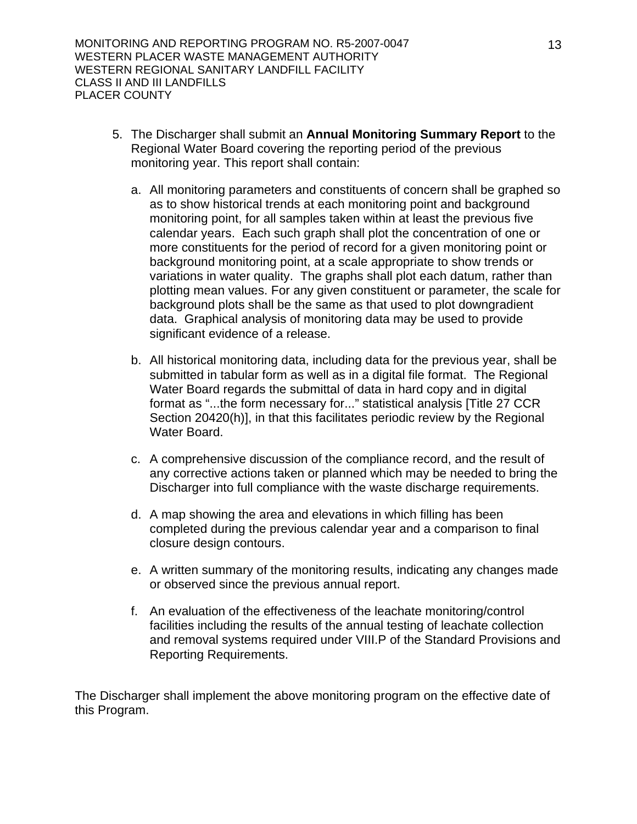- 5. The Discharger shall submit an **Annual Monitoring Summary Report** to the Regional Water Board covering the reporting period of the previous monitoring year. This report shall contain:
	- a. All monitoring parameters and constituents of concern shall be graphed so as to show historical trends at each monitoring point and background monitoring point, for all samples taken within at least the previous five calendar years. Each such graph shall plot the concentration of one or more constituents for the period of record for a given monitoring point or background monitoring point, at a scale appropriate to show trends or variations in water quality. The graphs shall plot each datum, rather than plotting mean values. For any given constituent or parameter, the scale for background plots shall be the same as that used to plot downgradient data. Graphical analysis of monitoring data may be used to provide significant evidence of a release.
	- b. All historical monitoring data, including data for the previous year, shall be submitted in tabular form as well as in a digital file format. The Regional Water Board regards the submittal of data in hard copy and in digital format as "...the form necessary for..." statistical analysis [Title 27 CCR Section 20420(h)], in that this facilitates periodic review by the Regional Water Board.
	- c. A comprehensive discussion of the compliance record, and the result of any corrective actions taken or planned which may be needed to bring the Discharger into full compliance with the waste discharge requirements.
	- d. A map showing the area and elevations in which filling has been completed during the previous calendar year and a comparison to final closure design contours.
	- e. A written summary of the monitoring results, indicating any changes made or observed since the previous annual report.
	- f. An evaluation of the effectiveness of the leachate monitoring/control facilities including the results of the annual testing of leachate collection and removal systems required under VIII.P of the Standard Provisions and Reporting Requirements.

The Discharger shall implement the above monitoring program on the effective date of this Program.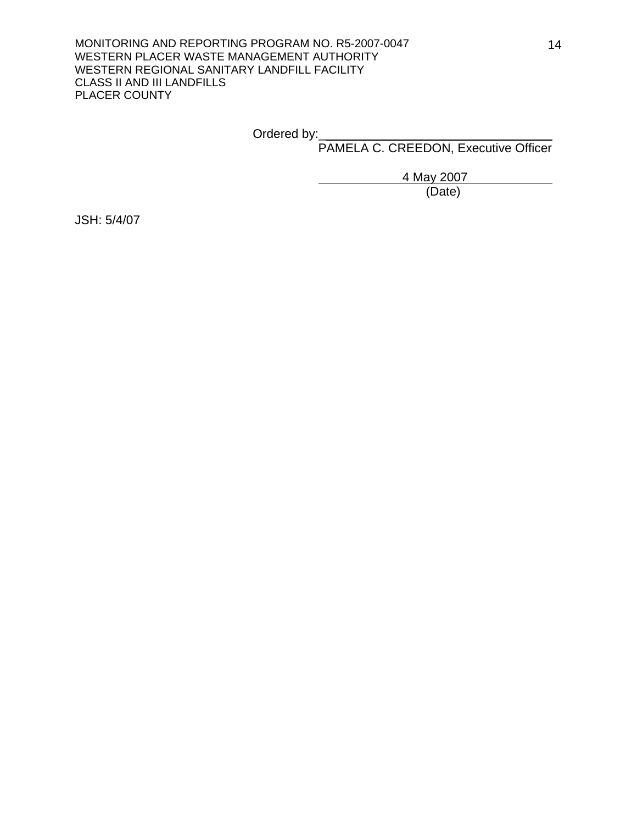Ordered by:\_

PAMELA C. CREEDON, Executive Officer

4 May 2007

(Date)

JSH: 5/4/07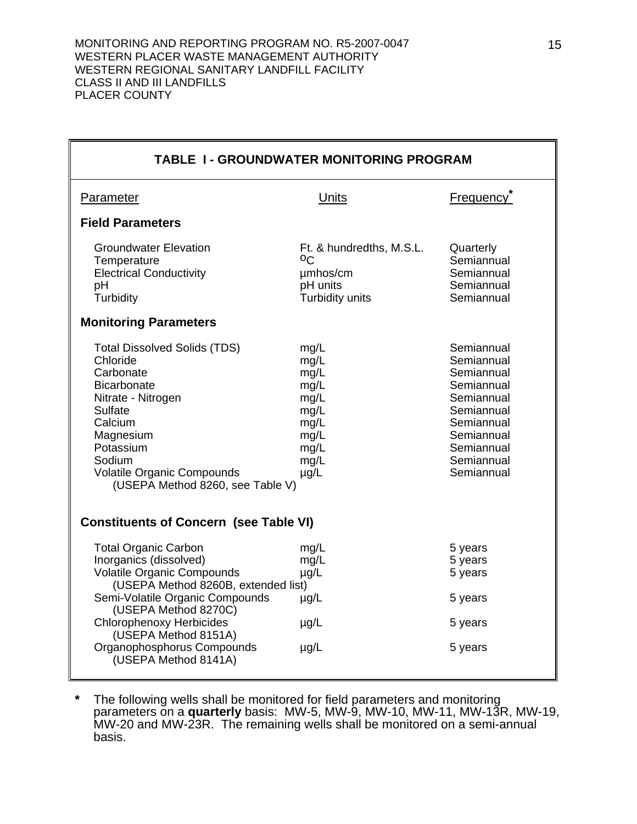| <b>TABLE 1 - GROUNDWATER MONITORING PROGRAM</b>                                                                                                                                                                                                                                                                                                                                                                                                                                                                                                     |                                                                                       |                                                                   |  |  |
|-----------------------------------------------------------------------------------------------------------------------------------------------------------------------------------------------------------------------------------------------------------------------------------------------------------------------------------------------------------------------------------------------------------------------------------------------------------------------------------------------------------------------------------------------------|---------------------------------------------------------------------------------------|-------------------------------------------------------------------|--|--|
| Parameter                                                                                                                                                                                                                                                                                                                                                                                                                                                                                                                                           | Units                                                                                 | Frequency <sup>®</sup>                                            |  |  |
| <b>Field Parameters</b>                                                                                                                                                                                                                                                                                                                                                                                                                                                                                                                             |                                                                                       |                                                                   |  |  |
| <b>Groundwater Elevation</b><br>Temperature<br><b>Electrical Conductivity</b><br>рH<br>Turbidity                                                                                                                                                                                                                                                                                                                                                                                                                                                    | Ft. & hundredths, M.S.L.<br><sup>O</sup> C<br>umhos/cm<br>pH units<br>Turbidity units | Quarterly<br>Semiannual<br>Semiannual<br>Semiannual<br>Semiannual |  |  |
| <b>Monitoring Parameters</b>                                                                                                                                                                                                                                                                                                                                                                                                                                                                                                                        |                                                                                       |                                                                   |  |  |
| <b>Total Dissolved Solids (TDS)</b><br>Semiannual<br>mg/L<br>Chloride<br>mg/L<br>Semiannual<br>Carbonate<br>Semiannual<br>mg/L<br>Semiannual<br><b>Bicarbonate</b><br>mg/L<br>Nitrate - Nitrogen<br>Semiannual<br>mg/L<br>Sulfate<br>mg/L<br>Semiannual<br>Calcium<br>Semiannual<br>mg/L<br>Semiannual<br>mg/L<br>Magnesium<br>Potassium<br>mg/L<br>Semiannual<br>Semiannual<br>Sodium<br>mg/L<br><b>Volatile Organic Compounds</b><br>Semiannual<br>$\mu$ g/L<br>(USEPA Method 8260, see Table V)<br><b>Constituents of Concern (see Table VI)</b> |                                                                                       |                                                                   |  |  |
| <b>Total Organic Carbon</b>                                                                                                                                                                                                                                                                                                                                                                                                                                                                                                                         | mg/L                                                                                  | 5 years                                                           |  |  |
| Inorganics (dissolved)<br><b>Volatile Organic Compounds</b><br>(USEPA Method 8260B, extended list)                                                                                                                                                                                                                                                                                                                                                                                                                                                  | mg/L<br>$\mu$ g/L                                                                     | 5 years<br>5 years                                                |  |  |
| Semi-Volatile Organic Compounds<br>(USEPA Method 8270C)                                                                                                                                                                                                                                                                                                                                                                                                                                                                                             | $\mu$ g/L                                                                             | 5 years                                                           |  |  |
| <b>Chlorophenoxy Herbicides</b><br>(USEPA Method 8151A)                                                                                                                                                                                                                                                                                                                                                                                                                                                                                             | $\mu$ g/L                                                                             | 5 years                                                           |  |  |
| Organophosphorus Compounds<br>(USEPA Method 8141A)                                                                                                                                                                                                                                                                                                                                                                                                                                                                                                  | $\mu$ g/L                                                                             | 5 years                                                           |  |  |

**\*** The following wells shall be monitored for field parameters and monitoring parameters on a **quarterly** basis: MW-5, MW-9, MW-10, MW-11, MW-13R, MW-19, MW-20 and MW-23R. The remaining wells shall be monitored on a semi-annual basis.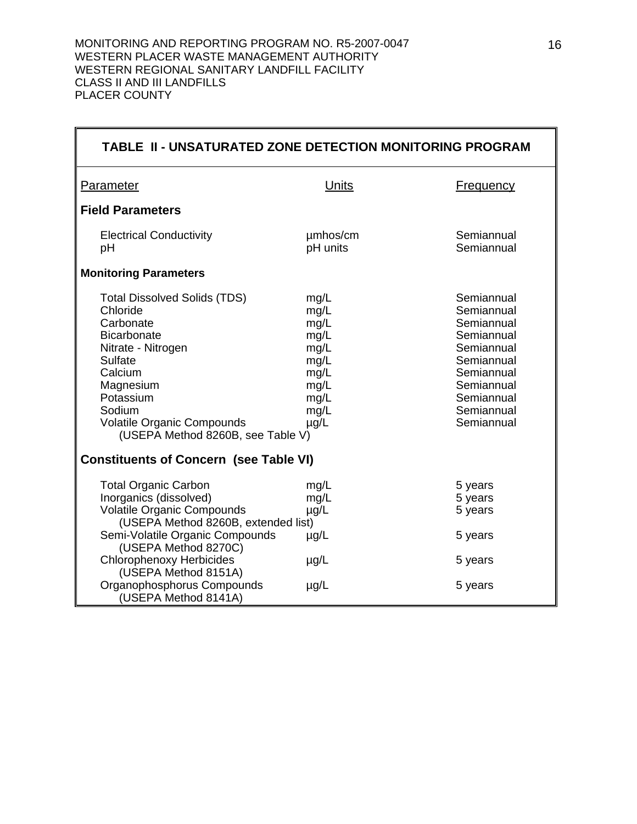| TABLE II - UNSATURATED ZONE DETECTION MONITORING PROGRAM                                                                                                                                                                                                                                                                                                                                                                                                                                                                                             |                           |                               |  |  |  |
|------------------------------------------------------------------------------------------------------------------------------------------------------------------------------------------------------------------------------------------------------------------------------------------------------------------------------------------------------------------------------------------------------------------------------------------------------------------------------------------------------------------------------------------------------|---------------------------|-------------------------------|--|--|--|
| <b>Parameter</b>                                                                                                                                                                                                                                                                                                                                                                                                                                                                                                                                     | Units                     | <b>Frequency</b>              |  |  |  |
| <b>Field Parameters</b>                                                                                                                                                                                                                                                                                                                                                                                                                                                                                                                              |                           |                               |  |  |  |
| <b>Electrical Conductivity</b><br>pH                                                                                                                                                                                                                                                                                                                                                                                                                                                                                                                 | umhos/cm<br>pH units      | Semiannual<br>Semiannual      |  |  |  |
| <b>Monitoring Parameters</b>                                                                                                                                                                                                                                                                                                                                                                                                                                                                                                                         |                           |                               |  |  |  |
| Semiannual<br><b>Total Dissolved Solids (TDS)</b><br>mg/L<br>Chloride<br>mg/L<br>Semiannual<br>Carbonate<br>mg/L<br>Semiannual<br><b>Bicarbonate</b><br>mg/L<br>Semiannual<br>Nitrate - Nitrogen<br>mg/L<br>Semiannual<br>Sulfate<br>mg/L<br>Semiannual<br>Calcium<br>mg/L<br>Semiannual<br>Magnesium<br>mg/L<br>Semiannual<br>Potassium<br>mg/L<br>Semiannual<br>Semiannual<br>Sodium<br>mg/L<br><b>Volatile Organic Compounds</b><br>Semiannual<br>$\mu$ g/L<br>(USEPA Method 8260B, see Table V)<br><b>Constituents of Concern (see Table VI)</b> |                           |                               |  |  |  |
| <b>Total Organic Carbon</b><br>Inorganics (dissolved)<br><b>Volatile Organic Compounds</b><br>(USEPA Method 8260B, extended list)                                                                                                                                                                                                                                                                                                                                                                                                                    | mg/L<br>mg/L<br>$\mu$ g/L | 5 years<br>5 years<br>5 years |  |  |  |
| Semi-Volatile Organic Compounds<br>(USEPA Method 8270C)<br><b>Chlorophenoxy Herbicides</b><br>(USEPA Method 8151A)                                                                                                                                                                                                                                                                                                                                                                                                                                   | $\mu$ g/L<br>$\mu$ g/L    | 5 years<br>5 years            |  |  |  |
| Organophosphorus Compounds<br>(USEPA Method 8141A)                                                                                                                                                                                                                                                                                                                                                                                                                                                                                                   | $\mu$ g/L                 | 5 years                       |  |  |  |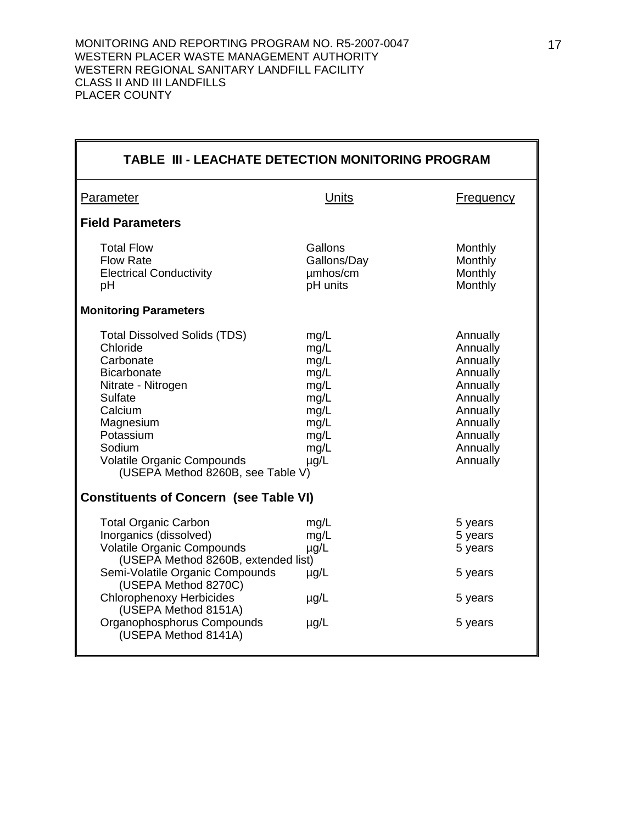| <b>TABLE III - LEACHATE DETECTION MONITORING PROGRAM</b>                                                                                                                                                                                                                                                                                                                                                                                                                                                                       |                                                |                                          |  |  |
|--------------------------------------------------------------------------------------------------------------------------------------------------------------------------------------------------------------------------------------------------------------------------------------------------------------------------------------------------------------------------------------------------------------------------------------------------------------------------------------------------------------------------------|------------------------------------------------|------------------------------------------|--|--|
| <b>Parameter</b>                                                                                                                                                                                                                                                                                                                                                                                                                                                                                                               | Units                                          | <b>Frequency</b>                         |  |  |
| <b>Field Parameters</b>                                                                                                                                                                                                                                                                                                                                                                                                                                                                                                        |                                                |                                          |  |  |
| <b>Total Flow</b><br><b>Flow Rate</b><br><b>Electrical Conductivity</b><br>pH                                                                                                                                                                                                                                                                                                                                                                                                                                                  | Gallons<br>Gallons/Day<br>umhos/cm<br>pH units | Monthly<br>Monthly<br>Monthly<br>Monthly |  |  |
| <b>Monitoring Parameters</b>                                                                                                                                                                                                                                                                                                                                                                                                                                                                                                   |                                                |                                          |  |  |
| <b>Total Dissolved Solids (TDS)</b><br>mg/L<br>Annually<br>Chloride<br>mg/L<br>Annually<br>Carbonate<br>Annually<br>mg/L<br><b>Bicarbonate</b><br>mg/L<br>Annually<br>Nitrate - Nitrogen<br>Annually<br>mg/L<br>Annually<br>Sulfate<br>mg/L<br>Calcium<br>mg/L<br>Annually<br>mg/L<br>Annually<br>Magnesium<br>Potassium<br>Annually<br>mg/L<br>Sodium<br>Annually<br>mg/L<br><b>Volatile Organic Compounds</b><br>Annually<br>$\mu$ g/L<br>(USEPA Method 8260B, see Table V)<br><b>Constituents of Concern (see Table VI)</b> |                                                |                                          |  |  |
| <b>Total Organic Carbon</b><br>Inorganics (dissolved)<br><b>Volatile Organic Compounds</b><br>(USEPA Method 8260B, extended list)<br>Semi-Volatile Organic Compounds<br>(USEPA Method 8270C)                                                                                                                                                                                                                                                                                                                                   | mg/L<br>mg/L<br>$\mu$ g/L<br>$\mu$ g/L         | 5 years<br>5 years<br>5 years<br>5 years |  |  |
| <b>Chlorophenoxy Herbicides</b><br>(USEPA Method 8151A)<br>Organophosphorus Compounds<br>(USEPA Method 8141A)                                                                                                                                                                                                                                                                                                                                                                                                                  | $\mu$ g/L<br>$\mu$ g/L                         | 5 years<br>5 years                       |  |  |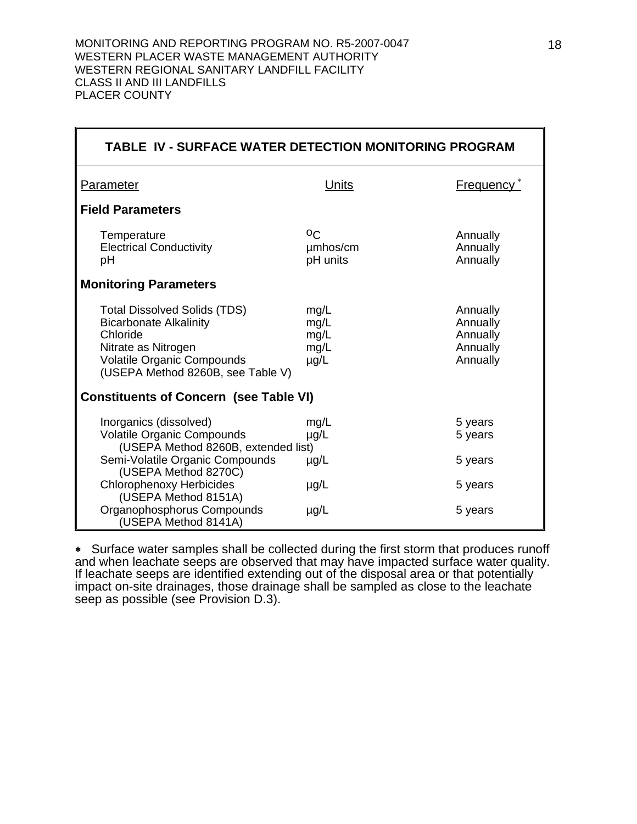| TABLE IV - SURFACE WATER DETECTION MONITORING PROGRAM                                                                                                                             |                                           |                                                          |  |  |
|-----------------------------------------------------------------------------------------------------------------------------------------------------------------------------------|-------------------------------------------|----------------------------------------------------------|--|--|
| Parameter                                                                                                                                                                         | Units                                     | Frequency <sup>*</sup>                                   |  |  |
| <b>Field Parameters</b>                                                                                                                                                           |                                           |                                                          |  |  |
| Temperature<br><b>Electrical Conductivity</b><br>рH                                                                                                                               | $^{\circ}$<br>umhos/cm<br>pH units        | Annually<br>Annually<br>Annually                         |  |  |
| <b>Monitoring Parameters</b>                                                                                                                                                      |                                           |                                                          |  |  |
| <b>Total Dissolved Solids (TDS)</b><br><b>Bicarbonate Alkalinity</b><br>Chloride<br>Nitrate as Nitrogen<br><b>Volatile Organic Compounds</b><br>(USEPA Method 8260B, see Table V) | mg/L<br>mg/L<br>mg/L<br>mg/L<br>$\mu$ g/L | Annually<br>Annually<br>Annually<br>Annually<br>Annually |  |  |
| <b>Constituents of Concern (see Table VI)</b>                                                                                                                                     |                                           |                                                          |  |  |
| Inorganics (dissolved)<br><b>Volatile Organic Compounds</b><br>(USEPA Method 8260B, extended list)                                                                                | mg/L<br>µg/L                              | 5 years<br>5 years                                       |  |  |
| Semi-Volatile Organic Compounds<br>(USEPA Method 8270C)                                                                                                                           | $\mu$ g/L                                 | 5 years                                                  |  |  |
| <b>Chlorophenoxy Herbicides</b><br>(USEPA Method 8151A)                                                                                                                           | $\mu$ g/L                                 | 5 years                                                  |  |  |
| Organophosphorus Compounds<br>(USEPA Method 8141A)                                                                                                                                | $\mu$ g/L                                 | 5 years                                                  |  |  |

∗Surface water samples shall be collected during the first storm that produces runoff and when leachate seeps are observed that may have impacted surface water quality. If leachate seeps are identified extending out of the disposal area or that potentially impact on-site drainages, those drainage shall be sampled as close to the leachate seep as possible (see Provision D.3).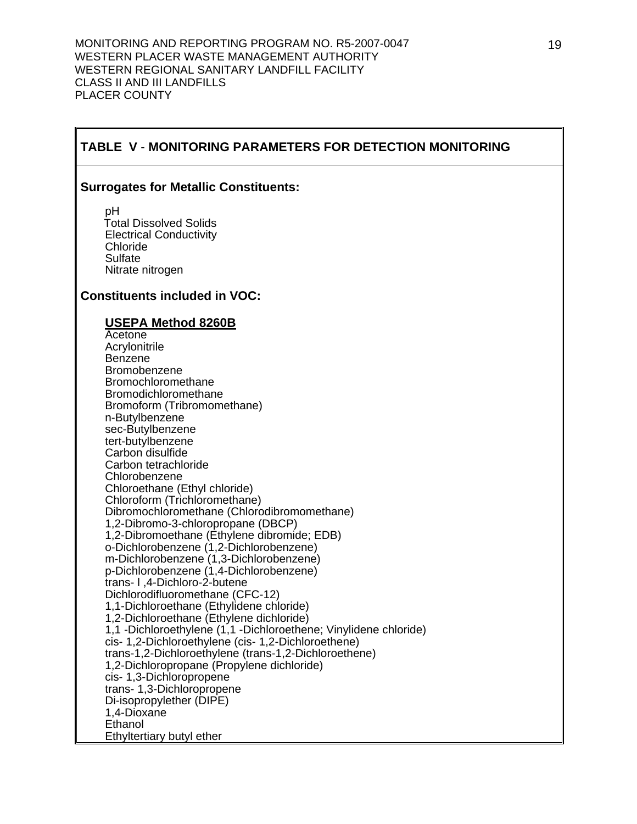# **TABLE V** - **MONITORING PARAMETERS FOR DETECTION MONITORING**

#### **Surrogates for Metallic Constituents:**

 pH Total Dissolved Solids Electrical Conductivity Chloride Sulfate Nitrate nitrogen

## **Constituents included in VOC:**

#### **USEPA Method 8260B**

 Acetone **Acrylonitrile**  Benzene Bromobenzene Bromochloromethane Bromodichloromethane Bromoform (Tribromomethane) n-Butylbenzene sec-Butylbenzene tert-butylbenzene Carbon disulfide Carbon tetrachloride Chlorobenzene Chloroethane (Ethyl chloride) Chloroform (Trichloromethane) Dibromochloromethane (Chlorodibromomethane) 1,2-Dibromo-3-chloropropane (DBCP) 1,2-Dibromoethane (Ethylene dibromide; EDB) o-Dichlorobenzene (1,2-Dichlorobenzene) m-Dichlorobenzene (1,3-Dichlorobenzene) p-Dichlorobenzene (1,4-Dichlorobenzene) trans- l ,4-Dichloro-2-butene Dichlorodifluoromethane (CFC-12) 1,1-Dichloroethane (Ethylidene chloride) 1,2-Dichloroethane (Ethylene dichloride) 1,1 -Dichloroethylene (1,1 -Dichloroethene; Vinylidene chloride) cis- 1,2-Dichloroethylene (cis- 1,2-Dichloroethene) trans-1,2-Dichloroethylene (trans-1,2-Dichloroethene) 1,2-Dichloropropane (Propylene dichloride) cis- 1,3-Dichloropropene trans- 1,3-Dichloropropene Di-isopropylether (DIPE) 1,4-Dioxane Ethanol Ethyltertiary butyl ether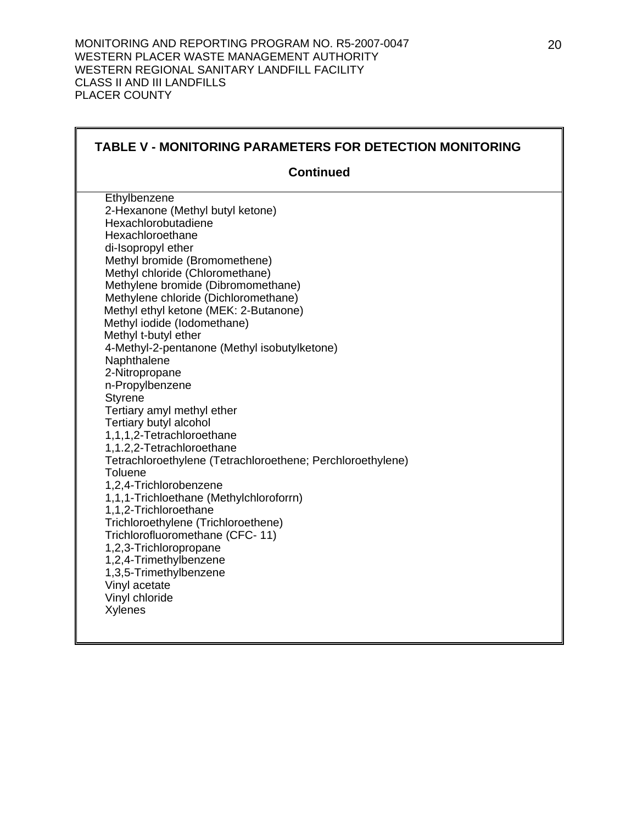|                                                                  |                                                            | <b>TABLE V - MONITORING PARAMETERS FOR DETECTION MONITORING</b> |
|------------------------------------------------------------------|------------------------------------------------------------|-----------------------------------------------------------------|
|                                                                  | <b>Continued</b>                                           |                                                                 |
| Ethylbenzene                                                     |                                                            |                                                                 |
| 2-Hexanone (Methyl butyl ketone)                                 |                                                            |                                                                 |
| Hexachlorobutadiene                                              |                                                            |                                                                 |
| Hexachloroethane                                                 |                                                            |                                                                 |
| di-Isopropyl ether                                               |                                                            |                                                                 |
| Methyl bromide (Bromomethene)<br>Methyl chloride (Chloromethane) |                                                            |                                                                 |
| Methylene bromide (Dibromomethane)                               |                                                            |                                                                 |
| Methylene chloride (Dichloromethane)                             |                                                            |                                                                 |
| Methyl ethyl ketone (MEK: 2-Butanone)                            |                                                            |                                                                 |
| Methyl iodide (lodomethane)                                      |                                                            |                                                                 |
| Methyl t-butyl ether                                             |                                                            |                                                                 |
|                                                                  | 4-Methyl-2-pentanone (Methyl isobutylketone)               |                                                                 |
| Naphthalene                                                      |                                                            |                                                                 |
| 2-Nitropropane                                                   |                                                            |                                                                 |
| n-Propylbenzene                                                  |                                                            |                                                                 |
| <b>Styrene</b>                                                   |                                                            |                                                                 |
| Tertiary amyl methyl ether                                       |                                                            |                                                                 |
| Tertiary butyl alcohol                                           |                                                            |                                                                 |
| 1,1,1,2-Tetrachloroethane                                        |                                                            |                                                                 |
| 1,1.2,2-Tetrachloroethane                                        |                                                            |                                                                 |
|                                                                  | Tetrachloroethylene (Tetrachloroethene; Perchloroethylene) |                                                                 |
| Toluene                                                          |                                                            |                                                                 |
| 1,2,4-Trichlorobenzene                                           |                                                            |                                                                 |
| 1,1,1-Trichloethane (Methylchloroforrn)                          |                                                            |                                                                 |
| 1,1,2-Trichloroethane                                            |                                                            |                                                                 |
| Trichloroethylene (Trichloroethene)                              |                                                            |                                                                 |
| Trichlorofluoromethane (CFC-11)                                  |                                                            |                                                                 |
| 1,2,3-Trichloropropane                                           |                                                            |                                                                 |
| 1,2,4-Trimethylbenzene                                           |                                                            |                                                                 |
| 1,3,5-Trimethylbenzene                                           |                                                            |                                                                 |
| Vinyl acetate<br>Vinyl chloride                                  |                                                            |                                                                 |
| Xylenes                                                          |                                                            |                                                                 |
|                                                                  |                                                            |                                                                 |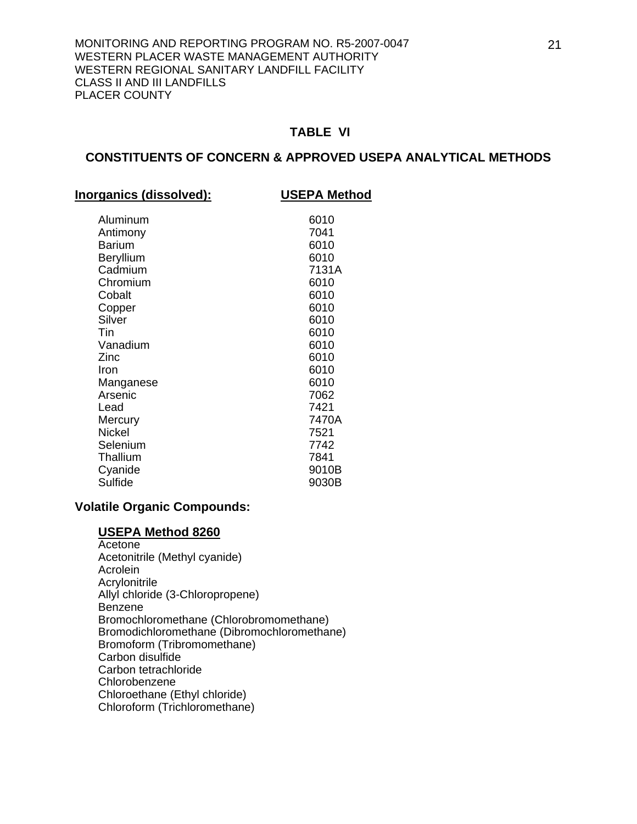#### **CONSTITUENTS OF CONCERN & APPROVED USEPA ANALYTICAL METHODS**

| <b>Inorganics (dissolved):</b> | <b>USEPA Method</b> |
|--------------------------------|---------------------|
| Aluminum                       | 6010                |
| Antimony                       | 7041                |
| <b>Barium</b>                  | 6010                |
| <b>Beryllium</b>               | 6010                |
| Cadmium                        | 7131A               |
| Chromium                       | 6010                |
| Cobalt                         | 6010                |
| Copper                         | 6010                |
| Silver                         | 6010                |
| Tin                            | 6010                |
| Vanadium                       | 6010                |
| Zinc                           | 6010                |
| Iron                           | 6010                |
| Manganese                      | 6010                |
| Arsenic                        | 7062                |
| Lead                           | 7421                |
| Mercury                        | 7470A               |
| Nickel                         | 7521                |
| Selenium                       | 7742                |
| Thallium                       | 7841                |
| Cyanide                        | 9010B               |
| Sulfide                        | 9030B               |

#### **Volatile Organic Compounds:**

#### **USEPA Method 8260**

**Acetone**  Acetonitrile (Methyl cyanide) Acrolein Acrylonitrile Allyl chloride (3-Chloropropene) Benzene Bromochloromethane (Chlorobromomethane) Bromodichloromethane (Dibromochloromethane) Bromoform (Tribromomethane) Carbon disulfide Carbon tetrachloride Chlorobenzene Chloroethane (Ethyl chloride) Chloroform (Trichloromethane)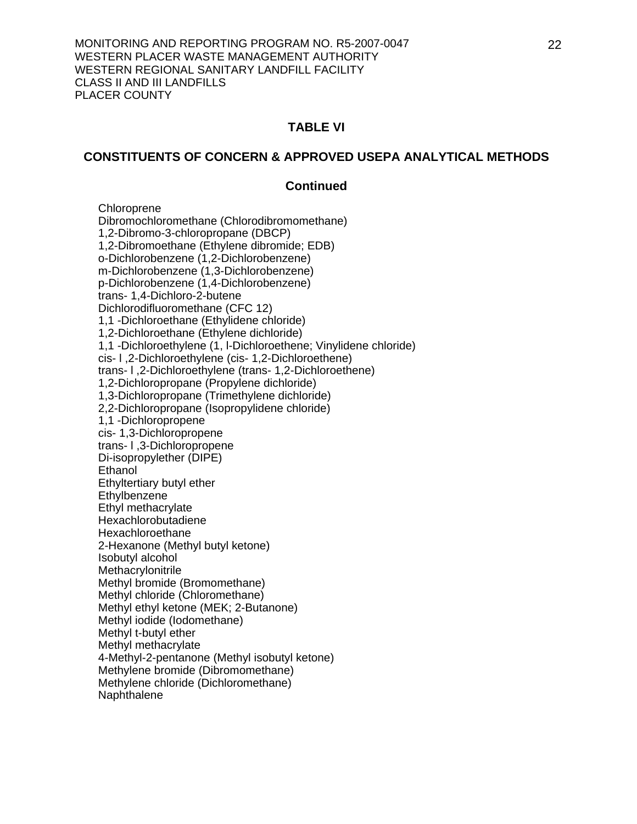#### **CONSTITUENTS OF CONCERN & APPROVED USEPA ANALYTICAL METHODS**

#### **Continued**

**Chloroprene**  Dibromochloromethane (Chlorodibromomethane) 1,2-Dibromo-3-chloropropane (DBCP) 1,2-Dibromoethane (Ethylene dibromide; EDB) o-Dichlorobenzene (1,2-Dichlorobenzene) m-Dichlorobenzene (1,3-Dichlorobenzene) p-Dichlorobenzene (1,4-Dichlorobenzene) trans- 1,4-Dichloro-2-butene Dichlorodifluoromethane (CFC 12) 1,1 -Dichloroethane (Ethylidene chloride) 1,2-Dichloroethane (Ethylene dichloride) 1,1 -Dichloroethylene (1, l-Dichloroethene; Vinylidene chloride) cis- l ,2-Dichloroethylene (cis- 1,2-Dichloroethene) trans- l ,2-Dichloroethylene (trans- 1,2-Dichloroethene) 1,2-Dichloropropane (Propylene dichloride) 1,3-Dichloropropane (Trimethylene dichloride) 2,2-Dichloropropane (Isopropylidene chloride) 1,1 -Dichloropropene cis- 1,3-Dichloropropene trans- l ,3-Dichloropropene Di-isopropylether (DIPE) **Ethanol**  Ethyltertiary butyl ether **Ethylbenzene**  Ethyl methacrylate Hexachlorobutadiene Hexachloroethane 2-Hexanone (Methyl butyl ketone) Isobutyl alcohol **Methacrylonitrile**  Methyl bromide (Bromomethane) Methyl chloride (Chloromethane) Methyl ethyl ketone (MEK; 2-Butanone) Methyl iodide (Iodomethane) Methyl t-butyl ether Methyl methacrylate 4-Methyl-2-pentanone (Methyl isobutyl ketone) Methylene bromide (Dibromomethane) Methylene chloride (Dichloromethane) Naphthalene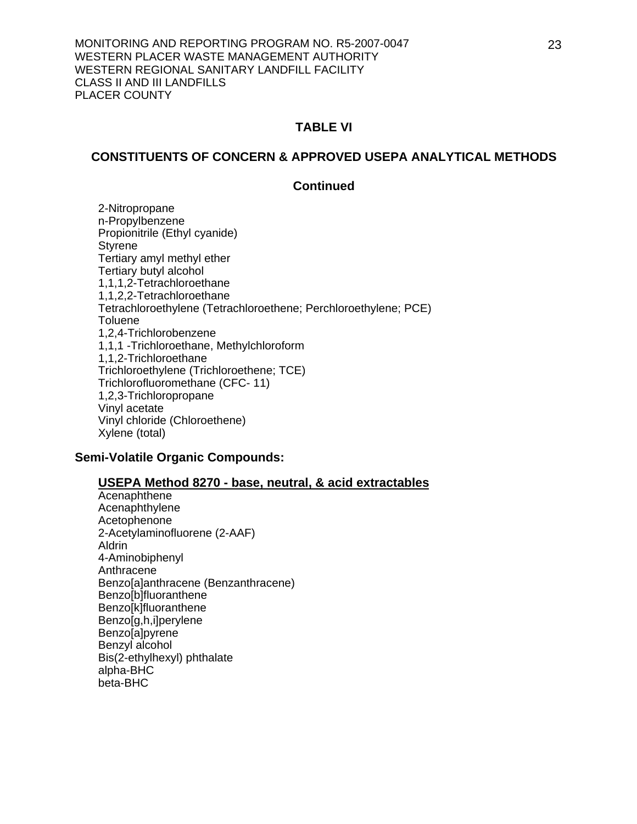#### **CONSTITUENTS OF CONCERN & APPROVED USEPA ANALYTICAL METHODS**

#### **Continued**

 2-Nitropropane n-Propylbenzene Propionitrile (Ethyl cyanide) **Styrene**  Tertiary amyl methyl ether Tertiary butyl alcohol 1,1,1,2-Tetrachloroethane 1,1,2,2-Tetrachloroethane Tetrachloroethylene (Tetrachloroethene; Perchloroethylene; PCE) **Toluene**  1,2,4-Trichlorobenzene 1,1,1 -Trichloroethane, Methylchloroform 1,1,2-Trichloroethane Trichloroethylene (Trichloroethene; TCE) Trichlorofluoromethane (CFC- 11) 1,2,3-Trichloropropane Vinyl acetate Vinyl chloride (Chloroethene) Xylene (total)

#### **Semi-Volatile Organic Compounds:**

#### **USEPA Method 8270 - base, neutral, & acid extractables**

**Acenaphthene**  Acenaphthylene Acetophenone 2-Acetylaminofluorene (2-AAF) Aldrin 4-Aminobiphenyl Anthracene Benzo[a]anthracene (Benzanthracene) Benzo[b]fluoranthene Benzo[k]fluoranthene Benzo[g,h,i]perylene Benzo[a]pyrene Benzyl alcohol Bis(2-ethylhexyl) phthalate alpha-BHC beta-BHC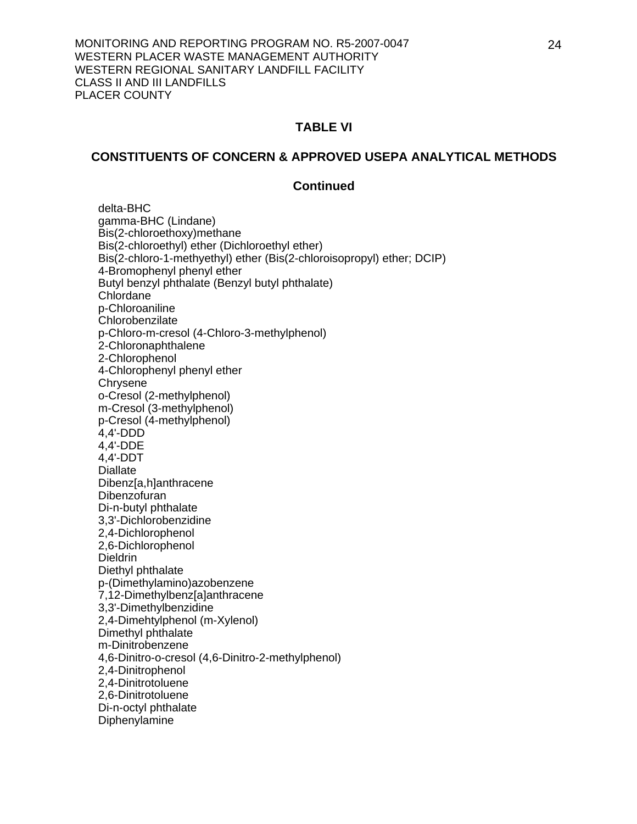#### **CONSTITUENTS OF CONCERN & APPROVED USEPA ANALYTICAL METHODS**

#### **Continued**

 delta-BHC gamma-BHC (Lindane) Bis(2-chloroethoxy)methane Bis(2-chloroethyl) ether (Dichloroethyl ether) Bis(2-chloro-1-methyethyl) ether (Bis(2-chloroisopropyl) ether; DCIP) 4-Bromophenyl phenyl ether Butyl benzyl phthalate (Benzyl butyl phthalate) Chlordane p-Chloroaniline **Chlorobenzilate** p-Chloro-m-cresol (4-Chloro-3-methylphenol) 2-Chloronaphthalene 2-Chlorophenol 4-Chlorophenyl phenyl ether **Chrysene** o-Cresol (2-methylphenol) m-Cresol (3-methylphenol) p-Cresol (4-methylphenol) 4,4'-DDD 4,4'-DDE 4,4'-DDT Diallate Dibenz[a,h]anthracene Dibenzofuran Di-n-butyl phthalate 3,3'-Dichlorobenzidine 2,4-Dichlorophenol 2,6-Dichlorophenol **Dieldrin**  Diethyl phthalate p-(Dimethylamino)azobenzene 7,12-Dimethylbenz[a]anthracene 3,3'-Dimethylbenzidine 2,4-Dimehtylphenol (m-Xylenol) Dimethyl phthalate m-Dinitrobenzene 4,6-Dinitro-o-cresol (4,6-Dinitro-2-methylphenol) 2,4-Dinitrophenol 2,4-Dinitrotoluene 2,6-Dinitrotoluene Di-n-octyl phthalate Diphenylamine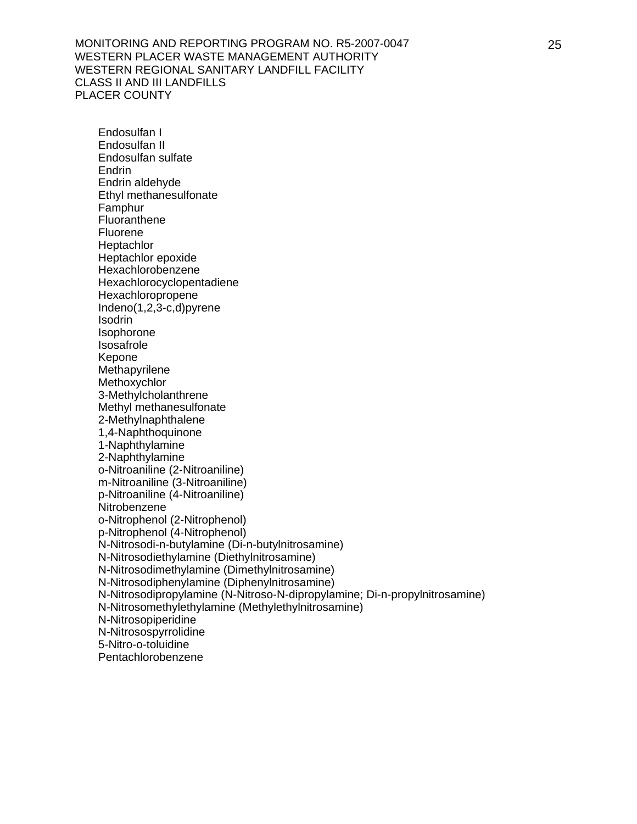Endosulfan I Endosulfan II Endosulfan sulfate Endrin Endrin aldehyde Ethyl methanesulfonate Famphur **Fluoranthene**  Fluorene **Heptachlor**  Heptachlor epoxide Hexachlorobenzene Hexachlorocyclopentadiene Hexachloropropene Indeno(1,2,3-c,d)pyrene Isodrin Isophorone Isosafrole Kepone Methapyrilene Methoxychlor 3-Methylcholanthrene Methyl methanesulfonate 2-Methylnaphthalene 1,4-Naphthoquinone 1-Naphthylamine 2-Naphthylamine o-Nitroaniline (2-Nitroaniline) m-Nitroaniline (3-Nitroaniline) p-Nitroaniline (4-Nitroaniline) **Nitrobenzene**  o-Nitrophenol (2-Nitrophenol) p-Nitrophenol (4-Nitrophenol) N-Nitrosodi-n-butylamine (Di-n-butylnitrosamine) N-Nitrosodiethylamine (Diethylnitrosamine) N-Nitrosodimethylamine (Dimethylnitrosamine) N-Nitrosodiphenylamine (Diphenylnitrosamine) N-Nitrosodipropylamine (N-Nitroso-N-dipropylamine; Di-n-propylnitrosamine) N-Nitrosomethylethylamine (Methylethylnitrosamine) N-Nitrosopiperidine N-Nitrosospyrrolidine 5-Nitro-o-toluidine Pentachlorobenzene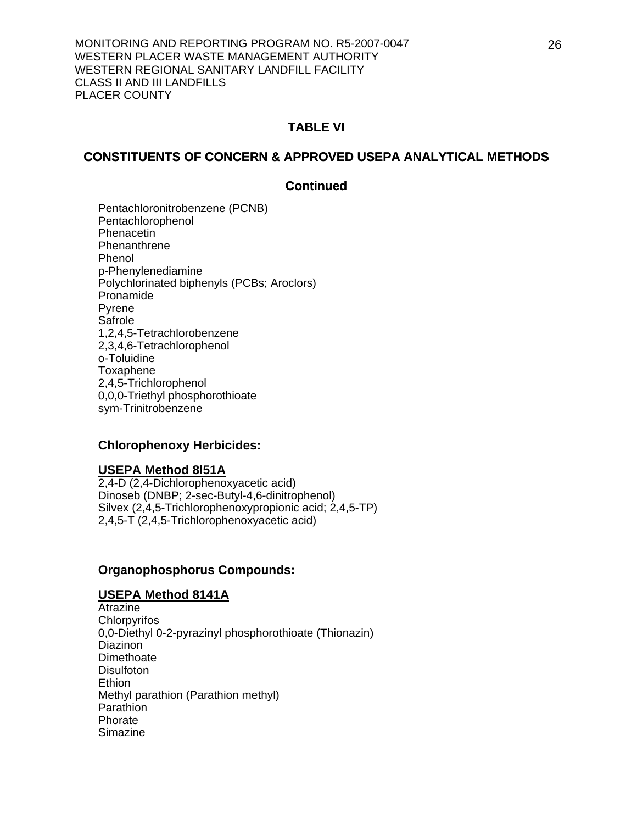## **CONSTITUENTS OF CONCERN & APPROVED USEPA ANALYTICAL METHODS**

## **Continued**

Pentachloronitrobenzene (PCNB) Pentachlorophenol Phenacetin **Phenanthrene** Phenol p-Phenylenediamine Polychlorinated biphenyls (PCBs; Aroclors) Pronamide Pyrene Safrole 1,2,4,5-Tetrachlorobenzene 2,3,4,6-Tetrachlorophenol o-Toluidine Toxaphene 2,4,5-Trichlorophenol 0,0,0-Triethyl phosphorothioate sym-Trinitrobenzene

## **Chlorophenoxy Herbicides:**

#### **USEPA Method 8l51A**

2,4-D (2,4-Dichlorophenoxyacetic acid) Dinoseb (DNBP; 2-sec-Butyl-4,6-dinitrophenol) Silvex (2,4,5-Trichlorophenoxypropionic acid; 2,4,5-TP) 2,4,5-T (2,4,5-Trichlorophenoxyacetic acid)

#### **Organophosphorus Compounds:**

#### **USEPA Method 8141A**

**Atrazine Chlorpyrifos** 0,0-Diethyl 0-2-pyrazinyl phosphorothioate (Thionazin) Diazinon **Dimethoate Disulfoton Ethion**  Methyl parathion (Parathion methyl) **Parathion**  Phorate **Simazine**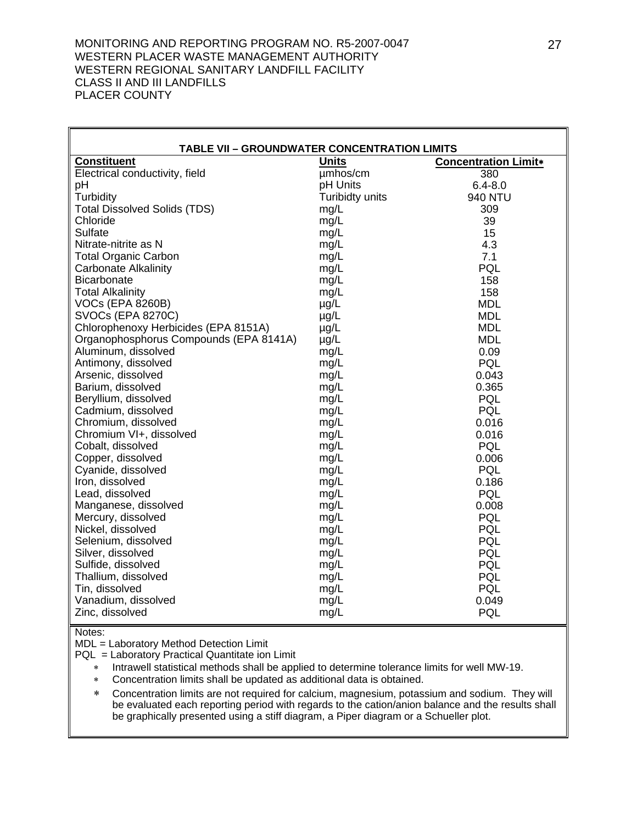| <b>TABLE VII - GROUNDWATER CONCENTRATION LIMITS</b> |                 |                             |  |  |
|-----------------------------------------------------|-----------------|-----------------------------|--|--|
| <b>Constituent</b>                                  | <b>Units</b>    | <b>Concentration Limit*</b> |  |  |
| Electrical conductivity, field                      | umhos/cm        | 380                         |  |  |
| pH                                                  | pH Units        | $6.4 - 8.0$                 |  |  |
| Turbidity                                           | Turibidty units | <b>940 NTU</b>              |  |  |
| <b>Total Dissolved Solids (TDS)</b>                 | mg/L            | 309                         |  |  |
| Chloride                                            | mg/L            | 39                          |  |  |
| Sulfate                                             | mg/L            | 15                          |  |  |
| Nitrate-nitrite as N                                | mg/L            | 4.3                         |  |  |
| <b>Total Organic Carbon</b>                         | mg/L            | 7.1                         |  |  |
| Carbonate Alkalinity                                | mg/L            | PQL                         |  |  |
| Bicarbonate                                         | mg/L            | 158                         |  |  |
| <b>Total Alkalinity</b>                             | mg/L            | 158                         |  |  |
| <b>VOCs (EPA 8260B)</b>                             | $\mu$ g/L       | <b>MDL</b>                  |  |  |
| <b>SVOCs (EPA 8270C)</b>                            | $\mu$ g/L       | <b>MDL</b>                  |  |  |
| Chlorophenoxy Herbicides (EPA 8151A)                | µg/L            | <b>MDL</b>                  |  |  |
| Organophosphorus Compounds (EPA 8141A)              | $\mu$ g/L       | <b>MDL</b>                  |  |  |
| Aluminum, dissolved                                 | mg/L            | 0.09                        |  |  |
| Antimony, dissolved                                 | mg/L            | PQL                         |  |  |
| Arsenic, dissolved                                  | mg/L            | 0.043                       |  |  |
| Barium, dissolved                                   | mg/L            | 0.365                       |  |  |
| Beryllium, dissolved                                | mg/L            | PQL                         |  |  |
| Cadmium, dissolved                                  | mg/L            | PQL                         |  |  |
| Chromium, dissolved                                 | mg/L            | 0.016                       |  |  |
| Chromium VI+, dissolved                             | mg/L            | 0.016                       |  |  |
| Cobalt, dissolved                                   | mg/L            | PQL                         |  |  |
| Copper, dissolved                                   | mg/L            | 0.006                       |  |  |
| Cyanide, dissolved                                  | mg/L            | <b>PQL</b>                  |  |  |
| Iron, dissolved                                     | mg/L            | 0.186                       |  |  |
| Lead, dissolved                                     | mg/L            | PQL                         |  |  |
| Manganese, dissolved                                | mg/L            | 0.008                       |  |  |
| Mercury, dissolved                                  | mg/L            | PQL                         |  |  |
| Nickel, dissolved                                   | mg/L            | PQL                         |  |  |
| Selenium, dissolved                                 | mg/L            | PQL                         |  |  |
| Silver, dissolved                                   | mg/L            | PQL                         |  |  |
| Sulfide, dissolved                                  | mg/L            | PQL                         |  |  |
| Thallium, dissolved                                 | mg/L            | PQL                         |  |  |
| Tin, dissolved                                      | mg/L            | <b>PQL</b>                  |  |  |
| Vanadium, dissolved                                 | mg/L            | 0.049                       |  |  |
| Zinc, dissolved                                     | mg/L            | PQL                         |  |  |

Notes:

MDL = Laboratory Method Detection Limit

PQL = Laboratory Practical Quantitate ion Limit

∗ Intrawell statistical methods shall be applied to determine tolerance limits for well MW-19.

∗ Concentration limits shall be updated as additional data is obtained.

∗ Concentration limits are not required for calcium, magnesium, potassium and sodium. They will be evaluated each reporting period with regards to the cation/anion balance and the results shall be graphically presented using a stiff diagram, a Piper diagram or a Schueller plot.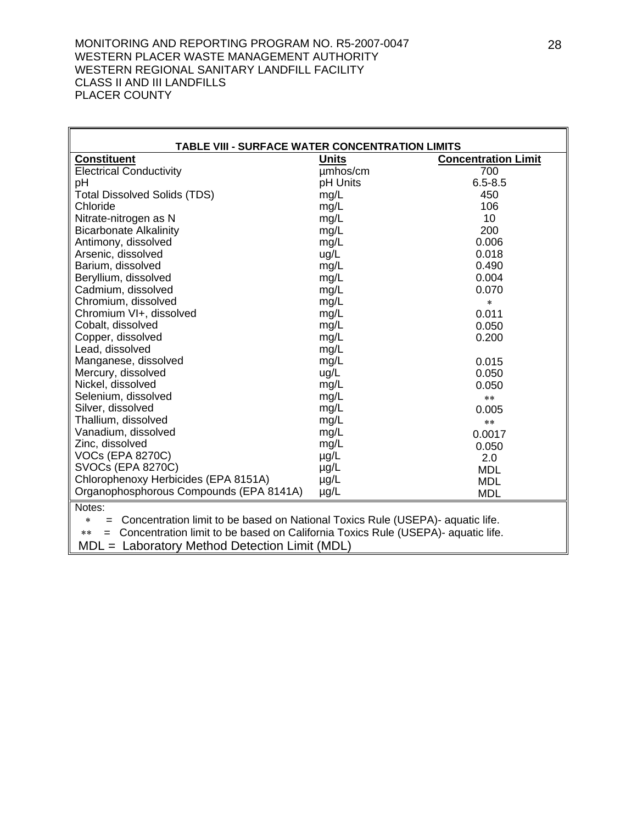h

| TABLE VIII - SURFACE WATER CONCENTRATION LIMITS                                                  |              |                            |  |  |  |
|--------------------------------------------------------------------------------------------------|--------------|----------------------------|--|--|--|
| <b>Constituent</b>                                                                               | <b>Units</b> | <b>Concentration Limit</b> |  |  |  |
| <b>Electrical Conductivity</b>                                                                   | umhos/cm     | 700                        |  |  |  |
| pH                                                                                               | pH Units     | $6.5 - 8.5$                |  |  |  |
| <b>Total Dissolved Solids (TDS)</b>                                                              | mg/L         | 450                        |  |  |  |
| Chloride                                                                                         | mg/L         | 106                        |  |  |  |
| Nitrate-nitrogen as N                                                                            | mg/L         | 10                         |  |  |  |
| <b>Bicarbonate Alkalinity</b>                                                                    | mg/L         | 200                        |  |  |  |
| Antimony, dissolved                                                                              | mg/L         | 0.006                      |  |  |  |
| Arsenic, dissolved                                                                               | ug/L         | 0.018                      |  |  |  |
| Barium, dissolved                                                                                | mg/L         | 0.490                      |  |  |  |
| Beryllium, dissolved                                                                             | mg/L         | 0.004                      |  |  |  |
| Cadmium, dissolved                                                                               | mg/L         | 0.070                      |  |  |  |
| Chromium, dissolved                                                                              | mg/L         | $\ast$                     |  |  |  |
| Chromium VI+, dissolved                                                                          | mg/L         | 0.011                      |  |  |  |
| Cobalt, dissolved                                                                                | mg/L         | 0.050                      |  |  |  |
| Copper, dissolved                                                                                | mg/L         | 0.200                      |  |  |  |
| Lead, dissolved                                                                                  | mg/L         |                            |  |  |  |
| Manganese, dissolved                                                                             | mg/L         | 0.015                      |  |  |  |
| Mercury, dissolved                                                                               | ug/L         | 0.050                      |  |  |  |
| Nickel, dissolved                                                                                | mg/L         | 0.050                      |  |  |  |
| Selenium, dissolved                                                                              | mg/L         | $***$                      |  |  |  |
| Silver, dissolved                                                                                | mg/L         | 0.005                      |  |  |  |
| Thallium, dissolved                                                                              | mg/L         | $***$                      |  |  |  |
| Vanadium, dissolved                                                                              | mg/L         | 0.0017                     |  |  |  |
| Zinc, dissolved                                                                                  | mg/L         | 0.050                      |  |  |  |
| <b>VOCs (EPA 8270C)</b>                                                                          | $\mu$ g/L    | 2.0                        |  |  |  |
| <b>SVOCs (EPA 8270C)</b>                                                                         | $\mu$ g/L    | <b>MDL</b>                 |  |  |  |
| Chlorophenoxy Herbicides (EPA 8151A)                                                             | $\mu$ g/L    | <b>MDL</b>                 |  |  |  |
| Organophosphorous Compounds (EPA 8141A)                                                          | $\mu$ g/L    | <b>MDL</b>                 |  |  |  |
| Notes:                                                                                           |              |                            |  |  |  |
| Concentration limit to be based on National Toxics Rule (USEPA)- aquatic life.<br>$\ast$<br>$=$  |              |                            |  |  |  |
| Concentration limit to be based on California Toxics Rule (USEPA)- aquatic life.<br>$***$<br>$=$ |              |                            |  |  |  |
| MDL = Laboratory Method Detection Limit (MDL)                                                    |              |                            |  |  |  |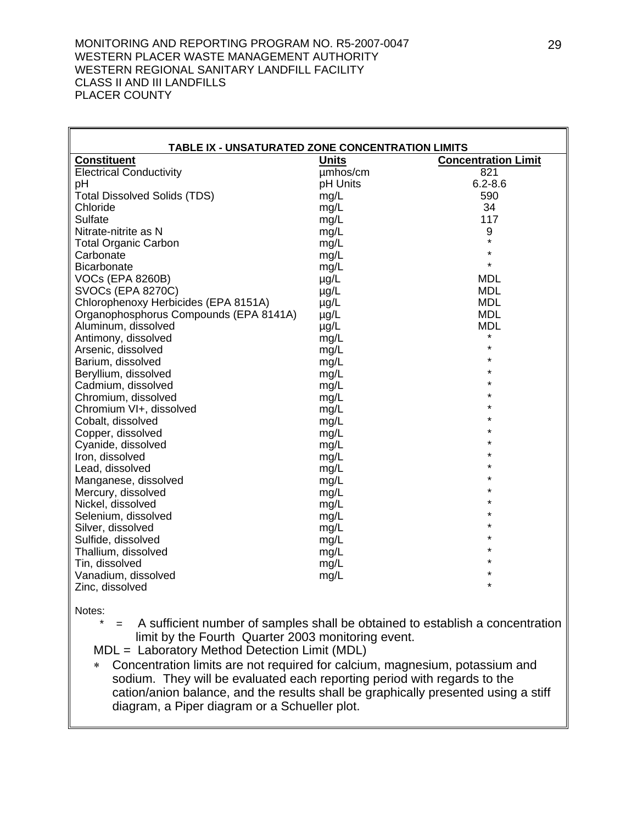| TABLE IX - UNSATURATED ZONE CONCENTRATION LIMITS |              |                            |
|--------------------------------------------------|--------------|----------------------------|
| <b>Constituent</b>                               | <b>Units</b> | <b>Concentration Limit</b> |
| <b>Electrical Conductivity</b>                   | umhos/cm     | 821                        |
| pH                                               | pH Units     | $6.2 - 8.6$                |
| <b>Total Dissolved Solids (TDS)</b>              | mg/L         | 590                        |
| Chloride                                         | mg/L         | 34                         |
| Sulfate                                          | mg/L         | 117                        |
| Nitrate-nitrite as N                             | mg/L         | 9                          |
| <b>Total Organic Carbon</b>                      | mg/L         | $\star$                    |
| Carbonate                                        | mg/L         | $\star$                    |
| <b>Bicarbonate</b>                               | mg/L         | $\star$                    |
| <b>VOCs (EPA 8260B)</b>                          | $\mu$ g/L    | <b>MDL</b>                 |
| <b>SVOCs (EPA 8270C)</b>                         | $\mu$ g/L    | <b>MDL</b>                 |
| Chlorophenoxy Herbicides (EPA 8151A)             | µg/L         | <b>MDL</b>                 |
| Organophosphorus Compounds (EPA 8141A)           | µg/L         | <b>MDL</b>                 |
| Aluminum, dissolved                              | $\mu$ g/L    | <b>MDL</b>                 |
| Antimony, dissolved                              | mg/L         | *                          |
| Arsenic, dissolved                               | mg/L         | $\star$                    |
| Barium, dissolved                                | mg/L         | $\star$                    |
| Beryllium, dissolved                             | mg/L         | $\star$                    |
| Cadmium, dissolved                               | mg/L         | $\star$                    |
| Chromium, dissolved                              | mg/L         | $\star$                    |
| Chromium VI+, dissolved                          | mg/L         | $\star$                    |
| Cobalt, dissolved                                | mg/L         | ÷                          |
| Copper, dissolved                                | mg/L         | $\star$                    |
| Cyanide, dissolved                               | mg/L         | ÷                          |
| Iron, dissolved                                  | mg/L         | $\star$<br>÷               |
| Lead, dissolved                                  | mg/L         |                            |
| Manganese, dissolved                             | mg/L         | $\star$                    |
| Mercury, dissolved                               | mg/L         | $\star$<br>$\star$         |
| Nickel, dissolved                                | mg/L         | $\star$                    |
| Selenium, dissolved                              | mg/L         | $\star$                    |
| Silver, dissolved                                | mg/L         | $\star$                    |
| Sulfide, dissolved                               | mg/L         | ÷                          |
| Thallium, dissolved                              | mg/L         |                            |
| Tin, dissolved                                   | mg/L         | ÷                          |
| Vanadium, dissolved                              | mg/L         | $\star$                    |
| Zinc, dissolved                                  |              |                            |

Notes:

 \* = A sufficient number of samples shall be obtained to establish a concentration limit by the Fourth Quarter 2003 monitoring event.

MDL = Laboratory Method Detection Limit (MDL)

∗ Concentration limits are not required for calcium, magnesium, potassium and sodium. They will be evaluated each reporting period with regards to the cation/anion balance, and the results shall be graphically presented using a stiff diagram, a Piper diagram or a Schueller plot.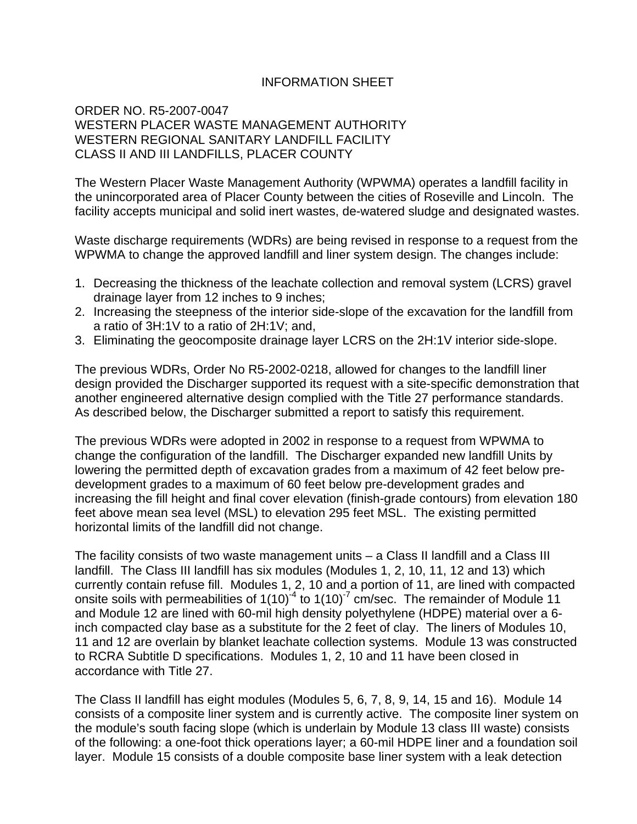# INFORMATION SHEET

## ORDER NO. R5-2007-0047 WESTERN PLACER WASTE MANAGEMENT AUTHORITY WESTERN REGIONAL SANITARY LANDFILL FACILITY CLASS II AND III LANDFILLS, PLACER COUNTY

The Western Placer Waste Management Authority (WPWMA) operates a landfill facility in the unincorporated area of Placer County between the cities of Roseville and Lincoln. The facility accepts municipal and solid inert wastes, de-watered sludge and designated wastes.

Waste discharge requirements (WDRs) are being revised in response to a request from the WPWMA to change the approved landfill and liner system design. The changes include:

- 1. Decreasing the thickness of the leachate collection and removal system (LCRS) gravel drainage layer from 12 inches to 9 inches;
- 2. Increasing the steepness of the interior side-slope of the excavation for the landfill from a ratio of 3H:1V to a ratio of 2H:1V; and,
- 3. Eliminating the geocomposite drainage layer LCRS on the 2H:1V interior side-slope.

The previous WDRs, Order No R5-2002-0218, allowed for changes to the landfill liner design provided the Discharger supported its request with a site-specific demonstration that another engineered alternative design complied with the Title 27 performance standards. As described below, the Discharger submitted a report to satisfy this requirement.

The previous WDRs were adopted in 2002 in response to a request from WPWMA to change the configuration of the landfill. The Discharger expanded new landfill Units by lowering the permitted depth of excavation grades from a maximum of 42 feet below predevelopment grades to a maximum of 60 feet below pre-development grades and increasing the fill height and final cover elevation (finish-grade contours) from elevation 180 feet above mean sea level (MSL) to elevation 295 feet MSL. The existing permitted horizontal limits of the landfill did not change.

The facility consists of two waste management units – a Class II landfill and a Class III landfill. The Class III landfill has six modules (Modules 1, 2, 10, 11, 12 and 13) which currently contain refuse fill. Modules 1, 2, 10 and a portion of 11, are lined with compacted onsite soils with permeabilities of  $1(10)^4$  to  $1(10)^7$  cm/sec. The remainder of Module 11 and Module 12 are lined with 60-mil high density polyethylene (HDPE) material over a 6 inch compacted clay base as a substitute for the 2 feet of clay. The liners of Modules 10, 11 and 12 are overlain by blanket leachate collection systems. Module 13 was constructed to RCRA Subtitle D specifications. Modules 1, 2, 10 and 11 have been closed in accordance with Title 27.

The Class II landfill has eight modules (Modules 5, 6, 7, 8, 9, 14, 15 and 16). Module 14 consists of a composite liner system and is currently active. The composite liner system on the module's south facing slope (which is underlain by Module 13 class III waste) consists of the following: a one-foot thick operations layer; a 60-mil HDPE liner and a foundation soil layer. Module 15 consists of a double composite base liner system with a leak detection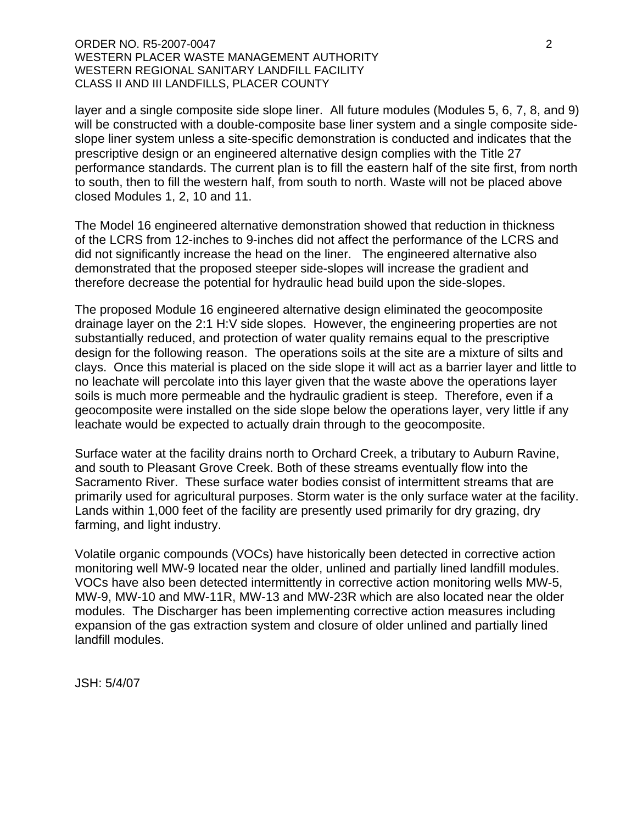layer and a single composite side slope liner. All future modules (Modules 5, 6, 7, 8, and 9) will be constructed with a double-composite base liner system and a single composite sideslope liner system unless a site-specific demonstration is conducted and indicates that the prescriptive design or an engineered alternative design complies with the Title 27 performance standards. The current plan is to fill the eastern half of the site first, from north to south, then to fill the western half, from south to north. Waste will not be placed above closed Modules 1, 2, 10 and 11.

The Model 16 engineered alternative demonstration showed that reduction in thickness of the LCRS from 12-inches to 9-inches did not affect the performance of the LCRS and did not significantly increase the head on the liner. The engineered alternative also demonstrated that the proposed steeper side-slopes will increase the gradient and therefore decrease the potential for hydraulic head build upon the side-slopes.

The proposed Module 16 engineered alternative design eliminated the geocomposite drainage layer on the 2:1 H:V side slopes. However, the engineering properties are not substantially reduced, and protection of water quality remains equal to the prescriptive design for the following reason. The operations soils at the site are a mixture of silts and clays. Once this material is placed on the side slope it will act as a barrier layer and little to no leachate will percolate into this layer given that the waste above the operations layer soils is much more permeable and the hydraulic gradient is steep. Therefore, even if a geocomposite were installed on the side slope below the operations layer, very little if any leachate would be expected to actually drain through to the geocomposite.

Surface water at the facility drains north to Orchard Creek, a tributary to Auburn Ravine, and south to Pleasant Grove Creek. Both of these streams eventually flow into the Sacramento River. These surface water bodies consist of intermittent streams that are primarily used for agricultural purposes. Storm water is the only surface water at the facility. Lands within 1,000 feet of the facility are presently used primarily for dry grazing, dry farming, and light industry.

Volatile organic compounds (VOCs) have historically been detected in corrective action monitoring well MW-9 located near the older, unlined and partially lined landfill modules. VOCs have also been detected intermittently in corrective action monitoring wells MW-5, MW-9, MW-10 and MW-11R, MW-13 and MW-23R which are also located near the older modules. The Discharger has been implementing corrective action measures including expansion of the gas extraction system and closure of older unlined and partially lined landfill modules.

JSH: 5/4/07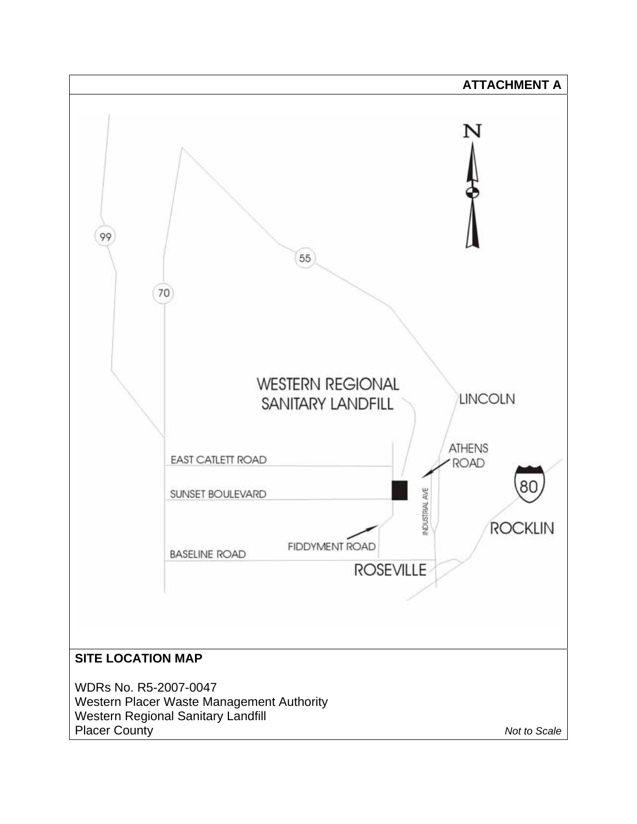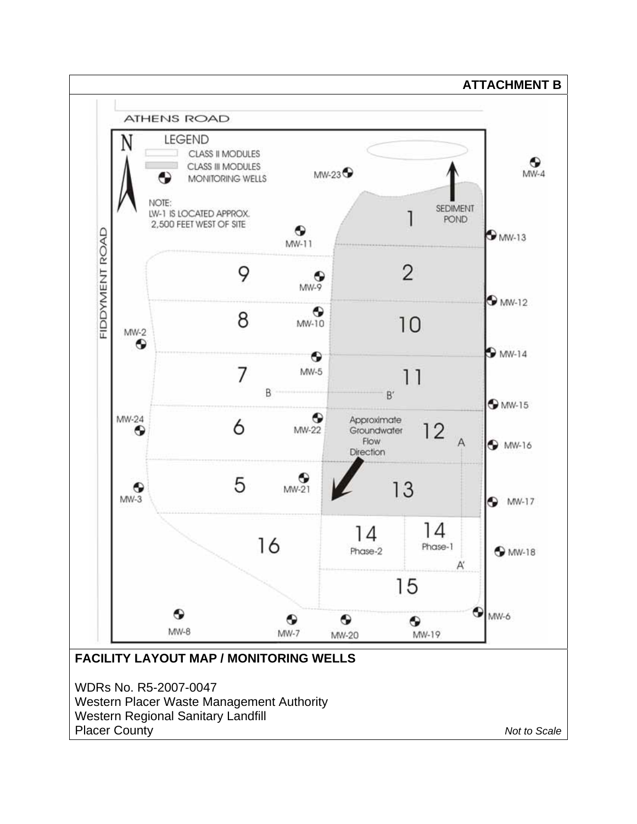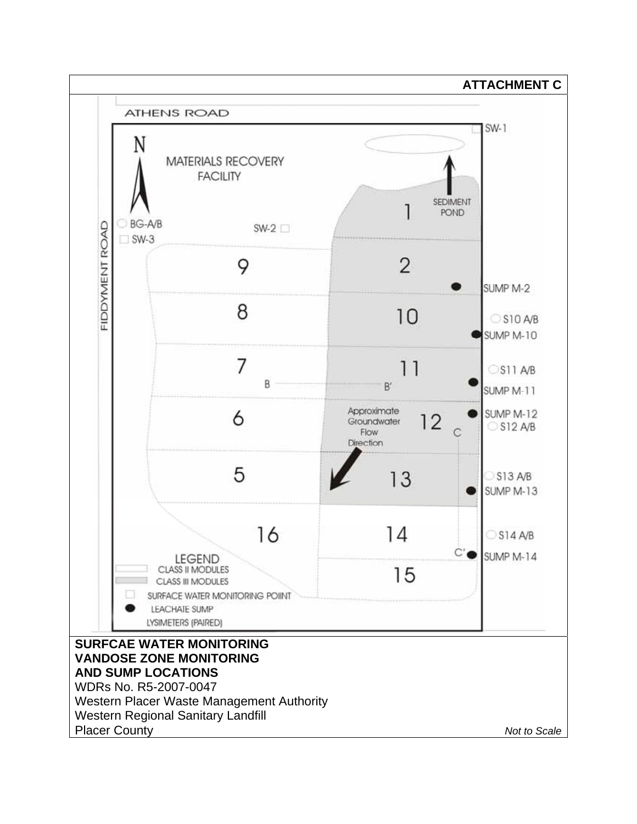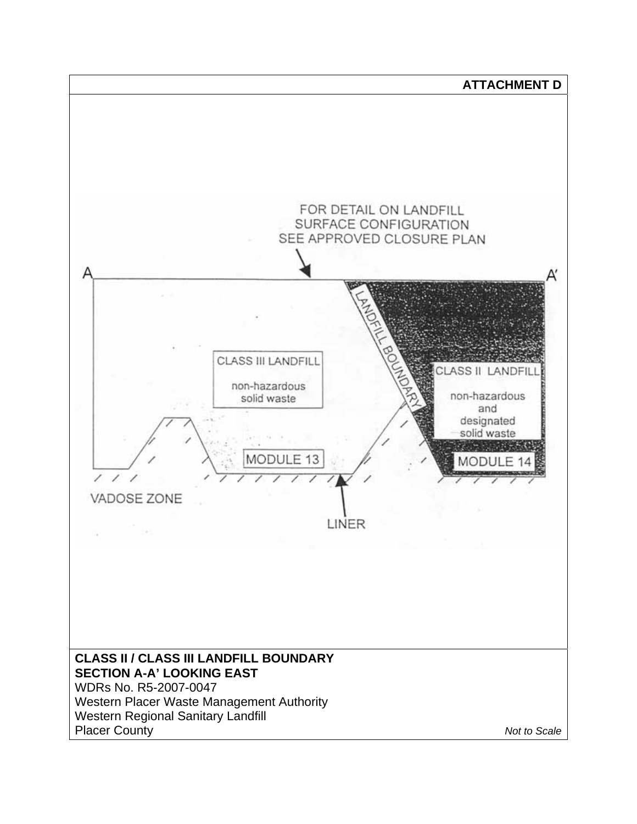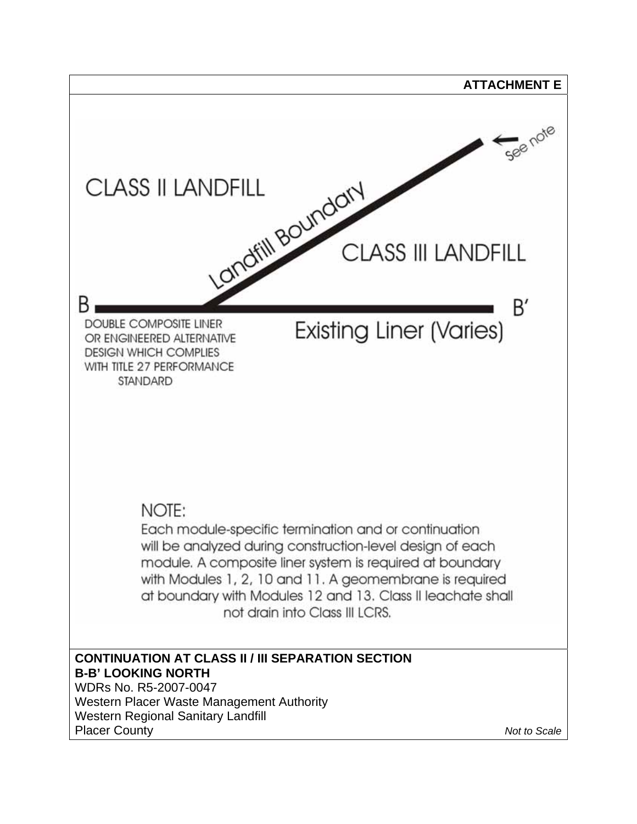